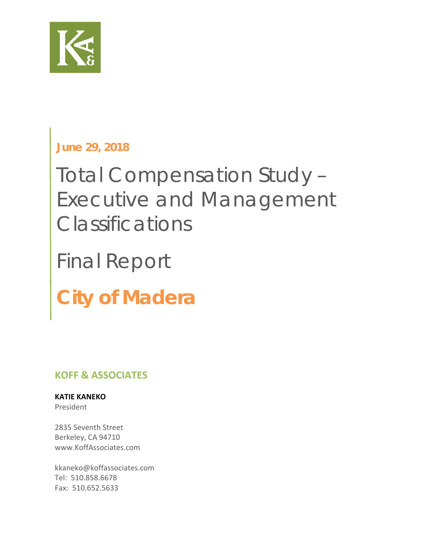

### **June 29, 2018**

# Total Compensation Study – Executive and Management Classifications

# Final Report

# **City of Madera**

### **KOFF & ASSOCIATES**

### **KATIE KANEKO**

President

2835 Seventh Street Berkeley, CA 94710 www.KoffAssociates.com

kkaneko@koffassociates.com Tel: 510.858.6678 Fax: 510.652.5633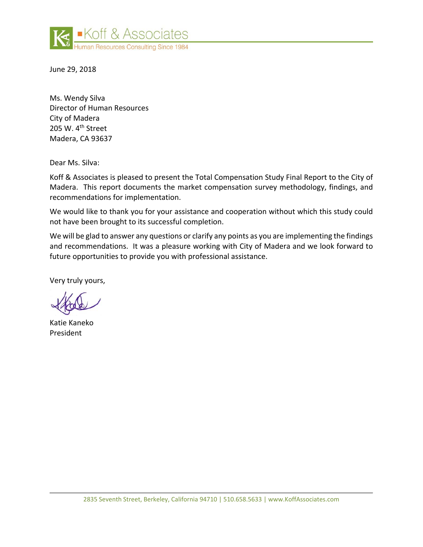

June 29, 2018

Ms. Wendy Silva Director of Human Resources City of Madera 205 W.  $4<sup>th</sup>$  Street Madera, CA 93637

Dear Ms. Silva:

Koff & Associates is pleased to present the Total Compensation Study Final Report to the City of Madera. This report documents the market compensation survey methodology, findings, and recommendations for implementation.

We would like to thank you for your assistance and cooperation without which this study could not have been brought to its successful completion.

We will be glad to answer any questions or clarify any points as you are implementing the findings and recommendations. It was a pleasure working with City of Madera and we look forward to future opportunities to provide you with professional assistance.

Very truly yours,

Katie Kaneko President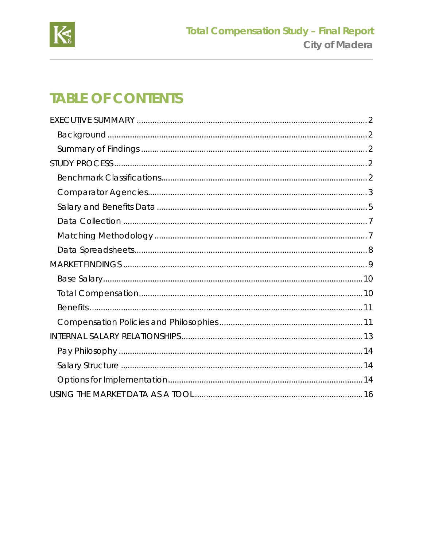

## **TABLE OF CONTENTS**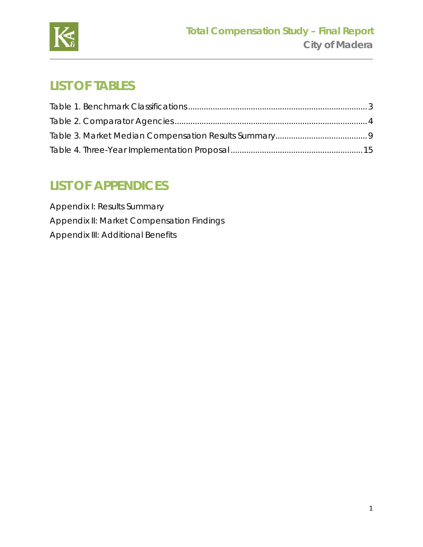

## **LIST OF TABLES**

## **LIST OF APPENDICES**

Appendix I: Results Summary Appendix II: Market Compensation Findings Appendix III: Additional Benefits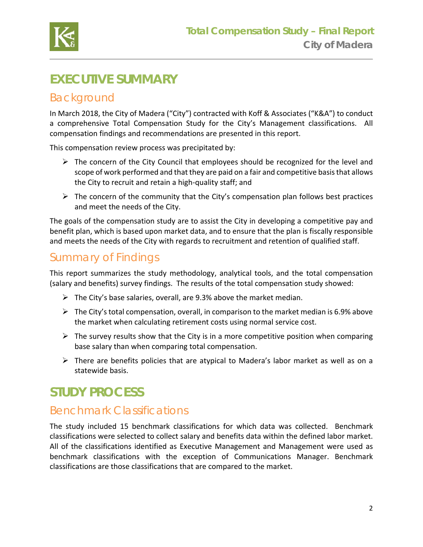

## **EXECUTIVE SUMMARY**

### Background

In March 2018, the City of Madera ("City") contracted with Koff & Associates ("K&A") to conduct a comprehensive Total Compensation Study for the City's Management classifications. All compensation findings and recommendations are presented in this report.

This compensation review process was precipitated by:

- $\triangleright$  The concern of the City Council that employees should be recognized for the level and scope of work performed and that they are paid on a fair and competitive basisthat allows the City to recruit and retain a high‐quality staff; and
- $\triangleright$  The concern of the community that the City's compensation plan follows best practices and meet the needs of the City.

The goals of the compensation study are to assist the City in developing a competitive pay and benefit plan, which is based upon market data, and to ensure that the plan is fiscally responsible and meets the needs of the City with regards to recruitment and retention of qualified staff.

### Summary of Findings

This report summarizes the study methodology, analytical tools, and the total compensation (salary and benefits) survey findings. The results of the total compensation study showed:

- $\triangleright$  The City's base salaries, overall, are 9.3% above the market median.
- $\triangleright$  The City's total compensation, overall, in comparison to the market median is 6.9% above the market when calculating retirement costs using normal service cost.
- $\triangleright$  The survey results show that the City is in a more competitive position when comparing base salary than when comparing total compensation.
- $\triangleright$  There are benefits policies that are atypical to Madera's labor market as well as on a statewide basis.

## **STUDY PROCESS**

### Benchmark Classifications

The study included 15 benchmark classifications for which data was collected. Benchmark classifications were selected to collect salary and benefits data within the defined labor market. All of the classifications identified as Executive Management and Management were used as benchmark classifications with the exception of Communications Manager. Benchmark classifications are those classifications that are compared to the market.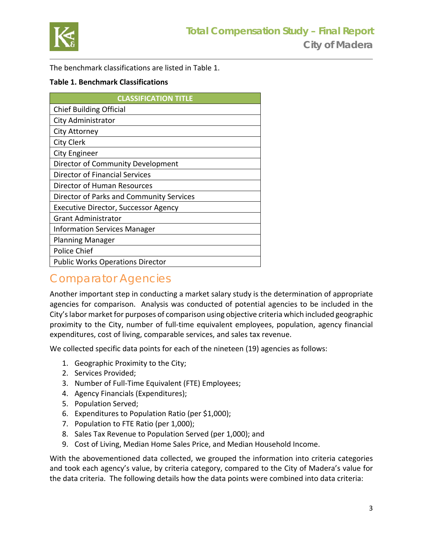

The benchmark classifications are listed in Table 1.

#### **Table 1. Benchmark Classifications**

| <b>CLASSIFICATION TITLE</b>                 |
|---------------------------------------------|
| <b>Chief Building Official</b>              |
| City Administrator                          |
| City Attorney                               |
| <b>City Clerk</b>                           |
| City Engineer                               |
| Director of Community Development           |
| Director of Financial Services              |
| Director of Human Resources                 |
| Director of Parks and Community Services    |
| <b>Executive Director, Successor Agency</b> |
| <b>Grant Administrator</b>                  |
| <b>Information Services Manager</b>         |
| <b>Planning Manager</b>                     |
| <b>Police Chief</b>                         |
| <b>Public Works Operations Director</b>     |

### Comparator Agencies

Another important step in conducting a market salary study is the determination of appropriate agencies for comparison. Analysis was conducted of potential agencies to be included in the City's labor market for purposes of comparison using objective criteria which included geographic proximity to the City, number of full-time equivalent employees, population, agency financial expenditures, cost of living, comparable services, and sales tax revenue.

We collected specific data points for each of the nineteen (19) agencies as follows:

- 1. Geographic Proximity to the City;
- 2. Services Provided;
- 3. Number of Full-Time Equivalent (FTE) Employees;
- 4. Agency Financials (Expenditures);
- 5. Population Served;
- 6. Expenditures to Population Ratio (per \$1,000);
- 7. Population to FTE Ratio (per 1,000);
- 8. Sales Tax Revenue to Population Served (per 1,000); and
- 9. Cost of Living, Median Home Sales Price, and Median Household Income.

With the abovementioned data collected, we grouped the information into criteria categories and took each agency's value, by criteria category, compared to the City of Madera's value for the data criteria. The following details how the data points were combined into data criteria: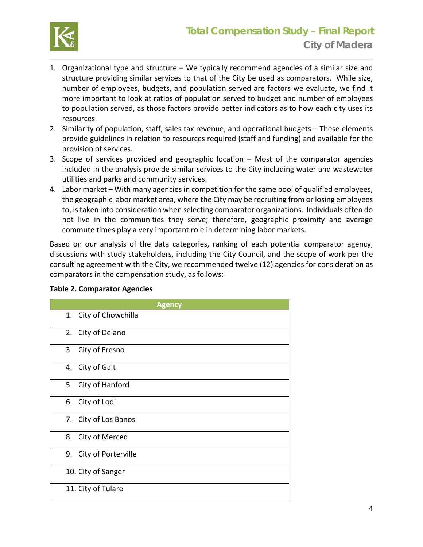

- 1. Organizational type and structure We typically recommend agencies of a similar size and structure providing similar services to that of the City be used as comparators. While size, number of employees, budgets, and population served are factors we evaluate, we find it more important to look at ratios of population served to budget and number of employees to population served, as those factors provide better indicators as to how each city uses its resources.
- 2. Similarity of population, staff, sales tax revenue, and operational budgets These elements provide guidelines in relation to resources required (staff and funding) and available for the provision of services.
- 3. Scope of services provided and geographic location Most of the comparator agencies included in the analysis provide similar services to the City including water and wastewater utilities and parks and community services.
- 4. Labor market With many agencies in competition for the same pool of qualified employees, the geographic labor market area, where the City may be recruiting from or losing employees to, is taken into consideration when selecting comparator organizations. Individuals often do not live in the communities they serve; therefore, geographic proximity and average commute times play a very important role in determining labor markets.

Based on our analysis of the data categories, ranking of each potential comparator agency, discussions with study stakeholders, including the City Council, and the scope of work per the consulting agreement with the City, we recommended twelve (12) agencies for consideration as comparators in the compensation study, as follows:

| <b>Agency</b>          |
|------------------------|
| 1. City of Chowchilla  |
| 2. City of Delano      |
| 3. City of Fresno      |
| 4. City of Galt        |
| 5. City of Hanford     |
| 6. City of Lodi        |
| 7. City of Los Banos   |
| 8. City of Merced      |
| 9. City of Porterville |
| 10. City of Sanger     |
| 11. City of Tulare     |

#### **Table 2. Comparator Agencies**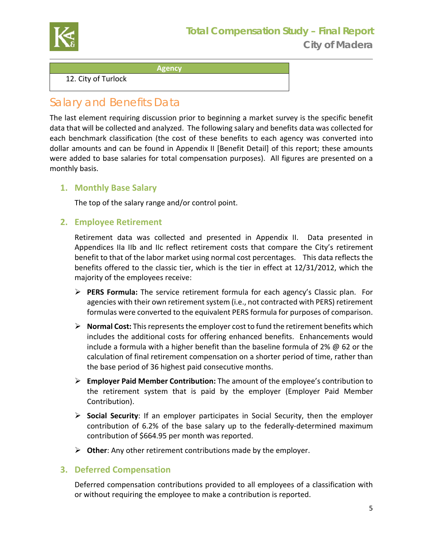

**Agency** 

12. City of Turlock

### Salary and Benefits Data

The last element requiring discussion prior to beginning a market survey is the specific benefit data that will be collected and analyzed. The following salary and benefits data was collected for each benchmark classification (the cost of these benefits to each agency was converted into dollar amounts and can be found in Appendix II [Benefit Detail] of this report; these amounts were added to base salaries for total compensation purposes). All figures are presented on a monthly basis.

### **1. Monthly Base Salary**

The top of the salary range and/or control point.

#### **2. Employee Retirement**

Retirement data was collected and presented in Appendix II. Data presented in Appendices IIa IIb and IIc reflect retirement costs that compare the City's retirement benefit to that of the labor market using normal cost percentages. This data reflects the benefits offered to the classic tier, which is the tier in effect at 12/31/2012, which the majority of the employees receive:

- PERS Formula: The service retirement formula for each agency's Classic plan. For agencies with their own retirement system (i.e., not contracted with PERS) retirement formulas were converted to the equivalent PERS formula for purposes of comparison.
- **Normal Cost:** This represents the employer cost to fund the retirement benefits which includes the additional costs for offering enhanced benefits. Enhancements would include a formula with a higher benefit than the baseline formula of 2% @ 62 or the calculation of final retirement compensation on a shorter period of time, rather than the base period of 36 highest paid consecutive months.
- **Employer Paid Member Contribution:** The amount of the employee's contribution to the retirement system that is paid by the employer (Employer Paid Member Contribution).
- **Social Security**: If an employer participates in Social Security, then the employer contribution of 6.2% of the base salary up to the federally‐determined maximum contribution of \$664.95 per month was reported.
- **Other**: Any other retirement contributions made by the employer.

### **3. Deferred Compensation**

Deferred compensation contributions provided to all employees of a classification with or without requiring the employee to make a contribution is reported.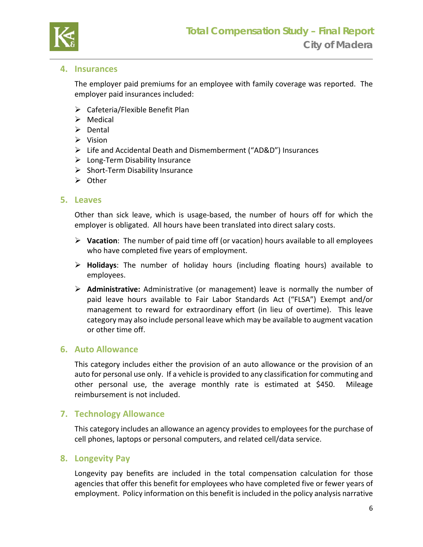

#### **4. Insurances**

The employer paid premiums for an employee with family coverage was reported. The employer paid insurances included:

- $\triangleright$  Cafeteria/Flexible Benefit Plan
- $\triangleright$  Medical
- $\triangleright$  Dental
- $\triangleright$  Vision
- Life and Accidental Death and Dismemberment ("AD&D") Insurances
- Long‐Term Disability Insurance
- $\triangleright$  Short-Term Disability Insurance
- **≻** Other

#### **5. Leaves**

Other than sick leave, which is usage-based, the number of hours off for which the employer is obligated. All hours have been translated into direct salary costs.

- **Vacation**: The number of paid time off (or vacation) hours available to all employees who have completed five years of employment.
- **Holidays**: The number of holiday hours (including floating hours) available to employees.
- **Administrative:**  Administrative (or management) leave is normally the number of paid leave hours available to Fair Labor Standards Act ("FLSA") Exempt and/or management to reward for extraordinary effort (in lieu of overtime). This leave category may also include personal leave which may be available to augment vacation or other time off.

#### **6. Auto Allowance**

This category includes either the provision of an auto allowance or the provision of an auto for personal use only. If a vehicle is provided to any classification for commuting and other personal use, the average monthly rate is estimated at \$450. Mileage reimbursement is not included.

#### **7. Technology Allowance**

This category includes an allowance an agency provides to employees for the purchase of cell phones, laptops or personal computers, and related cell/data service.

#### **8. Longevity Pay**

Longevity pay benefits are included in the total compensation calculation for those agencies that offer this benefit for employees who have completed five or fewer years of employment. Policy information on this benefit is included in the policy analysis narrative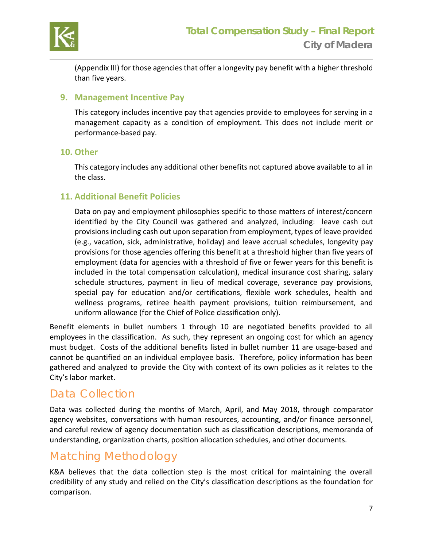

(Appendix III) for those agencies that offer a longevity pay benefit with a higher threshold than five years.

#### **9. Management Incentive Pay**

This category includes incentive pay that agencies provide to employees for serving in a management capacity as a condition of employment. This does not include merit or performance‐based pay.

#### **10. Other**

This category includes any additional other benefits not captured above available to all in the class.

#### **11. Additional Benefit Policies**

Data on pay and employment philosophies specific to those matters of interest/concern identified by the City Council was gathered and analyzed, including: leave cash out provisions including cash out upon separation from employment, types of leave provided (e.g., vacation, sick, administrative, holiday) and leave accrual schedules, longevity pay provisions for those agencies offering this benefit at a threshold higher than five years of employment (data for agencies with a threshold of five or fewer years for this benefit is included in the total compensation calculation), medical insurance cost sharing, salary schedule structures, payment in lieu of medical coverage, severance pay provisions, special pay for education and/or certifications, flexible work schedules, health and wellness programs, retiree health payment provisions, tuition reimbursement, and uniform allowance (for the Chief of Police classification only).

Benefit elements in bullet numbers 1 through 10 are negotiated benefits provided to all employees in the classification. As such, they represent an ongoing cost for which an agency must budget. Costs of the additional benefits listed in bullet number 11 are usage-based and cannot be quantified on an individual employee basis. Therefore, policy information has been gathered and analyzed to provide the City with context of its own policies as it relates to the City's labor market.

### Data Collection

Data was collected during the months of March, April, and May 2018, through comparator agency websites, conversations with human resources, accounting, and/or finance personnel, and careful review of agency documentation such as classification descriptions, memoranda of understanding, organization charts, position allocation schedules, and other documents.

### Matching Methodology

K&A believes that the data collection step is the most critical for maintaining the overall credibility of any study and relied on the City's classification descriptions as the foundation for comparison.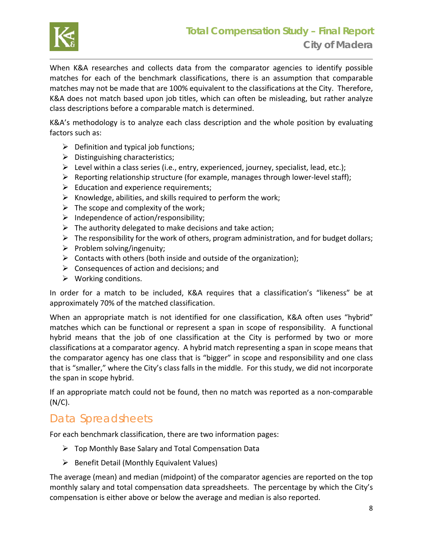

When K&A researches and collects data from the comparator agencies to identify possible matches for each of the benchmark classifications, there is an assumption that comparable matches may not be made that are 100% equivalent to the classifications at the City. Therefore, K&A does not match based upon job titles, which can often be misleading, but rather analyze class descriptions before a comparable match is determined.

K&A's methodology is to analyze each class description and the whole position by evaluating factors such as:

- $\triangleright$  Definition and typical job functions;
- $\triangleright$  Distinguishing characteristics;
- $\triangleright$  Level within a class series (i.e., entry, experienced, journey, specialist, lead, etc.);
- Reporting relationship structure (for example, manages through lower‐level staff);
- $\triangleright$  Education and experience requirements;
- $\triangleright$  Knowledge, abilities, and skills required to perform the work;
- $\triangleright$  The scope and complexity of the work;
- $\triangleright$  Independence of action/responsibility;
- $\triangleright$  The authority delegated to make decisions and take action;
- $\triangleright$  The responsibility for the work of others, program administration, and for budget dollars;
- $\triangleright$  Problem solving/ingenuity;
- $\triangleright$  Contacts with others (both inside and outside of the organization);
- $\triangleright$  Consequences of action and decisions; and
- $\triangleright$  Working conditions.

In order for a match to be included, K&A requires that a classification's "likeness" be at approximately 70% of the matched classification.

When an appropriate match is not identified for one classification, K&A often uses "hybrid" matches which can be functional or represent a span in scope of responsibility. A functional hybrid means that the job of one classification at the City is performed by two or more classifications at a comparator agency. A hybrid match representing a span in scope means that the comparator agency has one class that is "bigger" in scope and responsibility and one class that is "smaller," where the City's class falls in the middle. For this study, we did not incorporate the span in scope hybrid.

If an appropriate match could not be found, then no match was reported as a non‐comparable (N/C).

### Data Spreadsheets

For each benchmark classification, there are two information pages:

- $\triangleright$  Top Monthly Base Salary and Total Compensation Data
- $\triangleright$  Benefit Detail (Monthly Equivalent Values)

The average (mean) and median (midpoint) of the comparator agencies are reported on the top monthly salary and total compensation data spreadsheets. The percentage by which the City's compensation is either above or below the average and median is also reported.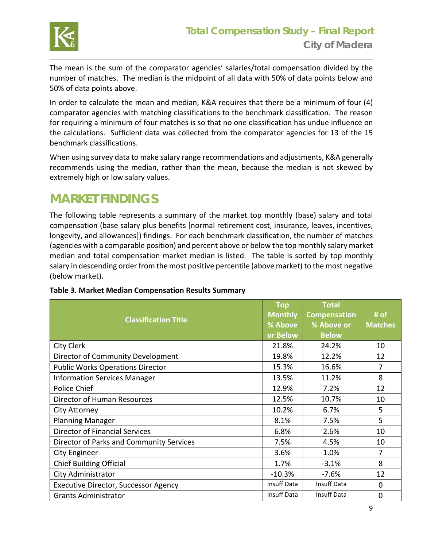

The mean is the sum of the comparator agencies' salaries/total compensation divided by the number of matches. The median is the midpoint of all data with 50% of data points below and 50% of data points above.

In order to calculate the mean and median, K&A requires that there be a minimum of four (4) comparator agencies with matching classifications to the benchmark classification. The reason for requiring a minimum of four matches is so that no one classification has undue influence on the calculations. Sufficient data was collected from the comparator agencies for 13 of the 15 benchmark classifications.

When using survey data to make salary range recommendations and adjustments, K&A generally recommends using the median, rather than the mean, because the median is not skewed by extremely high or low salary values.

### **MARKET FINDINGS**

The following table represents a summary of the market top monthly (base) salary and total compensation (base salary plus benefits [normal retirement cost, insurance, leaves, incentives, longevity, and allowances]) findings. For each benchmark classification, the number of matches (agencies with a comparable position) and percent above or below the top monthly salary market median and total compensation market median is listed. The table is sorted by top monthly salary in descending order from the most positive percentile (above market) to the most negative (below market).

| <b>Classification Title</b>              | <b>Top</b><br><b>Monthly</b><br>% Above<br>or Below | Total<br><b>Compensation</b><br>% Above or<br><b>Below</b> | $#$ of<br><b>Matches</b> |
|------------------------------------------|-----------------------------------------------------|------------------------------------------------------------|--------------------------|
| City Clerk                               | 21.8%                                               | 24.2%                                                      | 10                       |
| Director of Community Development        | 19.8%                                               | 12.2%                                                      | 12                       |
| <b>Public Works Operations Director</b>  | 15.3%                                               | 16.6%                                                      | 7                        |
| <b>Information Services Manager</b>      | 13.5%                                               | 11.2%                                                      | 8                        |
| <b>Police Chief</b>                      | 12.9%                                               | 7.2%                                                       | 12                       |
| Director of Human Resources              | 12.5%                                               | 10.7%                                                      | 10                       |
| City Attorney                            | 10.2%                                               | 6.7%                                                       | 5                        |
| <b>Planning Manager</b>                  | 8.1%                                                | 7.5%                                                       | 5                        |
| <b>Director of Financial Services</b>    | 6.8%                                                | 2.6%                                                       | 10                       |
| Director of Parks and Community Services | 7.5%                                                | 4.5%                                                       | 10                       |
| <b>City Engineer</b>                     | 3.6%                                                | 1.0%                                                       | 7                        |
| <b>Chief Building Official</b>           | 1.7%                                                | $-3.1%$                                                    | 8                        |
| City Administrator                       | $-10.3%$                                            | $-7.6%$                                                    | 12                       |
| Executive Director, Successor Agency     | Insuff Data                                         | <b>Insuff Data</b>                                         | $\Omega$                 |
| <b>Grants Administrator</b>              | <b>Insuff Data</b>                                  | Insuff Data                                                | $\mathbf 0$              |

#### **Table 3. Market Median Compensation Results Summary**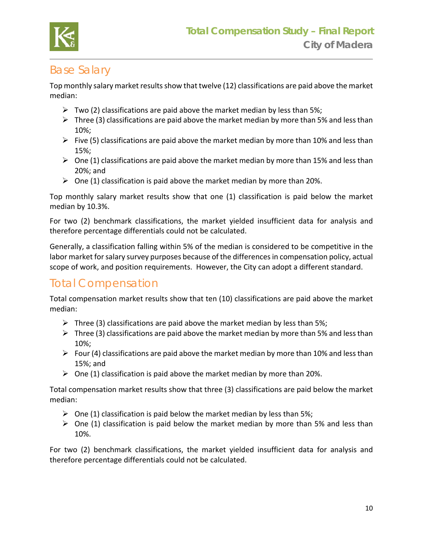

### Base Salary

Top monthly salary market results show that twelve (12) classifications are paid above the market median:

- $\triangleright$  Two (2) classifications are paid above the market median by less than 5%;
- $\triangleright$  Three (3) classifications are paid above the market median by more than 5% and less than 10%;
- $\triangleright$  Five (5) classifications are paid above the market median by more than 10% and less than 15%;
- $\triangleright$  One (1) classifications are paid above the market median by more than 15% and less than 20%; and
- $\triangleright$  One (1) classification is paid above the market median by more than 20%.

Top monthly salary market results show that one (1) classification is paid below the market median by 10.3%.

For two (2) benchmark classifications, the market yielded insufficient data for analysis and therefore percentage differentials could not be calculated.

Generally, a classification falling within 5% of the median is considered to be competitive in the labor market for salary survey purposes because of the differences in compensation policy, actual scope of work, and position requirements. However, the City can adopt a different standard.

### Total Compensation

Total compensation market results show that ten (10) classifications are paid above the market median:

- $\triangleright$  Three (3) classifications are paid above the market median by less than 5%;
- $\triangleright$  Three (3) classifications are paid above the market median by more than 5% and less than 10%;
- Four (4) classifications are paid above the market median by more than 10% and less than 15%; and
- $\triangleright$  One (1) classification is paid above the market median by more than 20%.

Total compensation market results show that three (3) classifications are paid below the market median:

- $\triangleright$  One (1) classification is paid below the market median by less than 5%;
- $\triangleright$  One (1) classification is paid below the market median by more than 5% and less than 10%.

For two (2) benchmark classifications, the market yielded insufficient data for analysis and therefore percentage differentials could not be calculated.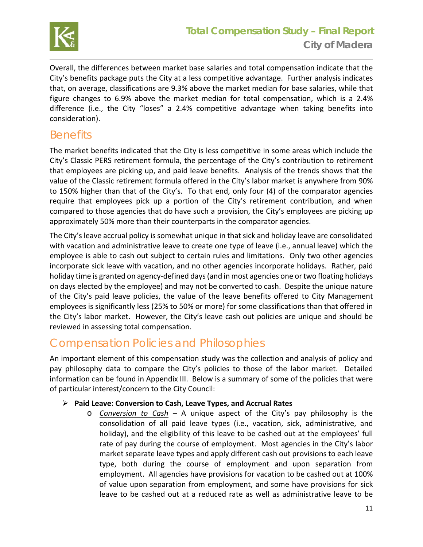

Overall, the differences between market base salaries and total compensation indicate that the City's benefits package puts the City at a less competitive advantage. Further analysis indicates that, on average, classifications are 9.3% above the market median for base salaries, while that figure changes to 6.9% above the market median for total compensation, which is a 2.4% difference (i.e., the City "loses" a 2.4% competitive advantage when taking benefits into consideration).

### **Benefits**

The market benefits indicated that the City is less competitive in some areas which include the City's Classic PERS retirement formula, the percentage of the City's contribution to retirement that employees are picking up, and paid leave benefits. Analysis of the trends shows that the value of the Classic retirement formula offered in the City's labor market is anywhere from 90% to 150% higher than that of the City's. To that end, only four (4) of the comparator agencies require that employees pick up a portion of the City's retirement contribution, and when compared to those agencies that do have such a provision, the City's employees are picking up approximately 50% more than their counterparts in the comparator agencies.

The City's leave accrual policy is somewhat unique in that sick and holiday leave are consolidated with vacation and administrative leave to create one type of leave (i.e., annual leave) which the employee is able to cash out subject to certain rules and limitations. Only two other agencies incorporate sick leave with vacation, and no other agencies incorporate holidays. Rather, paid holiday time is granted on agency‐defined days (and in most agencies one or two floating holidays on days elected by the employee) and may not be converted to cash. Despite the unique nature of the City's paid leave policies, the value of the leave benefits offered to City Management employees is significantly less (25% to 50% or more) for some classifications than that offered in the City's labor market. However, the City's leave cash out policies are unique and should be reviewed in assessing total compensation.

### Compensation Policies and Philosophies

An important element of this compensation study was the collection and analysis of policy and pay philosophy data to compare the City's policies to those of the labor market. Detailed information can be found in Appendix III. Below is a summary of some of the policies that were of particular interest/concern to the City Council:

### **Paid Leave: Conversion to Cash, Leave Types, and Accrual Rates**

o *Conversion to Cash –* A unique aspect of the City's pay philosophy is the consolidation of all paid leave types (i.e., vacation, sick, administrative, and holiday), and the eligibility of this leave to be cashed out at the employees' full rate of pay during the course of employment. Most agencies in the City's labor market separate leave types and apply different cash out provisions to each leave type, both during the course of employment and upon separation from employment. All agencies have provisions for vacation to be cashed out at 100% of value upon separation from employment, and some have provisions for sick leave to be cashed out at a reduced rate as well as administrative leave to be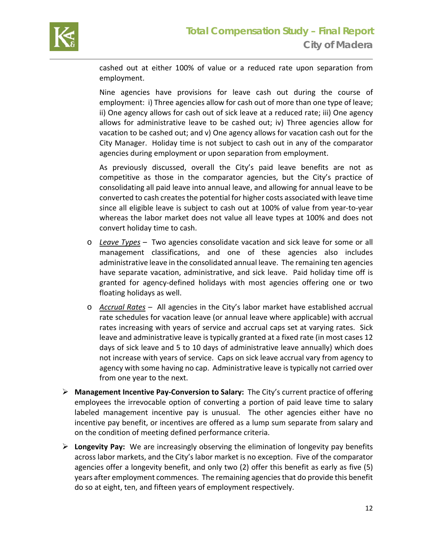

cashed out at either 100% of value or a reduced rate upon separation from employment.

Nine agencies have provisions for leave cash out during the course of employment: i) Three agencies allow for cash out of more than one type of leave; ii) One agency allows for cash out of sick leave at a reduced rate; iii) One agency allows for administrative leave to be cashed out; iv) Three agencies allow for vacation to be cashed out; and v) One agency allows for vacation cash out for the City Manager. Holiday time is not subject to cash out in any of the comparator agencies during employment or upon separation from employment.

As previously discussed, overall the City's paid leave benefits are not as competitive as those in the comparator agencies, but the City's practice of consolidating all paid leave into annual leave, and allowing for annual leave to be converted to cash creates the potential for higher costs associated with leave time since all eligible leave is subject to cash out at 100% of value from year‐to‐year whereas the labor market does not value all leave types at 100% and does not convert holiday time to cash.

- o *Leave Types –* Two agencies consolidate vacation and sick leave for some or all management classifications, and one of these agencies also includes administrative leave in the consolidated annual leave. The remaining ten agencies have separate vacation, administrative, and sick leave. Paid holiday time off is granted for agency‐defined holidays with most agencies offering one or two floating holidays as well.
- o *Accrual Rates –* All agencies in the City's labor market have established accrual rate schedules for vacation leave (or annual leave where applicable) with accrual rates increasing with years of service and accrual caps set at varying rates. Sick leave and administrative leave is typically granted at a fixed rate (in most cases 12 days of sick leave and 5 to 10 days of administrative leave annually) which does not increase with years of service. Caps on sick leave accrual vary from agency to agency with some having no cap. Administrative leave is typically not carried over from one year to the next.
- **Management Incentive Pay‐Conversion to Salary:** The City's current practice of offering employees the irrevocable option of converting a portion of paid leave time to salary labeled management incentive pay is unusual. The other agencies either have no incentive pay benefit, or incentives are offered as a lump sum separate from salary and on the condition of meeting defined performance criteria.
- **Longevity Pay:** We are increasingly observing the elimination of longevity pay benefits across labor markets, and the City's labor market is no exception. Five of the comparator agencies offer a longevity benefit, and only two (2) offer this benefit as early as five (5) years after employment commences. The remaining agencies that do provide this benefit do so at eight, ten, and fifteen years of employment respectively.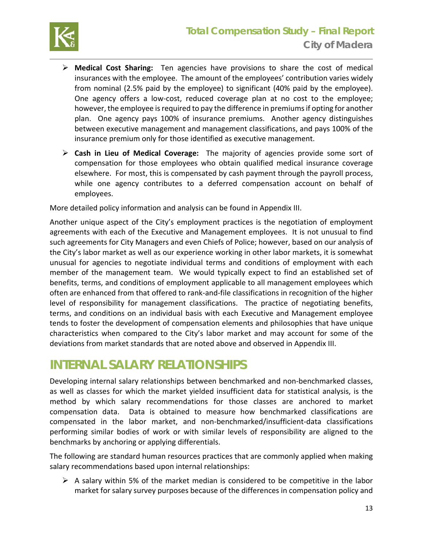

- **Medical Cost Sharing:** Ten agencies have provisions to share the cost of medical insurances with the employee. The amount of the employees' contribution varies widely from nominal (2.5% paid by the employee) to significant (40% paid by the employee). One agency offers a low-cost, reduced coverage plan at no cost to the employee; however, the employee is required to pay the difference in premiums if opting for another plan. One agency pays 100% of insurance premiums. Another agency distinguishes between executive management and management classifications, and pays 100% of the insurance premium only for those identified as executive management.
- **Cash in Lieu of Medical Coverage:** The majority of agencies provide some sort of compensation for those employees who obtain qualified medical insurance coverage elsewhere. For most, this is compensated by cash payment through the payroll process, while one agency contributes to a deferred compensation account on behalf of employees.

More detailed policy information and analysis can be found in Appendix III.

Another unique aspect of the City's employment practices is the negotiation of employment agreements with each of the Executive and Management employees. It is not unusual to find such agreements for City Managers and even Chiefs of Police; however, based on our analysis of the City's labor market as well as our experience working in other labor markets, it is somewhat unusual for agencies to negotiate individual terms and conditions of employment with each member of the management team. We would typically expect to find an established set of benefits, terms, and conditions of employment applicable to all management employees which often are enhanced from that offered to rank‐and‐file classifications in recognition of the higher level of responsibility for management classifications. The practice of negotiating benefits, terms, and conditions on an individual basis with each Executive and Management employee tends to foster the development of compensation elements and philosophies that have unique characteristics when compared to the City's labor market and may account for some of the deviations from market standards that are noted above and observed in Appendix III.

### **INTERNAL SALARY RELATIONSHIPS**

Developing internal salary relationships between benchmarked and non‐benchmarked classes, as well as classes for which the market yielded insufficient data for statistical analysis, is the method by which salary recommendations for those classes are anchored to market compensation data. Data is obtained to measure how benchmarked classifications are compensated in the labor market, and non‐benchmarked/insufficient‐data classifications performing similar bodies of work or with similar levels of responsibility are aligned to the benchmarks by anchoring or applying differentials.

The following are standard human resources practices that are commonly applied when making salary recommendations based upon internal relationships:

 $\triangleright$  A salary within 5% of the market median is considered to be competitive in the labor market for salary survey purposes because of the differences in compensation policy and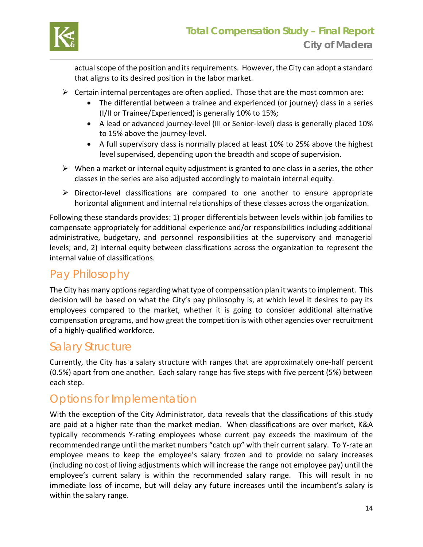

actual scope of the position and its requirements. However, the City can adopt a standard that aligns to its desired position in the labor market.

- $\triangleright$  Certain internal percentages are often applied. Those that are the most common are:
	- The differential between a trainee and experienced (or journey) class in a series (I/II or Trainee/Experienced) is generally 10% to 15%;
	- A lead or advanced journey‐level (III or Senior‐level) class is generally placed 10% to 15% above the journey‐level.
	- A full supervisory class is normally placed at least 10% to 25% above the highest level supervised, depending upon the breadth and scope of supervision.
- $\triangleright$  When a market or internal equity adjustment is granted to one class in a series, the other classes in the series are also adjusted accordingly to maintain internal equity.
- Director‐level classifications are compared to one another to ensure appropriate horizontal alignment and internal relationships of these classes across the organization.

Following these standards provides: 1) proper differentials between levels within job families to compensate appropriately for additional experience and/or responsibilities including additional administrative, budgetary, and personnel responsibilities at the supervisory and managerial levels; and, 2) internal equity between classifications across the organization to represent the internal value of classifications.

### Pay Philosophy

The City has many options regarding what type of compensation plan it wants to implement. This decision will be based on what the City's pay philosophy is, at which level it desires to pay its employees compared to the market, whether it is going to consider additional alternative compensation programs, and how great the competition is with other agencies over recruitment of a highly‐qualified workforce.

### Salary Structure

Currently, the City has a salary structure with ranges that are approximately one‐half percent (0.5%) apart from one another. Each salary range has five steps with five percent (5%) between each step.

### Options for Implementation

With the exception of the City Administrator, data reveals that the classifications of this study are paid at a higher rate than the market median. When classifications are over market, K&A typically recommends Y‐rating employees whose current pay exceeds the maximum of the recommended range until the market numbers "catch up" with their current salary. To Y‐rate an employee means to keep the employee's salary frozen and to provide no salary increases (including no cost of living adjustments which will increase the range not employee pay) until the employee's current salary is within the recommended salary range. This will result in no immediate loss of income, but will delay any future increases until the incumbent's salary is within the salary range.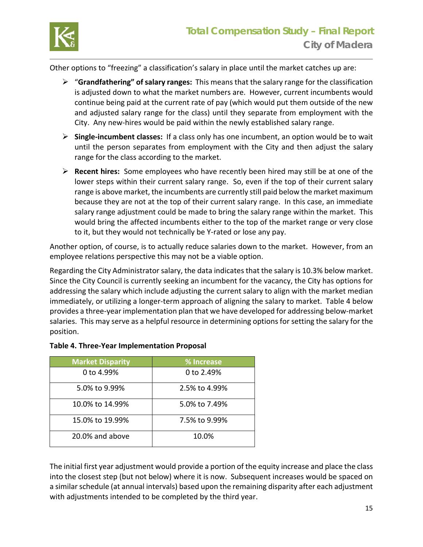

Other options to "freezing" a classification's salary in place until the market catches up are:

- "**Grandfathering" of salary ranges:** This means that the salary range for the classification is adjusted down to what the market numbers are. However, current incumbents would continue being paid at the current rate of pay (which would put them outside of the new and adjusted salary range for the class) until they separate from employment with the City. Any new‐hires would be paid within the newly established salary range.
- **Single‐incumbent classes:**  If a class only has one incumbent, an option would be to wait until the person separates from employment with the City and then adjust the salary range for the class according to the market.
- **Recent hires:** Some employees who have recently been hired may still be at one of the lower steps within their current salary range. So, even if the top of their current salary range is above market, the incumbents are currently still paid below the market maximum because they are not at the top of their current salary range. In this case, an immediate salary range adjustment could be made to bring the salary range within the market. This would bring the affected incumbents either to the top of the market range or very close to it, but they would not technically be Y‐rated or lose any pay.

Another option, of course, is to actually reduce salaries down to the market. However, from an employee relations perspective this may not be a viable option.

Regarding the City Administrator salary, the data indicates that the salary is 10.3% below market. Since the City Council is currently seeking an incumbent for the vacancy, the City has options for addressing the salary which include adjusting the current salary to align with the market median immediately, or utilizing a longer‐term approach of aligning the salary to market. Table 4 below provides a three‐year implementation plan that we have developed for addressing below‐market salaries. This may serve as a helpful resource in determining options for setting the salary for the position.

| <b>Market Disparity</b> | % Increase    |
|-------------------------|---------------|
| 0 to 4.99%              | 0 to 2.49%    |
| 5.0% to 9.99%           | 2.5% to 4.99% |
| 10.0% to 14.99%         | 5.0% to 7.49% |
| 15.0% to 19.99%         | 7.5% to 9.99% |
| 20.0% and above         | 10.0%         |

#### **Table 4. Three‐Year Implementation Proposal**

The initial first year adjustment would provide a portion of the equity increase and place the class into the closest step (but not below) where it is now. Subsequent increases would be spaced on a similar schedule (at annual intervals) based upon the remaining disparity after each adjustment with adjustments intended to be completed by the third year.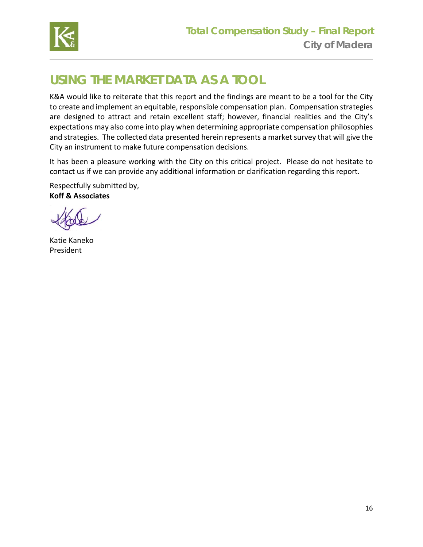

## **USING THE MARKET DATA AS A TOOL**

K&A would like to reiterate that this report and the findings are meant to be a tool for the City to create and implement an equitable, responsible compensation plan. Compensation strategies are designed to attract and retain excellent staff; however, financial realities and the City's expectations may also come into play when determining appropriate compensation philosophies and strategies. The collected data presented herein represents a market survey that will give the City an instrument to make future compensation decisions.

It has been a pleasure working with the City on this critical project. Please do not hesitate to contact us if we can provide any additional information or clarification regarding this report.

Respectfully submitted by, **Koff & Associates** 

Katie Kaneko President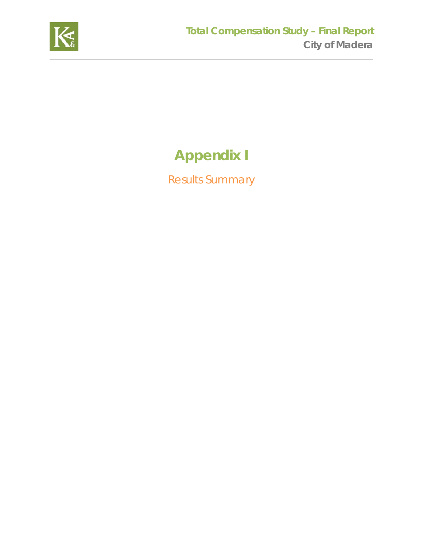

# **Appendix I**

Results Summary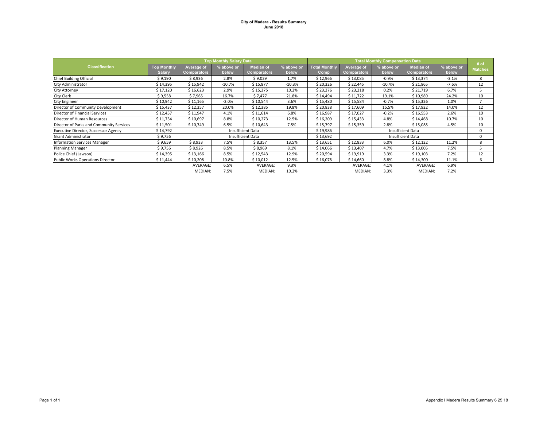#### **City of Madera - Results Summary June 2018**

|                                             | <b>Top Monthly Salary Data</b> |             |            |                    |            |                      | <b>Total Monthly Compensation Data</b> |            |                    |            |                        |
|---------------------------------------------|--------------------------------|-------------|------------|--------------------|------------|----------------------|----------------------------------------|------------|--------------------|------------|------------------------|
| <b>Classification</b>                       | <b>Top Monthly</b>             | Average of  | % above or | <b>Median of</b>   | % above or | <b>Total Monthly</b> | Average of                             | % above or | <b>Median of</b>   | % above or | # of<br><b>Matches</b> |
|                                             | <b>Salarv</b>                  | Comparators | below      | <b>Comparators</b> | below      | Comp                 | Comparators                            | below      | <b>Comparators</b> | below      |                        |
| Chief Building Official                     | \$9,190                        | \$8,936     | 2.8%       | \$9,029            | 1.7%       | \$12,966             | \$13,085                               | $-0.9%$    | \$13,374           | $-3.1%$    | 8                      |
| <b>City Administrator</b>                   | \$14,395                       | \$15,942    | $-10.7%$   | \$15,877           | $-10.3%$   | \$20,326             | \$22,445                               | $-10.4%$   | \$21,865           | $-7.6%$    | 12                     |
| City Attorney                               | \$17,120                       | \$16,623    | 2.9%       | \$15,375           | 10.2%      | \$23,276             | \$23,218                               | 0.2%       | \$21,719           | 6.7%       |                        |
| <b>City Clerk</b>                           | \$9,558                        | \$7,965     | 16.7%      | \$7,477            | 21.8%      | \$14,494             | \$11,722                               | 19.1%      | \$10,989           | 24.2%      | 10                     |
| <b>City Engineer</b>                        | \$10,942                       | \$11,165    | $-2.0%$    | \$10,544           | 3.6%       | \$15,480             | \$15,584                               | $-0.7%$    | \$15,326           | 1.0%       |                        |
| Director of Community Development           | \$15,437                       | \$12,357    | 20.0%      | \$12,385           | 19.8%      | \$20,838             | \$17,609                               | 15.5%      | \$17,922           | 14.0%      | 12                     |
| Director of Financial Services              | \$12,457                       | \$11,947    | 4.1%       | \$11,614           | 6.8%       | \$16,987             | \$17,027                               | $-0.2%$    | \$16,553           | 2.6%       | 10                     |
| Director of Human Resources                 | \$11,734                       | \$10,697    | 8.8%       | \$10,273           | 12.5%      | \$16,209             | \$15,433                               | 4.8%       | \$14,468           | 10.7%      | 10                     |
| Director of Parks and Community Services    | \$11,501                       | \$10,749    | 6.5%       | \$10,643           | 7.5%       | \$15,797             | \$15,359                               | 2.8%       | \$15,085           | 4.5%       | 10                     |
| <b>Executive Director, Successor Agency</b> | \$14,792                       |             |            | Insufficient Data  |            | \$19,986             |                                        |            | Insufficient Data  |            | $\Omega$               |
| <b>Grant Administrator</b>                  | \$9,756                        |             |            | Insufficient Data  |            | \$13,692             |                                        |            | Insufficient Data  |            |                        |
| Information Services Manager                | \$9,659                        | \$8,933     | 7.5%       | \$8,357            | 13.5%      | \$13,651             | \$12,833                               | 6.0%       | \$12,122           | 11.2%      | 8                      |
| <b>Planning Manager</b>                     | \$9,756                        | \$8,926     | 8.5%       | \$8,969            | 8.1%       | \$14,066             | \$13,407                               | 4.7%       | \$13,005           | 7.5%       |                        |
| Police Chief (Lawson)                       | \$14,395                       | \$13,166    | 8.5%       | \$12,543           | 12.9%      | \$20,594             | \$19,919                               | 3.3%       | \$19,103           | 7.2%       | 12                     |
| Public Works Operations Director            | \$11,444                       | \$10,208    | 10.8%      | \$10,012           | 12.5%      | \$16,078             | \$14,660                               | 8.8%       | \$14,300           | 11.1%      | 6                      |
|                                             |                                | AVERAGE:    | 6.5%       | AVERAGE:           | 9.3%       |                      | AVERAGE:                               | 4.1%       | AVERAGE:           | 6.9%       |                        |
|                                             |                                | MEDIAN:     | 7.5%       | MEDIAN:            | 10.2%      |                      | MEDIAN:                                | 3.3%       | MEDIAN:            | 7.2%       |                        |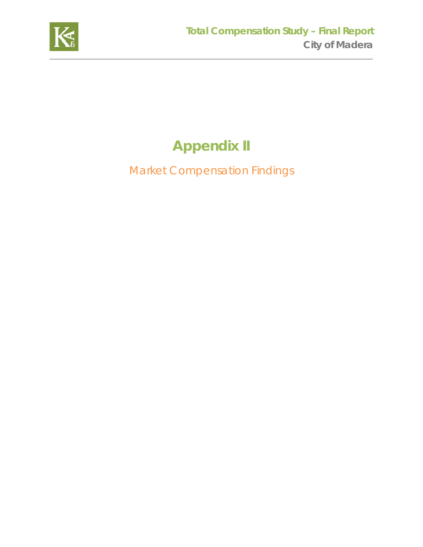

# **Appendix II**

Market Compensation Findings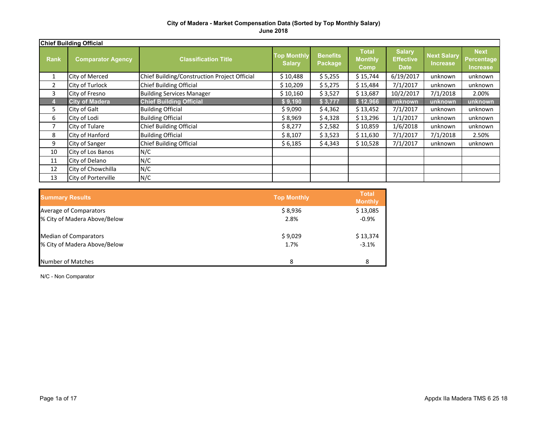#### **City of Madera - Market Compensation Data (Sorted by Top Monthly Salary) June 2018**

|             | <b>Chief Building Official</b> |                                              |                                     |                            |                                        |                                                  |                                       |                                              |  |
|-------------|--------------------------------|----------------------------------------------|-------------------------------------|----------------------------|----------------------------------------|--------------------------------------------------|---------------------------------------|----------------------------------------------|--|
| <b>Rank</b> | <b>Comparator Agency</b>       | <b>Classification Title</b>                  | <b>Top Monthly</b><br><b>Salary</b> | <b>Benefits</b><br>Package | <b>Total</b><br><b>Monthly</b><br>Comp | <b>Salary</b><br><b>Effective</b><br><b>Date</b> | <b>Next Salary</b><br><b>Increase</b> | <b>Next</b><br>Percentage<br><b>Increase</b> |  |
|             | City of Merced                 | Chief Building/Construction Project Official | \$10,488                            | \$5,255                    | \$15,744                               | 6/19/2017                                        | unknown                               | unknown                                      |  |
| 2           | City of Turlock                | Chief Building Official                      | \$10,209                            | \$5,275                    | \$15,484                               | 7/1/2017                                         | unknown                               | unknown                                      |  |
| 3           | City of Fresno                 | <b>Building Services Manager</b>             | \$10,160                            | \$3,527                    | \$13,687                               | 10/2/2017                                        | 7/1/2018                              | 2.00%                                        |  |
|             | <b>City of Madera</b>          | <b>Chief Building Official</b>               | \$9,190                             | \$3,777                    | \$12,966                               | unknown                                          | unknown                               | unknown                                      |  |
| 5.          | City of Galt                   | <b>Building Official</b>                     | \$9,090                             | \$4,362                    | \$13,452                               | 7/1/2017                                         | unknown                               | unknown                                      |  |
| 6           | City of Lodi                   | <b>Building Official</b>                     | \$8,969                             | \$4,328                    | \$13,296                               | 1/1/2017                                         | unknown                               | unknown                                      |  |
|             | City of Tulare                 | <b>Chief Building Official</b>               | \$8,277                             | \$2,582                    | \$10,859                               | 1/6/2018                                         | unknown                               | unknown                                      |  |
| 8           | City of Hanford                | <b>Building Official</b>                     | \$8,107                             | \$3,523                    | \$11,630                               | 7/1/2017                                         | 7/1/2018                              | 2.50%                                        |  |
| 9           | City of Sanger                 | <b>Chief Building Official</b>               | \$6,185                             | \$4,343                    | \$10,528                               | 7/1/2017                                         | unknown                               | unknown                                      |  |
| 10          | City of Los Banos              | N/C                                          |                                     |                            |                                        |                                                  |                                       |                                              |  |
| 11          | City of Delano                 | N/C                                          |                                     |                            |                                        |                                                  |                                       |                                              |  |
| 12          | City of Chowchilla             | N/C                                          |                                     |                            |                                        |                                                  |                                       |                                              |  |
| 13          | City of Porterville            | N/C                                          |                                     |                            |                                        |                                                  |                                       |                                              |  |

| <b>Summary Results</b>       | <b>Top Monthly</b> | <b>Total</b><br><b>Monthly</b> |
|------------------------------|--------------------|--------------------------------|
| Average of Comparators       | \$8,936            | \$13,085                       |
| % City of Madera Above/Below | 2.8%               | $-0.9%$                        |
| <b>Median of Comparators</b> | \$9,029            | \$13,374                       |
| % City of Madera Above/Below | 1.7%               | $-3.1%$                        |
| Number of Matches            | 8                  | 8                              |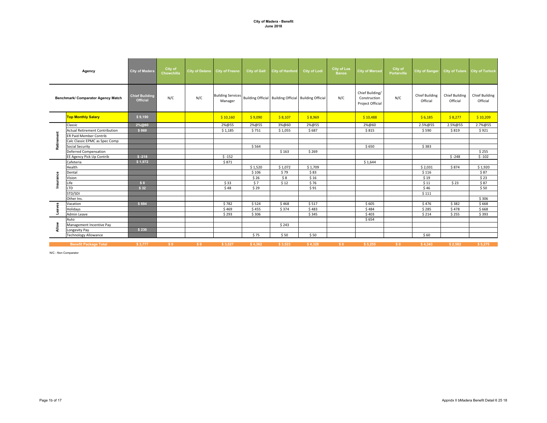#### **City of Madera - Benefit June 2018**

|            | Agency                                | <b>City of Madera</b>                    | City of<br>Chowchilla | City of Delano City of Fresno |                                     | <b>City of Galt</b> | <b>City of Hanford</b>                                | <b>City of Lodi</b> | <b>City of Los</b><br><b>Banos</b> | <b>City of Merced</b>                               | City of<br>Porterville | <b>City of Sanger</b>             |                                   | City of Tulare City of Turlock    |
|------------|---------------------------------------|------------------------------------------|-----------------------|-------------------------------|-------------------------------------|---------------------|-------------------------------------------------------|---------------------|------------------------------------|-----------------------------------------------------|------------------------|-----------------------------------|-----------------------------------|-----------------------------------|
|            | Benchmark/ Comparator Agency Match    | <b>Chief Building</b><br><b>Official</b> | N/C                   | N/C                           | <b>Building Services</b><br>Manager |                     | Building Official Building Official Building Official |                     | N/C                                | Chief Building/<br>Construction<br>Project Official | N/C                    | <b>Chief Building</b><br>Official | <b>Chief Building</b><br>Official | <b>Chief Building</b><br>Official |
|            | <b>Top Monthly Salary</b>             | \$9,190                                  |                       |                               | \$10,160                            | \$9,090             | \$8,107                                               | \$8,969             |                                    | \$10,488                                            |                        | \$6,185                           | \$8,277                           | \$10,209                          |
|            | Classic                               | 2%@60                                    |                       |                               | 2%@55                               | 2%@55               | 3%@60                                                 | 2%@55               |                                    | 2%@60                                               |                        | 2.5%@55                           | 2.5%@55                           | 2.7%@55                           |
|            | <b>Actual Retirement Contribution</b> | \$869                                    |                       |                               | \$1,185                             | \$751               | \$1,055                                               | \$687               |                                    | \$815                                               |                        | \$590                             | \$819                             | \$921                             |
| Retirement | <b>ER Paid Member Contrib</b>         |                                          |                       |                               |                                     |                     |                                                       |                     |                                    |                                                     |                        |                                   |                                   |                                   |
|            | Calc Classic EPMC as Spec Comp        |                                          |                       |                               |                                     |                     |                                                       |                     |                                    |                                                     |                        |                                   |                                   |                                   |
|            | <b>Social Security</b>                |                                          |                       |                               |                                     | \$564               |                                                       |                     |                                    | \$650                                               |                        | \$383                             |                                   |                                   |
|            | <b>Deferred Compensation</b>          |                                          |                       |                               |                                     |                     | \$163                                                 | \$269               |                                    |                                                     |                        |                                   |                                   | \$255                             |
|            | EE Agency Pick Up Contrib             | $$ -218$                                 |                       |                               | $$ -152$                            |                     |                                                       |                     |                                    |                                                     |                        |                                   | $$ -248$                          | $$ -102$                          |
|            | Cafeteria                             | \$1,972                                  |                       |                               | \$871                               |                     |                                                       |                     |                                    | \$1,644                                             |                        |                                   |                                   |                                   |
|            | Health                                |                                          |                       |                               |                                     | \$1,520             | \$1,072                                               | \$1,709             |                                    |                                                     |                        | \$2,031                           | \$874                             | \$1,920                           |
|            | Dental                                |                                          |                       |                               |                                     | \$106               | \$79                                                  | \$83                |                                    |                                                     |                        | \$116                             |                                   | \$87                              |
|            | Vision                                |                                          |                       |                               |                                     | \$26                | \$8                                                   | \$16                |                                    |                                                     |                        | \$19                              |                                   | \$23                              |
| Insurance  | Life                                  | \$8                                      |                       |                               | \$33                                | \$7                 | \$12                                                  | \$76                |                                    |                                                     |                        | \$11                              | \$23                              | \$87                              |
|            | <b>LTD</b>                            | \$32                                     |                       |                               | \$48                                | \$29                |                                                       | \$91                |                                    |                                                     |                        | \$46                              |                                   | \$50                              |
|            | STD/SDI                               |                                          |                       |                               |                                     |                     |                                                       |                     |                                    |                                                     |                        | \$111                             |                                   |                                   |
|            | Other Ins.                            |                                          |                       |                               |                                     |                     |                                                       |                     |                                    |                                                     |                        |                                   |                                   | \$306                             |
|            | Vacation                              | \$884                                    |                       |                               | \$782                               | \$524               | \$468                                                 | \$517               |                                    | \$605                                               |                        | \$476                             | \$382                             | \$668                             |
| Leaves     | Holidays                              |                                          |                       |                               | \$469                               | \$455               | \$374                                                 | \$483               |                                    | \$484                                               |                        | \$285                             | \$478                             | \$668                             |
|            | Admin Leave                           |                                          |                       |                               | \$293                               | \$306               |                                                       | \$345               |                                    | \$403                                               |                        | \$214                             | \$255                             | \$393                             |
|            | Auto                                  |                                          |                       |                               |                                     |                     |                                                       |                     |                                    | \$654                                               |                        |                                   |                                   |                                   |
| Allow      | Management Incentive Pay              |                                          |                       |                               |                                     |                     | \$243                                                 |                     |                                    |                                                     |                        |                                   |                                   |                                   |
|            | Longevity Pay                         | \$230                                    |                       |                               |                                     |                     |                                                       |                     |                                    |                                                     |                        |                                   |                                   |                                   |
|            | <b>Technology Allowance</b>           |                                          |                       |                               |                                     | \$75                | \$50                                                  | \$50                |                                    |                                                     |                        | \$60                              |                                   |                                   |
|            | <b>Benefit Package Total</b>          | \$3,777                                  | \$0                   | \$0                           | \$3,527                             | \$4,362             | \$3,523                                               | \$4,328             | S <sub>0</sub>                     | \$5,255                                             | \$0                    | \$4,343                           | \$2,582                           | \$5,275                           |

N/C - Non Comparator

Page 1b of 17 Appndx II bMadera Benefit Detail 6 25 18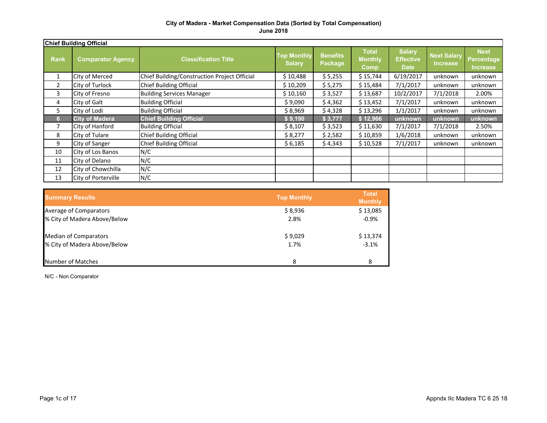#### **City of Madera - Market Compensation Data (Sorted by Total Compensation) June 2018**

|             | <b>Chief Building Official</b> |                                              |                                     |                            |                                               |                                                  |                                       |                                                     |
|-------------|--------------------------------|----------------------------------------------|-------------------------------------|----------------------------|-----------------------------------------------|--------------------------------------------------|---------------------------------------|-----------------------------------------------------|
| <b>Rank</b> | <b>Comparator Agency</b>       | <b>Classification Title</b>                  | <b>Top Monthly</b><br><b>Salary</b> | <b>Benefits</b><br>Package | <b>Total</b><br><b>Monthly</b><br><b>Comp</b> | <b>Salary</b><br><b>Effective</b><br><b>Date</b> | <b>Next Salary</b><br><b>Increase</b> | <b>Next</b><br><b>Percentage</b><br><b>Increase</b> |
| 1           | City of Merced                 | Chief Building/Construction Project Official | \$10,488                            | \$5,255                    | \$15,744                                      | 6/19/2017                                        | unknown                               | unknown                                             |
| 2           | City of Turlock                | Chief Building Official                      | \$10,209                            | \$5,275                    | \$15,484                                      | 7/1/2017                                         | unknown                               | unknown                                             |
| 3           | City of Fresno                 | <b>Building Services Manager</b>             | \$10,160                            | \$3,527                    | \$13,687                                      | 10/2/2017                                        | 7/1/2018                              | 2.00%                                               |
| 4           | City of Galt                   | <b>Building Official</b>                     | \$9,090                             | \$4,362                    | \$13,452                                      | 7/1/2017                                         | unknown                               | unknown                                             |
| 5.          | City of Lodi                   | <b>Building Official</b>                     | \$8,969                             | \$4,328                    | \$13,296                                      | 1/1/2017                                         | unknown                               | unknown                                             |
| 6           | <b>City of Madera</b>          | <b>Chief Building Official</b>               | \$9,190                             | \$3,777                    | \$12,966                                      | unknown                                          | unknown                               | unknown                                             |
| 7           | City of Hanford                | <b>Building Official</b>                     | \$8,107                             | \$3,523                    | \$11,630                                      | 7/1/2017                                         | 7/1/2018                              | 2.50%                                               |
| 8           | City of Tulare                 | Chief Building Official                      | \$8,277                             | \$2,582                    | \$10,859                                      | 1/6/2018                                         | unknown                               | unknown                                             |
| 9           | City of Sanger                 | Chief Building Official                      | \$6,185                             | \$4,343                    | \$10,528                                      | 7/1/2017                                         | unknown                               | unknown                                             |
| 10          | City of Los Banos              | N/C                                          |                                     |                            |                                               |                                                  |                                       |                                                     |
| 11          | City of Delano                 | N/C                                          |                                     |                            |                                               |                                                  |                                       |                                                     |
| 12          | City of Chowchilla             | N/C                                          |                                     |                            |                                               |                                                  |                                       |                                                     |
| 13          | City of Porterville            | N/C                                          |                                     |                            |                                               |                                                  |                                       |                                                     |

| <b>Summary Results</b>       | <b>Top Monthly</b> | <b>Total</b><br><b>Monthly</b> |
|------------------------------|--------------------|--------------------------------|
| Average of Comparators       | \$8,936            | \$13,085                       |
| % City of Madera Above/Below | 2.8%               | $-0.9%$                        |
| <b>Median of Comparators</b> | \$9,029            | \$13,374                       |
| % City of Madera Above/Below | 1.7%               | $-3.1%$                        |
| Number of Matches            | 8                  | 8                              |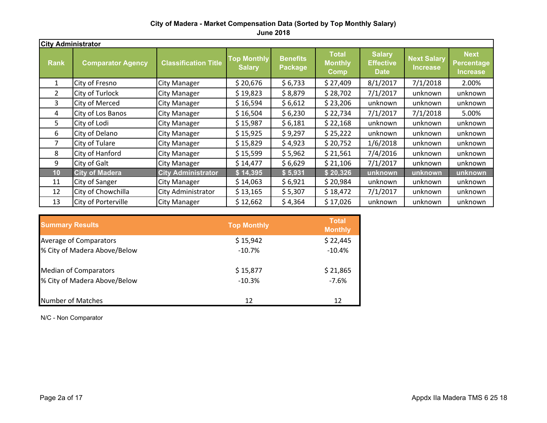#### **City of Madera - Market Compensation Data (Sorted by Top Monthly Salary) June 2018**

| <b>City Administrator</b> |                          |                             |                                     |                                   |                                               |                                                  |                                       |                                                     |
|---------------------------|--------------------------|-----------------------------|-------------------------------------|-----------------------------------|-----------------------------------------------|--------------------------------------------------|---------------------------------------|-----------------------------------------------------|
| <b>Rank</b>               | <b>Comparator Agency</b> | <b>Classification Title</b> | <b>Top Monthly</b><br><b>Salary</b> | <b>Benefits</b><br><b>Package</b> | <b>Total</b><br><b>Monthly</b><br><b>Comp</b> | <b>Salary</b><br><b>Effective</b><br><b>Date</b> | <b>Next Salary</b><br><b>Increase</b> | <b>Next</b><br><b>Percentage</b><br><b>Increase</b> |
| $\mathbf{1}$              | City of Fresno           | <b>City Manager</b>         | \$20,676                            | \$6,733                           | \$27,409                                      | 8/1/2017                                         | 7/1/2018                              | 2.00%                                               |
| $\overline{2}$            | <b>City of Turlock</b>   | <b>City Manager</b>         | \$19,823                            | \$8,879                           | \$28,702                                      | 7/1/2017                                         | unknown                               | unknown                                             |
| 3                         | <b>City of Merced</b>    | <b>City Manager</b>         | \$16,594                            | \$6,612                           | \$23,206                                      | unknown                                          | unknown                               | unknown                                             |
| 4                         | City of Los Banos        | <b>City Manager</b>         | \$16,504                            | \$6,230                           | \$22,734                                      | 7/1/2017                                         | 7/1/2018                              | 5.00%                                               |
| 5.                        | City of Lodi             | <b>City Manager</b>         | \$15,987                            | \$6,181                           | \$22,168                                      | unknown                                          | unknown                               | unknown                                             |
| 6                         | City of Delano           | <b>City Manager</b>         | \$15,925                            | \$9,297                           | \$25,222                                      | unknown                                          | unknown                               | unknown                                             |
| 7                         | City of Tulare           | <b>City Manager</b>         | \$15,829                            | \$4,923                           | \$20,752                                      | 1/6/2018                                         | unknown                               | unknown                                             |
| 8                         | City of Hanford          | <b>City Manager</b>         | \$15,599                            | \$5,962                           | \$21,561                                      | 7/4/2016                                         | unknown                               | unknown                                             |
| 9                         | City of Galt             | City Manager                | \$14,477                            | \$6,629                           | \$21,106                                      | 7/1/2017                                         | unknown                               | unknown                                             |
| 10                        | <b>City of Madera</b>    | <b>City Administrator</b>   | \$14,395                            | \$5,931                           | \$20,326                                      | unknown                                          | unknown                               | unknown                                             |
| 11                        | City of Sanger           | <b>City Manager</b>         | \$14,063                            | \$6,921                           | \$20,984                                      | unknown                                          | unknown                               | unknown                                             |
| 12                        | City of Chowchilla       | City Administrator          | \$13,165                            | \$5,307                           | \$18,472                                      | 7/1/2017                                         | unknown                               | unknown                                             |
| 13                        | City of Porterville      | <b>City Manager</b>         | \$12,662                            | \$4,364                           | \$17,026                                      | unknown                                          | unknown                               | unknown                                             |

| <b>Summary Results</b>       | <b>Top Monthly</b> | <b>Total</b><br><b>Monthly</b> |
|------------------------------|--------------------|--------------------------------|
| Average of Comparators       | \$15,942           | \$22,445                       |
| % City of Madera Above/Below | $-10.7%$           | $-10.4%$                       |
| <b>Median of Comparators</b> | \$15,877           | \$21,865                       |
| % City of Madera Above/Below | $-10.3%$           | $-7.6%$                        |
| <b>Number of Matches</b>     | 12                 | 12                             |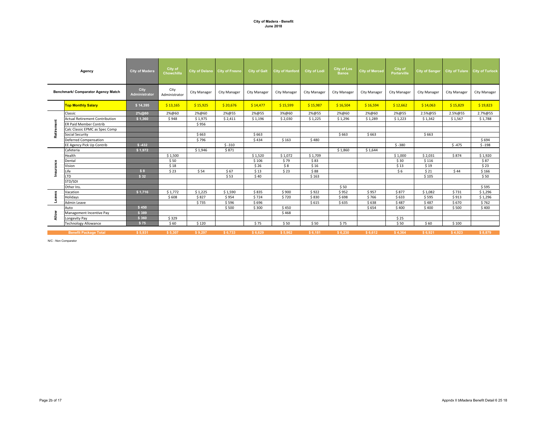#### **City of Madera - Benefit June 2018**

|            | Agency                                | <b>City of Madera</b> | City of<br>Chowchilla | <b>City of Delano</b> | <b>City of Fresno</b> | <b>City of Galt</b> | <b>City of Hanford</b> | <b>City of Lodi</b> | <b>City of Los</b><br><b>Banos</b> | <b>City of Merced</b> | City of<br>Porterville | <b>City of Sanger</b> | City of Tulare City of Turlock |                     |
|------------|---------------------------------------|-----------------------|-----------------------|-----------------------|-----------------------|---------------------|------------------------|---------------------|------------------------------------|-----------------------|------------------------|-----------------------|--------------------------------|---------------------|
|            | Benchmark/ Comparator Agency Match    | City<br>Administrator | City<br>Administrator | City Manager          | City Manager          | City Manager        | <b>City Manager</b>    | City Manager        | <b>City Manager</b>                | City Manager          | City Manager           | City Manager          | City Manager                   | <b>City Manager</b> |
|            | <b>Top Monthly Salary</b>             | \$14,395              | \$13,165              | \$15,925              | \$20,676              | \$14,477            | \$15,599               | \$15,987            | \$16,504                           | \$16,594              | \$12,662               | \$14,063              | \$15,829                       | \$19,823            |
|            | Classic                               | 2%@60                 | 2%@60                 | 2%@60                 | 2%@55                 | 2%@55               | 3%@60                  | 2%@55               | 2%@60                              | 2%@60                 | 2%@55                  | 2.5%@55               | 2.5%@55                        | 2.7%@55             |
|            | <b>Actual Retirement Contribution</b> | \$1,360               | \$948                 | \$1,975               | \$2,411               | \$1,196             | \$2,030                | \$1,225             | \$1,296                            | \$1,289               | \$1,223                | \$1,342               | \$1,567                        | \$1,788             |
| Retirement | <b>ER Paid Member Contrib</b>         |                       |                       | \$956                 |                       |                     |                        |                     |                                    |                       |                        |                       |                                |                     |
|            | Calc Classic EPMC as Spec Comp        |                       |                       |                       |                       |                     |                        |                     |                                    |                       |                        |                       |                                |                     |
|            | Social Security                       |                       |                       | \$663                 |                       | \$663               |                        |                     | \$663                              | \$663                 |                        | \$663                 |                                |                     |
|            | Deferred Compensation                 |                       |                       | \$796                 |                       | \$434               | \$163                  | \$480               |                                    |                       |                        |                       |                                | \$694               |
|            | EE Agency Pick Up Contrib             | $$ -432$              |                       |                       | $$ -310$              |                     |                        |                     |                                    |                       | $$ -380$               |                       | $$ -475$                       | $$ -198$            |
|            | Cafeteria                             | \$1,972               |                       | \$1,946               | \$871                 |                     |                        |                     | \$1,860                            | \$1,644               |                        |                       |                                |                     |
|            | Health                                |                       | \$1,500               |                       |                       | \$1,520             | \$1,072                | \$1,709             |                                    |                       | \$1,000                | \$2,031               | \$874                          | \$1,920             |
|            | Dental                                |                       | \$50                  |                       |                       | \$106               | \$79                   | \$83                |                                    |                       | \$30                   | \$116                 |                                | \$87                |
| Insuranc   | Vision                                |                       | \$18                  |                       |                       | \$26                | \$8                    | \$16                |                                    |                       | \$13                   | \$19                  |                                | \$23                |
|            | Life                                  | \$8                   | \$23                  | \$54                  | \$67                  | \$13                | \$23                   | \$88                |                                    |                       | \$6                    | \$21                  | \$44                           | \$166               |
|            | <b>LTD</b>                            | \$32                  |                       |                       | \$53                  | \$40                |                        | \$163               |                                    |                       |                        | \$105                 |                                | \$50                |
|            | STD/SDI                               |                       |                       |                       |                       |                     |                        |                     |                                    |                       |                        |                       |                                |                     |
|            | Other Ins.                            |                       |                       |                       |                       |                     |                        |                     | \$50                               |                       |                        |                       |                                | \$595               |
|            | Vacation                              | \$1,716               | \$1,772               | \$1,225               | \$1,590               | \$835               | \$900                  | \$922               | \$952                              | \$957                 | \$877                  | \$1,082               | \$731                          | \$1,296             |
|            | Holidays                              |                       | \$608                 | \$827                 | \$954                 | \$724               | \$720                  | \$830               | \$698                              | \$766                 | \$633                  | \$595                 | \$913                          | \$1,296             |
|            | Admin Leave                           |                       |                       | \$735                 | \$596                 | \$696               |                        | \$615               | \$635                              | \$638                 | \$487                  | \$487                 | \$670                          | \$762               |
|            | Auto                                  | \$450                 |                       |                       | \$500                 | \$300               | \$450                  |                     |                                    | \$654                 | \$400                  | \$400                 | \$500                          | \$400               |
| Allow      | Management Incentive Pay              | \$389                 |                       |                       |                       |                     | \$468                  |                     |                                    |                       |                        |                       |                                |                     |
|            | Longevity Pay                         | \$360                 | \$329                 |                       |                       |                     |                        |                     |                                    |                       | \$25                   |                       |                                |                     |
|            | <b>Technology Allowance</b>           | \$75                  | \$60                  | \$120                 |                       | \$75                | \$50                   | \$50                | \$75                               |                       | \$50                   | \$60                  | \$100                          |                     |
|            | <b>Benefit Package Total</b>          | \$5,931               | \$5,307               | \$9,297               | \$6,733               | \$6,629             | \$5,962                | \$6,181             | \$6.230                            | \$6,612               | \$4,364                | \$6.921               | \$4,923                        | \$8,879             |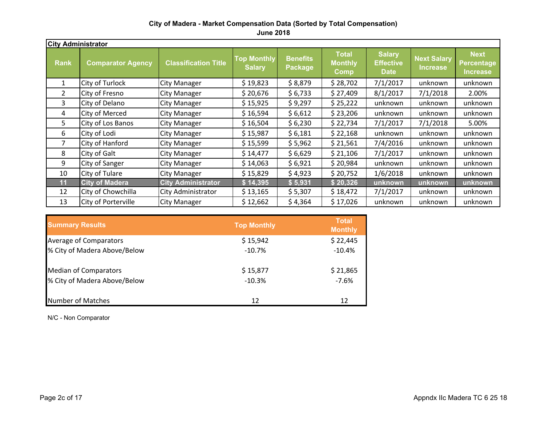### **City of Madera - Market Compensation Data (Sorted by Total Compensation)**

**June 2018**

| <b>City Administrator</b> |                          |                             |                                     |                                   |                                               |                                                  |                                |                                              |
|---------------------------|--------------------------|-----------------------------|-------------------------------------|-----------------------------------|-----------------------------------------------|--------------------------------------------------|--------------------------------|----------------------------------------------|
| <b>Rank</b>               | <b>Comparator Agency</b> | <b>Classification Title</b> | <b>Top Monthly</b><br><b>Salary</b> | <b>Benefits</b><br><b>Package</b> | <b>Total</b><br><b>Monthly</b><br><b>Comp</b> | <b>Salary</b><br><b>Effective</b><br><b>Date</b> | <b>Next Salary</b><br>Increase | <b>Next</b><br>Percentage<br><b>Increase</b> |
| $\mathbf{1}$              | City of Turlock          | <b>City Manager</b>         | \$19,823                            | \$8,879                           | \$28,702                                      | 7/1/2017                                         | unknown                        | unknown                                      |
| $\overline{2}$            | City of Fresno           | <b>City Manager</b>         | \$20,676                            | \$6,733                           | \$27,409                                      | 8/1/2017                                         | 7/1/2018                       | 2.00%                                        |
| 3                         | City of Delano           | <b>City Manager</b>         | \$15,925                            | \$9,297                           | \$25,222                                      | unknown                                          | unknown                        | unknown                                      |
| 4                         | <b>City of Merced</b>    | <b>City Manager</b>         | \$16,594                            | \$6,612                           | \$23,206                                      | unknown                                          | unknown                        | unknown                                      |
| 5.                        | City of Los Banos        | <b>City Manager</b>         | \$16,504                            | \$6,230                           | \$22,734                                      | 7/1/2017                                         | 7/1/2018                       | 5.00%                                        |
| 6                         | City of Lodi             | <b>City Manager</b>         | \$15,987                            | \$6,181                           | \$22,168                                      | unknown                                          | unknown                        | unknown                                      |
| 7                         | City of Hanford          | <b>City Manager</b>         | \$15,599                            | \$5,962                           | \$21,561                                      | 7/4/2016                                         | unknown                        | unknown                                      |
| 8                         | City of Galt             | <b>City Manager</b>         | \$14,477                            | \$6,629                           | \$21,106                                      | 7/1/2017                                         | unknown                        | unknown                                      |
| 9                         | City of Sanger           | <b>City Manager</b>         | \$14,063                            | \$6,921                           | \$20,984                                      | unknown                                          | unknown                        | unknown                                      |
| 10                        | City of Tulare           | <b>City Manager</b>         | \$15,829                            | \$4,923                           | \$20,752                                      | 1/6/2018                                         | unknown                        | unknown                                      |
| 11                        | <b>City of Madera</b>    | <b>City Administrator</b>   | \$14,395                            | \$5,931                           | \$20,326                                      | unknown                                          | unknown                        | unknown                                      |
| 12                        | City of Chowchilla       | City Administrator          | \$13,165                            | \$5,307                           | \$18,472                                      | 7/1/2017                                         | unknown                        | unknown                                      |
| 13                        | City of Porterville      | <b>City Manager</b>         | \$12,662                            | \$4,364                           | \$17,026                                      | unknown                                          | unknown                        | unknown                                      |

| <b>Summary Results</b>        | <b>Top Monthly</b> | <b>Total</b><br><b>Monthly</b> |
|-------------------------------|--------------------|--------------------------------|
| <b>Average of Comparators</b> | \$15,942           | \$22,445                       |
| % City of Madera Above/Below  | $-10.7%$           | $-10.4%$                       |
| <b>Median of Comparators</b>  | \$15,877           | \$21,865                       |
| % City of Madera Above/Below  | $-10.3%$           | $-7.6%$                        |
| Number of Matches             | 12                 | 12                             |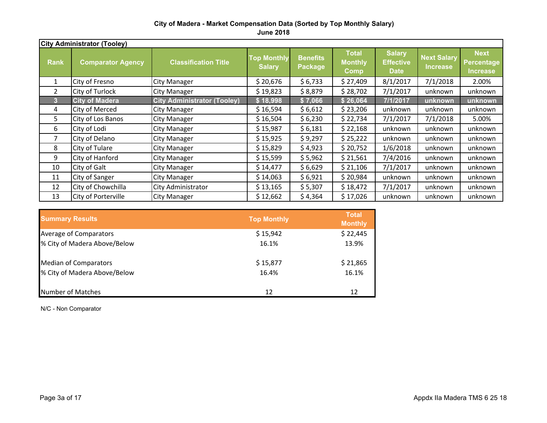#### **City of Madera - Market Compensation Data (Sorted by Top Monthly Salary) June 2018**

|              | <b>City Administrator (Tooley)</b> |                                    |                                     |                                   |                                               |                                                  |                                       |                                       |  |
|--------------|------------------------------------|------------------------------------|-------------------------------------|-----------------------------------|-----------------------------------------------|--------------------------------------------------|---------------------------------------|---------------------------------------|--|
| <b>Rank</b>  | <b>Comparator Agency</b>           | <b>Classification Title</b>        | <b>Top Monthly</b><br><b>Salary</b> | <b>Benefits</b><br><b>Package</b> | <b>Total</b><br><b>Monthly</b><br><b>Comp</b> | <b>Salary</b><br><b>Effective</b><br><b>Date</b> | <b>Next Salary</b><br><b>Increase</b> | <b>Next</b><br>Percentage<br>Increase |  |
| $\mathbf{1}$ | City of Fresno                     | <b>City Manager</b>                | \$20,676                            | \$6,733                           | \$27,409                                      | 8/1/2017                                         | 7/1/2018                              | 2.00%                                 |  |
| 2            | City of Turlock                    | <b>City Manager</b>                | \$19,823                            | \$8,879                           | \$28,702                                      | 7/1/2017                                         | unknown                               | unknown                               |  |
| 3            | <b>City of Madera</b>              | <b>City Administrator (Tooley)</b> | \$18,998                            | \$7,066                           | \$26,064                                      | 7/1/2017                                         | unknown                               | unknown                               |  |
| 4            | City of Merced                     | <b>City Manager</b>                | \$16,594                            | \$6,612                           | \$23,206                                      | unknown                                          | unknown                               | unknown                               |  |
| 5.           | City of Los Banos                  | <b>City Manager</b>                | \$16,504                            | \$6,230                           | \$22,734                                      | 7/1/2017                                         | 7/1/2018                              | 5.00%                                 |  |
| 6            | City of Lodi                       | <b>City Manager</b>                | \$15,987                            | \$6,181                           | \$22,168                                      | unknown                                          | unknown                               | unknown                               |  |
| 7            | City of Delano                     | <b>City Manager</b>                | \$15,925                            | \$9,297                           | \$25,222                                      | unknown                                          | unknown                               | unknown                               |  |
| 8            | City of Tulare                     | <b>City Manager</b>                | \$15,829                            | \$4,923                           | \$20,752                                      | 1/6/2018                                         | unknown                               | unknown                               |  |
| 9            | City of Hanford                    | <b>City Manager</b>                | \$15,599                            | \$5,962                           | \$21,561                                      | 7/4/2016                                         | unknown                               | unknown                               |  |
| 10           | City of Galt                       | <b>City Manager</b>                | \$14,477                            | \$6,629                           | \$21,106                                      | 7/1/2017                                         | unknown                               | unknown                               |  |
| 11           | City of Sanger                     | <b>City Manager</b>                | \$14,063                            | \$6,921                           | \$20,984                                      | unknown                                          | unknown                               | unknown                               |  |
| 12           | City of Chowchilla                 | City Administrator                 | \$13,165                            | \$5,307                           | \$18,472                                      | 7/1/2017                                         | unknown                               | unknown                               |  |
| 13           | City of Porterville                | City Manager                       | \$12,662                            | \$4,364                           | \$17,026                                      | unknown                                          | unknown                               | unknown                               |  |

| <b>Summary Results</b>       | <b>Top Monthly</b> | <b>Total</b><br><b>Monthly</b> |
|------------------------------|--------------------|--------------------------------|
| Average of Comparators       | \$15,942           | \$22,445                       |
| % City of Madera Above/Below | 16.1%              | 13.9%                          |
| <b>Median of Comparators</b> | \$15,877           | \$21,865                       |
| % City of Madera Above/Below | 16.4%              | 16.1%                          |
| Number of Matches            | 12                 | 12                             |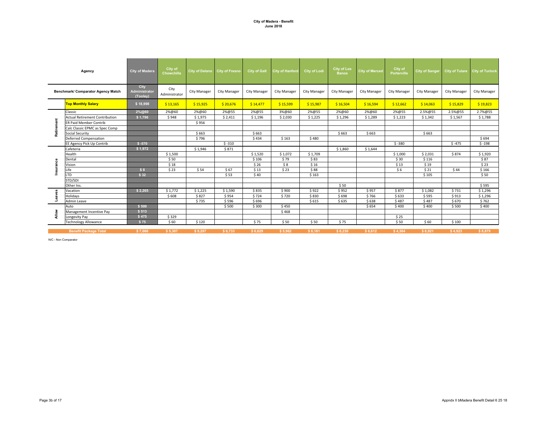#### **City of Madera - Benefit June 2018**

|           | Agency                                | <b>City of Madera</b>             | City of<br>Chowchilla | City of Delano City of Fresno |                     | <b>City of Galt</b> | <b>City of Hanford</b> | <b>City of Lodi</b> | <b>City of Los</b><br><b>Banos</b> | <b>City of Merced</b> | City of<br><b>Porterville</b> | City of Sanger      |              | City of Tulare City of Turlock |
|-----------|---------------------------------------|-----------------------------------|-----------------------|-------------------------------|---------------------|---------------------|------------------------|---------------------|------------------------------------|-----------------------|-------------------------------|---------------------|--------------|--------------------------------|
|           | Benchmark/ Comparator Agency Match    | City<br>Administrator<br>(Tooley) | City<br>Administrator | <b>City Manager</b>           | <b>City Manager</b> | <b>City Manager</b> | City Manager           | <b>City Manager</b> | City Manager                       | <b>City Manager</b>   | <b>City Manager</b>           | <b>City Manager</b> | City Manager | <b>City Manager</b>            |
|           | <b>Top Monthly Salary</b>             | \$18,998                          | \$13,165              | \$15,925                      | \$20,676            | \$14,477            | \$15,599               | \$15,987            | \$16,504                           | \$16,594              | \$12,662                      | \$14,063            | \$15,829     | \$19,823                       |
|           | Classic                               | 2%@60                             | 2%@60                 | 2%@60                         | 2%@55               | 2%@55               | 3%@60                  | 2%@55               | 2%@60                              | 2%@60                 | 2%@55                         | 2.5%@55             | 2.5%@55      | 2.7%@55                        |
|           | <b>Actual Retirement Contribution</b> | \$1,796                           | \$948                 | \$1,975                       | \$2,411             | \$1,196             | \$2,030                | \$1,225             | \$1,296                            | \$1,289               | \$1,223                       | \$1,342             | \$1,567      | \$1,788                        |
| ment      | <b>ER Paid Member Contrib</b>         |                                   |                       | \$956                         |                     |                     |                        |                     |                                    |                       |                               |                     |              |                                |
|           | Calc Classic EPMC as Spec Comp        |                                   |                       |                               |                     |                     |                        |                     |                                    |                       |                               |                     |              |                                |
| Retirer   | <b>Social Security</b>                |                                   |                       | \$663                         |                     | \$663               |                        |                     | \$663                              | \$663                 |                               | \$663               |              |                                |
|           | <b>Deferred Compensation</b>          |                                   |                       | \$796                         |                     | \$434               | \$163                  | \$480               |                                    |                       |                               |                     |              | \$694                          |
|           | EE Agency Pick Up Contrib             | $$ -570$                          |                       |                               | $$ -310$            |                     |                        |                     |                                    |                       | $$ -380$                      |                     | $$ -475$     | $$ -198$                       |
|           | Cafeteria                             | \$1,972                           |                       | \$1,946                       | \$871               |                     |                        |                     | \$1,860                            | \$1,644               |                               |                     |              |                                |
|           | Health                                |                                   | \$1,500               |                               |                     | \$1,520             | \$1,072                | \$1,709             |                                    |                       | \$1,000                       | \$2.031             | \$874        | \$1,920                        |
|           | Dental                                |                                   | \$50                  |                               |                     | \$106               | \$79                   | \$83                |                                    |                       | \$30                          | \$116               |              | \$87                           |
|           | Vision                                |                                   | \$18                  |                               |                     | \$26                | \$8                    | \$16                |                                    |                       | \$13                          | \$19                |              | \$23                           |
| Insurance | Life                                  | \$8                               | \$23                  | \$54                          | \$67                | \$13                | \$23                   | \$88                |                                    |                       | \$6                           | \$21                | \$44         | \$166                          |
|           | <b>LTD</b>                            | \$32                              |                       |                               | \$53                | \$40                |                        | \$163               |                                    |                       |                               | \$105               |              | \$50                           |
|           | STD/SDI                               |                                   |                       |                               |                     |                     |                        |                     |                                    |                       |                               |                     |              |                                |
|           | Other Ins.                            |                                   |                       |                               |                     |                     |                        |                     | \$50                               |                       |                               |                     |              | \$595                          |
|           | Vacation                              | \$2,265                           | \$1,772               | \$1,225                       | \$1,590             | \$835               | \$900                  | \$922               | \$952                              | \$957                 | \$877                         | \$1,082             | \$731        | \$1,296                        |
| Leaves    | Holidays                              |                                   | \$608                 | \$827                         | \$954               | \$724               | \$720                  | \$830               | \$698                              | \$766                 | \$633                         | \$595               | \$913        | \$1,296                        |
|           | Admin Leave                           |                                   |                       | \$735                         | \$596               | \$696               |                        | \$615               | \$635                              | \$638                 | \$487                         | \$487               | \$670        | \$762                          |
|           | Auto                                  | \$500                             |                       |                               | \$500               | \$300               | \$450                  |                     |                                    | \$654                 | \$400                         | \$400               | \$500        | \$400                          |
| Allow     | Management Incentive Pay              | \$513                             |                       |                               |                     |                     | \$468                  |                     |                                    |                       |                               |                     |              |                                |
|           | Longevity Pay                         | \$475                             | \$329                 |                               |                     |                     |                        |                     |                                    |                       | \$25                          |                     |              |                                |
|           | <b>Technology Allowance</b>           | \$75                              | \$60                  | \$120                         |                     | \$75                | \$50                   | \$50                | \$75                               |                       | \$50                          | \$60                | \$100        |                                |
|           | <b>Benefit Package Total</b>          | \$7,066                           | \$5,307               | \$9.297                       | \$6,733             | \$6,629             | \$5,962                | \$6,181             | \$6.230                            | \$6,612               | \$4,364                       | \$6.921             | \$4,923      | \$8.879                        |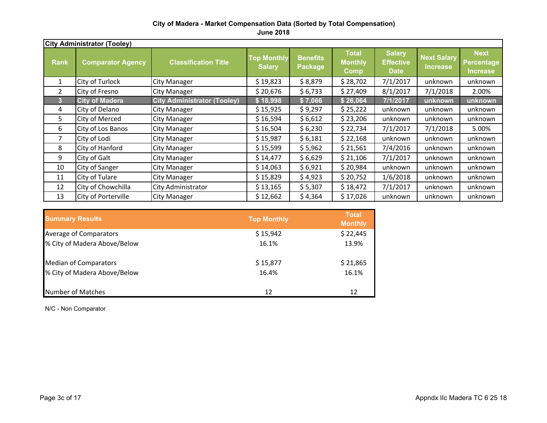#### **City of Madera - Market Compensation Data (Sorted by Total Compensation)**

**June 2018**

|                | <b>City Administrator (Tooley)</b> |                                    |                                     |                            |                                               |                                                  |                                       |                                                     |  |
|----------------|------------------------------------|------------------------------------|-------------------------------------|----------------------------|-----------------------------------------------|--------------------------------------------------|---------------------------------------|-----------------------------------------------------|--|
| <b>Rank</b>    | <b>Comparator Agency</b>           | <b>Classification Title</b>        | <b>Top Monthly</b><br><b>Salary</b> | <b>Benefits</b><br>Package | <b>Total</b><br><b>Monthly</b><br><b>Comp</b> | <b>Salary</b><br><b>Effective</b><br><b>Date</b> | <b>Next Salary</b><br><b>Increase</b> | <b>Next</b><br><b>Percentage</b><br><b>Increase</b> |  |
| $\mathbf{1}$   | City of Turlock                    | <b>City Manager</b>                | \$19,823                            | \$8,879                    | \$28,702                                      | 7/1/2017                                         | unknown                               | unknown                                             |  |
| $\overline{2}$ | City of Fresno                     | <b>City Manager</b>                | \$20,676                            | \$6,733                    | \$27,409                                      | 8/1/2017                                         | 7/1/2018                              | 2.00%                                               |  |
| 3              | <b>City of Madera</b>              | <b>City Administrator (Tooley)</b> | <u>s 18,998 </u>                    | \$7,066                    | \$26,064                                      | 7/1/2017                                         | <u>lunknown</u>                       | unknown                                             |  |
| 4              | City of Delano                     | <b>City Manager</b>                | \$15,925                            | \$9,297                    | \$25,222                                      | unknown                                          | unknown                               | unknown                                             |  |
| 5.             | City of Merced                     | <b>City Manager</b>                | \$16,594                            | \$6,612                    | \$23,206                                      | unknown                                          | unknown                               | unknown                                             |  |
| 6              | City of Los Banos                  | <b>City Manager</b>                | \$16,504                            | \$6,230                    | \$22,734                                      | 7/1/2017                                         | 7/1/2018                              | 5.00%                                               |  |
| 7              | City of Lodi                       | <b>City Manager</b>                | \$15,987                            | \$6,181                    | \$22,168                                      | unknown                                          | unknown                               | unknown                                             |  |
| 8              | City of Hanford                    | <b>City Manager</b>                | \$15,599                            | \$5,962                    | \$21,561                                      | 7/4/2016                                         | unknown                               | unknown                                             |  |
| 9              | City of Galt                       | <b>City Manager</b>                | \$14,477                            | \$6,629                    | \$21,106                                      | 7/1/2017                                         | unknown                               | unknown                                             |  |
| 10             | City of Sanger                     | <b>City Manager</b>                | \$14,063                            | \$6,921                    | \$20,984                                      | unknown                                          | unknown                               | unknown                                             |  |
| 11             | City of Tulare                     | <b>City Manager</b>                | \$15,829                            | \$4,923                    | \$20,752                                      | 1/6/2018                                         | unknown                               | unknown                                             |  |
| 12             | City of Chowchilla                 | City Administrator                 | \$13,165                            | \$5,307                    | \$18,472                                      | 7/1/2017                                         | unknown                               | unknown                                             |  |
| 13             | City of Porterville                | <b>City Manager</b>                | \$12,662                            | \$4,364                    | \$17,026                                      | unknown                                          | unknown                               | unknown                                             |  |

| <b>Summary Results</b>       | <b>Top Monthly</b> | <b>Total</b><br><b>Monthly</b> |
|------------------------------|--------------------|--------------------------------|
| Average of Comparators       | \$15,942           | \$22,445                       |
| % City of Madera Above/Below | 16.1%              | 13.9%                          |
| <b>Median of Comparators</b> | \$15,877           | \$21,865                       |
| % City of Madera Above/Below | 16.4%              | 16.1%                          |
| Number of Matches            | 12                 | 12                             |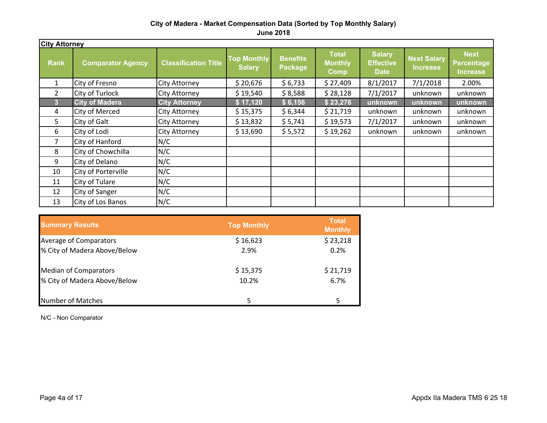#### **City of Madera - Market Compensation Data (Sorted by Top Monthly Salary) June 2018**

|                | <b>City Attorney</b>     |                             |                                     |                                   |                                        |                                                  |                                       |                                                     |  |
|----------------|--------------------------|-----------------------------|-------------------------------------|-----------------------------------|----------------------------------------|--------------------------------------------------|---------------------------------------|-----------------------------------------------------|--|
| <b>Rank</b>    | <b>Comparator Agency</b> | <b>Classification Title</b> | <b>Top Monthly</b><br><b>Salary</b> | <b>Benefits</b><br><b>Package</b> | <b>Total</b><br><b>Monthly</b><br>Comp | <b>Salary</b><br><b>Effective</b><br><b>Date</b> | <b>Next Salary</b><br><b>Increase</b> | <b>Next</b><br><b>Percentage</b><br><b>Increase</b> |  |
| $\mathbf{1}$   | City of Fresno           | <b>City Attorney</b>        | \$20,676                            | \$6,733                           | \$27,409                               | 8/1/2017                                         | 7/1/2018                              | 2.00%                                               |  |
| $\overline{2}$ | City of Turlock          | <b>City Attorney</b>        | \$19,540                            | \$8,588                           | \$28,128                               | 7/1/2017                                         | unknown                               | unknown                                             |  |
| 3              | <b>City of Madera</b>    | <b>City Attorney</b>        | \$17,120                            | \$6,156                           | \$23,276                               | unknown                                          | unknown                               | unknown                                             |  |
| 4              | City of Merced           | <b>City Attorney</b>        | \$15,375                            | \$6,344                           | \$21,719                               | unknown                                          | unknown                               | unknown                                             |  |
| 5              | City of Galt             | <b>City Attorney</b>        | \$13,832                            | \$5,741                           | \$19,573                               | 7/1/2017                                         | unknown                               | unknown                                             |  |
| 6              | City of Lodi             | <b>City Attorney</b>        | \$13,690                            | \$5,572                           | \$19,262                               | unknown                                          | unknown                               | unknown                                             |  |
| 7              | City of Hanford          | N/C                         |                                     |                                   |                                        |                                                  |                                       |                                                     |  |
| 8              | City of Chowchilla       | N/C                         |                                     |                                   |                                        |                                                  |                                       |                                                     |  |
| 9              | City of Delano           | N/C                         |                                     |                                   |                                        |                                                  |                                       |                                                     |  |
| 10             | City of Porterville      | N/C                         |                                     |                                   |                                        |                                                  |                                       |                                                     |  |
| 11             | City of Tulare           | N/C                         |                                     |                                   |                                        |                                                  |                                       |                                                     |  |
| 12             | City of Sanger           | N/C                         |                                     |                                   |                                        |                                                  |                                       |                                                     |  |
| 13             | City of Los Banos        | N/C                         |                                     |                                   |                                        |                                                  |                                       |                                                     |  |

| <b>Summary Results</b>       | <b>Top Monthly</b> | <b>Total</b><br><b>Monthly</b> |
|------------------------------|--------------------|--------------------------------|
| Average of Comparators       | \$16,623           | \$23,218                       |
| % City of Madera Above/Below | 2.9%               | 0.2%                           |
| <b>Median of Comparators</b> | \$15,375           | \$21,719                       |
| % City of Madera Above/Below | 10.2%              | 6.7%                           |
| Number of Matches            |                    | 5                              |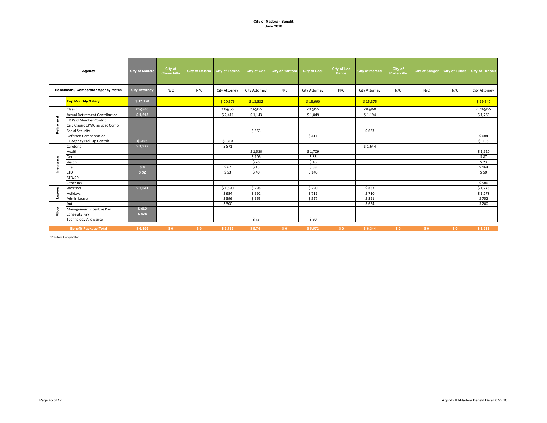#### **City of Madera - Benefit June 2018**

| Agency                             |                                       | City of Madera       | City of<br>Chowchilla | City of Delano City of Fresno |               | <b>City of Galt</b> | <b>City of Hanford</b> | <b>City of Lodi</b> | <b>City of Los</b><br><b>Banos</b> | <b>City of Merced</b> | City of<br><b>Porterville</b> | City of Sanger |     | City of Tulare City of Turlock |
|------------------------------------|---------------------------------------|----------------------|-----------------------|-------------------------------|---------------|---------------------|------------------------|---------------------|------------------------------------|-----------------------|-------------------------------|----------------|-----|--------------------------------|
| Benchmark/ Comparator Agency Match |                                       | <b>City Attorney</b> | N/C                   | N/C                           | City Attorney | City Attorney       | N/C                    | City Attorney       | N/C                                | City Attorney         | N/C                           | N/C            | N/C | City Attorney                  |
|                                    | <b>Top Monthly Salary</b>             | \$17,120             |                       |                               | \$20,676      | \$13,832            |                        | \$13,690            |                                    | \$15,375              |                               |                |     | \$19,540                       |
|                                    | Classic                               | 2%@60                |                       |                               | 2%@55         | 2%@55               |                        | 2%@55               |                                    | 2%@60                 |                               |                |     | 2.7%@55                        |
|                                    | <b>Actual Retirement Contribution</b> | \$1,618              |                       |                               | \$2,411       | \$1,143             |                        | \$1,049             |                                    | \$1,194               |                               |                |     | \$1,763                        |
|                                    | <b>ER Paid Member Contrib</b>         |                      |                       |                               |               |                     |                        |                     |                                    |                       |                               |                |     |                                |
|                                    | Calc Classic EPMC as Spec Comp        |                      |                       |                               |               |                     |                        |                     |                                    |                       |                               |                |     |                                |
| Retirement                         | <b>Social Security</b>                |                      |                       |                               |               | \$663               |                        |                     |                                    | \$663                 |                               |                |     |                                |
|                                    | Deferred Compensation                 |                      |                       |                               |               |                     |                        | \$411               |                                    |                       |                               |                |     | \$684                          |
|                                    | EE Agency Pick Up Contrib             | $$ -406$             |                       |                               | $$ -310$      |                     |                        |                     |                                    |                       |                               |                |     | $$ -195$                       |
|                                    | Cafeteria                             | \$1,972              |                       |                               | \$871         |                     |                        |                     |                                    | \$1,644               |                               |                |     |                                |
|                                    | Health                                |                      |                       |                               |               | \$1,520             |                        | \$1,709             |                                    |                       |                               |                |     | \$1,920                        |
|                                    | Dental                                |                      |                       |                               |               | \$106               |                        | \$83                |                                    |                       |                               |                |     | \$87                           |
| nsurance                           | Vision                                |                      |                       |                               |               | \$26                |                        | \$16                |                                    |                       |                               |                |     | \$23                           |
|                                    | Life                                  | \$8                  |                       |                               | \$67          | \$13                |                        | \$88                |                                    |                       |                               |                |     | \$164                          |
|                                    | <b>LTD</b>                            | \$32                 |                       |                               | \$53          | \$40                |                        | \$140               |                                    |                       |                               |                |     | \$50                           |
|                                    | STD/SDI                               |                      |                       |                               |               |                     |                        |                     |                                    |                       |                               |                |     |                                |
|                                    | Other Ins.                            |                      |                       |                               |               |                     |                        |                     |                                    |                       |                               |                |     | \$586                          |
|                                    | Vacation                              | \$2,041              |                       |                               | \$1,590       | \$798               |                        | \$790               |                                    | \$887                 |                               |                |     | \$1,278                        |
| Leaves                             | Holidays                              |                      |                       |                               | \$954         | \$692               |                        | \$711               |                                    | \$710                 |                               |                |     | \$1,278                        |
|                                    | Admin Leave                           |                      |                       |                               | \$596         | \$665               |                        | \$527               |                                    | \$591                 |                               |                |     | \$752                          |
|                                    | Auto                                  |                      |                       |                               | \$500         |                     |                        |                     |                                    | \$654                 |                               |                |     | \$200                          |
| Allow                              | Management Incentive Pay              | \$462                |                       |                               |               |                     |                        |                     |                                    |                       |                               |                |     |                                |
|                                    | Longevity Pay                         | \$428                |                       |                               |               |                     |                        |                     |                                    |                       |                               |                |     |                                |
|                                    | <b>Technology Allowance</b>           |                      |                       |                               |               | \$75                |                        | \$50                |                                    |                       |                               |                |     |                                |
|                                    |                                       |                      |                       |                               |               |                     |                        |                     |                                    |                       |                               |                |     |                                |
|                                    | <b>Benefit Package Total</b>          | \$6,156              | \$0                   | \$0                           | \$6,733       | \$5,741             | \$0                    | \$5,572             | \$0                                | \$6,344               | \$0                           | \$0            | \$0 | \$8,588                        |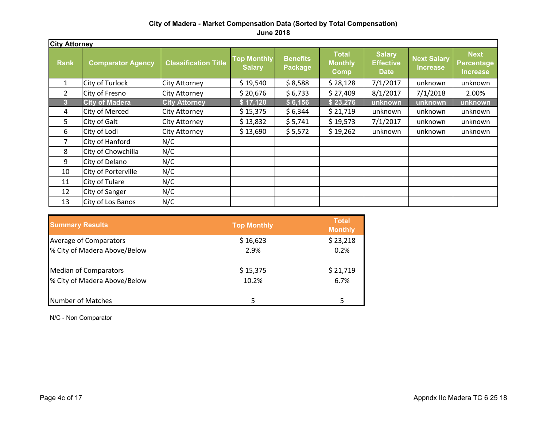### **City of Madera - Market Compensation Data (Sorted by Total Compensation)**

**June 2018**

|             | <b>City Attorney</b>     |                             |                                     |                                   |                                               |                                                  |                                |                                              |  |  |  |  |  |
|-------------|--------------------------|-----------------------------|-------------------------------------|-----------------------------------|-----------------------------------------------|--------------------------------------------------|--------------------------------|----------------------------------------------|--|--|--|--|--|
| <b>Rank</b> | <b>Comparator Agency</b> | <b>Classification Title</b> | <b>Top Monthly</b><br><b>Salary</b> | <b>Benefits</b><br><b>Package</b> | <b>Total</b><br><b>Monthly</b><br><b>Comp</b> | <b>Salary</b><br><b>Effective</b><br><b>Date</b> | <b>Next Salary</b><br>Increase | <b>Next</b><br>Percentage<br><b>Increase</b> |  |  |  |  |  |
|             | City of Turlock          | <b>City Attorney</b>        | \$19,540                            | \$8,588                           | \$28,128                                      | 7/1/2017                                         | unknown                        | unknown                                      |  |  |  |  |  |
| 2           | City of Fresno           | <b>City Attorney</b>        | \$20,676                            | \$6,733                           | \$27,409                                      | 8/1/2017                                         | 7/1/2018                       | 2.00%                                        |  |  |  |  |  |
| 3           | <b>City of Madera</b>    | <b>City Attorney</b>        | \$17,120                            | \$6,156                           | \$23,276                                      | unknown                                          | unknown                        | unknown                                      |  |  |  |  |  |
| 4           | City of Merced           | <b>City Attorney</b>        | \$15,375                            | \$6,344                           | \$21,719                                      | unknown                                          | unknown                        | unknown                                      |  |  |  |  |  |
| 5           | City of Galt             | <b>City Attorney</b>        | \$13,832                            | \$5,741                           | \$19,573                                      | 7/1/2017                                         | unknown                        | unknown                                      |  |  |  |  |  |
| 6           | City of Lodi             | City Attorney               | \$13,690                            | \$5,572                           | \$19,262                                      | unknown                                          | unknown                        | unknown                                      |  |  |  |  |  |
| 7           | City of Hanford          | N/C                         |                                     |                                   |                                               |                                                  |                                |                                              |  |  |  |  |  |
| 8           | City of Chowchilla       | N/C                         |                                     |                                   |                                               |                                                  |                                |                                              |  |  |  |  |  |
| 9           | City of Delano           | N/C                         |                                     |                                   |                                               |                                                  |                                |                                              |  |  |  |  |  |
| 10          | City of Porterville      | N/C                         |                                     |                                   |                                               |                                                  |                                |                                              |  |  |  |  |  |
| 11          | City of Tulare           | N/C                         |                                     |                                   |                                               |                                                  |                                |                                              |  |  |  |  |  |
| 12          | City of Sanger           | N/C                         |                                     |                                   |                                               |                                                  |                                |                                              |  |  |  |  |  |
| 13          | City of Los Banos        | N/C                         |                                     |                                   |                                               |                                                  |                                |                                              |  |  |  |  |  |

| <b>Summary Results</b>       | <b>Top Monthly</b> | <b>Total</b><br><b>Monthly</b> |
|------------------------------|--------------------|--------------------------------|
| Average of Comparators       | \$16,623           | \$23,218                       |
| % City of Madera Above/Below | 2.9%               | 0.2%                           |
| <b>Median of Comparators</b> | \$15,375           | \$21,719                       |
| % City of Madera Above/Below | 10.2%              | 6.7%                           |
| <b>Number of Matches</b>     | 5                  | 5                              |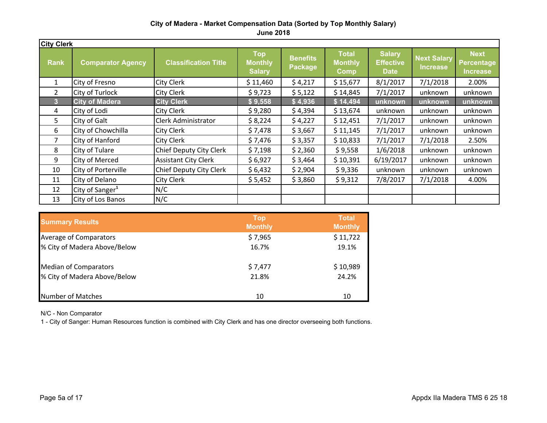#### **City of Madera - Market Compensation Data (Sorted by Top Monthly Salary) June 2018**

| <b>City Clerk</b> |                             |                             |                                               |                            |                                               |                                                  |                                       |                                              |  |  |  |  |
|-------------------|-----------------------------|-----------------------------|-----------------------------------------------|----------------------------|-----------------------------------------------|--------------------------------------------------|---------------------------------------|----------------------------------------------|--|--|--|--|
| <b>Rank</b>       | <b>Comparator Agency</b>    | <b>Classification Title</b> | <b>Top</b><br><b>Monthly</b><br><b>Salary</b> | <b>Benefits</b><br>Package | <b>Total</b><br><b>Monthly</b><br><b>Comp</b> | <b>Salary</b><br><b>Effective</b><br><b>Date</b> | <b>Next Salary</b><br><b>Increase</b> | <b>Next</b><br>Percentage<br><b>Increase</b> |  |  |  |  |
| $\mathbf{1}$      | City of Fresno              | <b>City Clerk</b>           | \$11,460                                      | \$4,217                    | \$15,677                                      | 8/1/2017                                         | 7/1/2018                              | 2.00%                                        |  |  |  |  |
| $\overline{2}$    | City of Turlock             | <b>City Clerk</b>           | \$9,723                                       | \$5,122                    | \$14,845                                      | 7/1/2017                                         | unknown                               | unknown                                      |  |  |  |  |
| 3                 | <b>City of Madera</b>       | <b>City Clerk</b>           | \$9,558                                       | \$4,936                    | \$14,494                                      | unknown                                          | unknown                               | unknown                                      |  |  |  |  |
| 4                 | City of Lodi                | <b>City Clerk</b>           | \$9,280                                       | \$4,394                    | \$13,674                                      | unknown                                          | unknown                               | unknown                                      |  |  |  |  |
| 5                 | City of Galt                | Clerk Administrator         | \$8,224                                       | \$4,227                    | \$12,451                                      | 7/1/2017                                         | unknown                               | unknown                                      |  |  |  |  |
| 6                 | City of Chowchilla          | <b>City Clerk</b>           | \$7,478                                       | \$3,667                    | \$11,145                                      | 7/1/2017                                         | unknown                               | unknown                                      |  |  |  |  |
| $\overline{7}$    | City of Hanford             | <b>City Clerk</b>           | \$7,476                                       | \$3,357                    | \$10,833                                      | 7/1/2017                                         | 7/1/2018                              | 2.50%                                        |  |  |  |  |
| 8                 | City of Tulare              | Chief Deputy City Clerk     | \$7,198                                       | \$2,360                    | \$9,558                                       | 1/6/2018                                         | unknown                               | unknown                                      |  |  |  |  |
| 9                 | <b>City of Merced</b>       | <b>Assistant City Clerk</b> | \$6,927                                       | \$3,464                    | \$10,391                                      | 6/19/2017                                        | unknown                               | unknown                                      |  |  |  |  |
| 10                | City of Porterville         | Chief Deputy City Clerk     | \$6,432                                       | \$2,904                    | \$9,336                                       | unknown                                          | unknown                               | unknown                                      |  |  |  |  |
| 11                | City of Delano              | <b>City Clerk</b>           | \$5,452                                       | \$3,860                    | \$9,312                                       | 7/8/2017                                         | 7/1/2018                              | 4.00%                                        |  |  |  |  |
| 12                | City of Sanger <sup>1</sup> | N/C                         |                                               |                            |                                               |                                                  |                                       |                                              |  |  |  |  |
| 13                | City of Los Banos           | N/C                         |                                               |                            |                                               |                                                  |                                       |                                              |  |  |  |  |

| <b>Summary Results</b>        | <b>Top</b><br><b>Monthly</b> | <b>Total</b><br><b>Monthly</b> |
|-------------------------------|------------------------------|--------------------------------|
| <b>Average of Comparators</b> | \$7,965                      | \$11,722                       |
| % City of Madera Above/Below  | 16.7%                        | 19.1%                          |
| <b>Median of Comparators</b>  | \$7,477                      | \$10,989                       |
| % City of Madera Above/Below  | 21.8%                        | 24.2%                          |
| Number of Matches             | 10                           | 10                             |

N/C - Non Comparator

1 - City of Sanger: Human Resources function is combined with City Clerk and has one director overseeing both functions.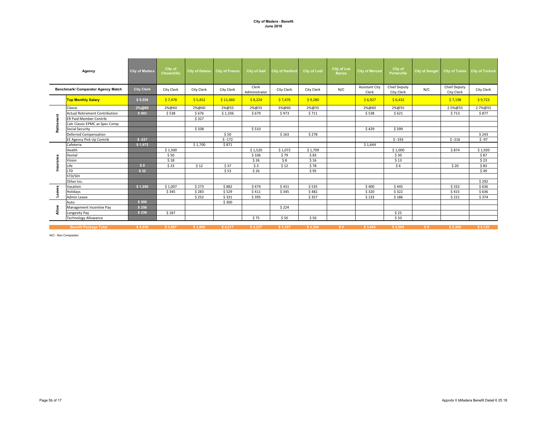#### **City of Madera - Benefit June 2018**

| Agency                             |                                       | <b>City of Madera</b> | City of<br><b>Chowchilla</b> | City of Delano City of Fresno |            | <b>City of Galt</b>    | <b>City of Hanford</b> | <b>City of Lodi</b> | <b>City of Los</b><br><b>Banos</b> | <b>City of Merced</b>          | City of<br>Porterville            | City of Sanger |                                   | City of Tulare City of Turlock |
|------------------------------------|---------------------------------------|-----------------------|------------------------------|-------------------------------|------------|------------------------|------------------------|---------------------|------------------------------------|--------------------------------|-----------------------------------|----------------|-----------------------------------|--------------------------------|
| Benchmark/ Comparator Agency Match |                                       | <b>City Clerk</b>     | City Clerk                   | City Clerk                    | City Clerk | Clerk<br>Administrator | City Clerk             | City Clerk          | N/C                                | <b>Assistant City</b><br>Clerk | <b>Chief Deputy</b><br>City Clerk | N/C            | <b>Chief Deputy</b><br>City Clerk | City Clerk                     |
|                                    | <b>Top Monthly Salary</b>             | \$9,558               | \$7,478                      | \$5,452                       | \$11,460   | \$8,224                | \$7,476                | \$9,280             |                                    | \$6,927                        | \$6,432                           |                | \$7,198                           | \$9,723                        |
|                                    | Classic                               | 2%@60                 | 2%@60                        | 2%@60                         | 2%@55      | 2%@55                  | 3%@60                  | 2%@55               |                                    | 2%@60                          | 2%@55                             |                | 2.5%@55                           | 2.7%@55                        |
|                                    | <b>Actual Retirement Contribution</b> | \$903                 | \$538                        | \$676                         | \$1,336    | \$679                  | \$973                  | \$711               |                                    | \$538                          | \$621                             |                | \$713                             | \$877                          |
|                                    | <b>ER Paid Member Contrib</b>         |                       |                              | \$327                         |            |                        |                        |                     |                                    |                                |                                   |                |                                   |                                |
| Retire                             | Calc Classic EPMC as Spec Comp        |                       |                              |                               |            |                        |                        |                     |                                    |                                |                                   |                |                                   |                                |
|                                    | <b>Social Security</b>                |                       |                              | \$338                         |            | \$510                  |                        |                     |                                    | \$429                          | \$399                             |                |                                   |                                |
|                                    | <b>Deferred Compensation</b>          |                       |                              |                               | \$50       |                        | \$163                  | \$278               |                                    |                                |                                   |                |                                   | \$243                          |
|                                    | EE Agency Pick Up Contrib             | $$ -227$              |                              |                               | $$ -172$   |                        |                        |                     |                                    |                                | $$ -193$                          |                | $$ -216$                          | $$ -97$                        |
|                                    | Cafeteria                             | \$1,972               |                              | \$1,700                       | \$871      |                        |                        |                     |                                    | \$1,644                        |                                   |                |                                   |                                |
|                                    | Health                                |                       | \$1,500                      |                               |            | \$1,520                | \$1.072                | \$1.709             |                                    |                                | \$1,000                           |                | \$874                             | \$1,920                        |
|                                    | Dental                                |                       | \$50                         |                               |            | \$106                  | \$79                   | \$83                |                                    |                                | \$30                              |                |                                   | \$87                           |
| Insurance                          | Vision                                |                       | \$18                         |                               |            | \$26                   | \$8                    | \$16                |                                    |                                | \$13                              |                |                                   | \$23                           |
|                                    | Life                                  | \$8                   | \$23                         | \$12                          | \$37       | \$3                    | \$12                   | \$78                |                                    |                                | \$6                               |                | \$20                              | \$83                           |
|                                    | LTD                                   | \$32                  |                              |                               | \$53       | \$26                   |                        | \$95                |                                    |                                |                                   |                |                                   | \$49                           |
|                                    | STD/SDI                               |                       |                              |                               |            |                        |                        |                     |                                    |                                |                                   |                |                                   |                                |
|                                    | Other Ins.                            |                       |                              |                               |            |                        |                        |                     |                                    |                                |                                   |                |                                   | \$292                          |
| 8                                  | Vacation                              | \$1,250               | \$1,007                      | \$273                         | \$882      | \$474                  | \$431                  | \$535               |                                    | \$400                          | \$445                             |                | \$332                             | \$636                          |
| Leav                               | Holidays                              |                       | \$345                        | \$283                         | \$529      | \$411                  | \$345                  | \$482               |                                    | \$320                          | \$322                             |                | \$415                             | \$636                          |
|                                    | Admin Leave                           |                       |                              | \$252                         | \$331      | \$395                  |                        | \$357               |                                    | \$133                          | \$186                             |                | \$221                             | \$374                          |
|                                    | Auto                                  | \$500                 |                              |                               | \$300      |                        |                        |                     |                                    |                                |                                   |                |                                   |                                |
| Allow                              | Management Incentive Pay              | \$258                 |                              |                               |            |                        | \$224                  |                     |                                    |                                |                                   |                |                                   |                                |
|                                    | Longevity Pay                         | \$239                 | \$187                        |                               |            |                        |                        |                     |                                    |                                | \$25                              |                |                                   |                                |
|                                    | <b>Technology Allowance</b>           |                       |                              |                               |            | \$75                   | \$50                   | \$50                |                                    |                                | \$50                              |                |                                   |                                |
|                                    | <b>Benefit Package Total</b>          | \$4.936               | \$3,667                      | \$3,860                       | \$4,217    | \$4,227                | \$3,357                | \$4,394             | S <sub>0</sub>                     | \$3,464                        | \$2,904                           | S <sub>0</sub> | \$2.360                           | \$5.122                        |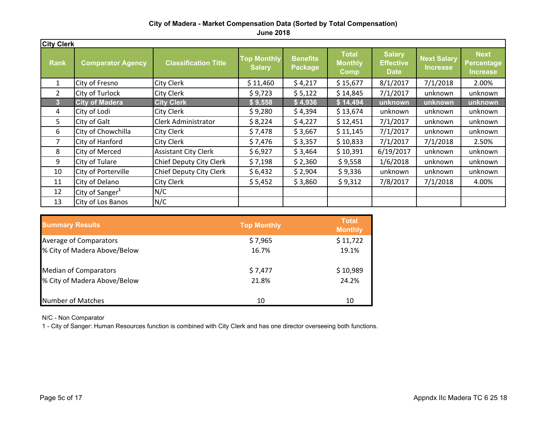**June 2018**

| <b>City Clerk</b> |                             |                             |                                     |                            |                                               |                                                  |                                       |                                                     |
|-------------------|-----------------------------|-----------------------------|-------------------------------------|----------------------------|-----------------------------------------------|--------------------------------------------------|---------------------------------------|-----------------------------------------------------|
| <b>Rank</b>       | <b>Comparator Agency</b>    | <b>Classification Title</b> | <b>Top Monthly</b><br><b>Salary</b> | <b>Benefits</b><br>Package | <b>Total</b><br><b>Monthly</b><br><b>Comp</b> | <b>Salary</b><br><b>Effective</b><br><b>Date</b> | <b>Next Salary</b><br><b>Increase</b> | <b>Next</b><br><b>Percentage</b><br><b>Increase</b> |
| 1                 | City of Fresno              | City Clerk                  | \$11,460                            | \$4,217                    | \$15,677                                      | 8/1/2017                                         | 7/1/2018                              | 2.00%                                               |
| $\overline{2}$    | City of Turlock             | <b>City Clerk</b>           | \$9,723                             | \$5,122                    | \$14,845                                      | 7/1/2017                                         | unknown                               | unknown                                             |
| $\overline{3}$    | <b>City of Madera</b>       | <b>City Clerk</b>           | \$9,558                             | \$4,936                    | \$14,494                                      | unknown                                          | unknown                               | unknown                                             |
| 4                 | City of Lodi                | City Clerk                  | \$9,280                             | \$4,394                    | \$13,674                                      | unknown                                          | unknown                               | unknown                                             |
| 5                 | City of Galt                | Clerk Administrator         | \$8,224                             | \$4,227                    | \$12,451                                      | 7/1/2017                                         | unknown                               | unknown                                             |
| 6                 | City of Chowchilla          | City Clerk                  | \$7,478                             | \$3,667                    | \$11,145                                      | 7/1/2017                                         | unknown                               | unknown                                             |
| 7                 | City of Hanford             | <b>City Clerk</b>           | \$7,476                             | \$3,357                    | \$10,833                                      | 7/1/2017                                         | 7/1/2018                              | 2.50%                                               |
| 8                 | City of Merced              | <b>Assistant City Clerk</b> | \$6,927                             | \$3,464                    | \$10,391                                      | 6/19/2017                                        | unknown                               | unknown                                             |
| 9                 | City of Tulare              | Chief Deputy City Clerk     | \$7,198                             | \$2,360                    | \$9,558                                       | 1/6/2018                                         | unknown                               | unknown                                             |
| 10                | City of Porterville         | Chief Deputy City Clerk     | \$6,432                             | \$2,904                    | \$9,336                                       | unknown                                          | unknown                               | unknown                                             |
| 11                | City of Delano              | City Clerk                  | \$5,452                             | \$3,860                    | \$9,312                                       | 7/8/2017                                         | 7/1/2018                              | 4.00%                                               |
| 12                | City of Sanger <sup>1</sup> | N/C                         |                                     |                            |                                               |                                                  |                                       |                                                     |
| 13                | City of Los Banos           | N/C                         |                                     |                            |                                               |                                                  |                                       |                                                     |

| <b>Summary Results</b>       | <b>Top Monthly</b> | <b>Total</b><br><b>Monthly</b> |
|------------------------------|--------------------|--------------------------------|
| Average of Comparators       | \$7,965            | \$11,722                       |
| % City of Madera Above/Below | 16.7%              | 19.1%                          |
| <b>Median of Comparators</b> | \$7,477            | \$10,989                       |
| % City of Madera Above/Below | 21.8%              | 24.2%                          |
| Number of Matches            | 10                 | 10                             |

N/C - Non Comparator

1 - City of Sanger: Human Resources function is combined with City Clerk and has one director overseeing both functions.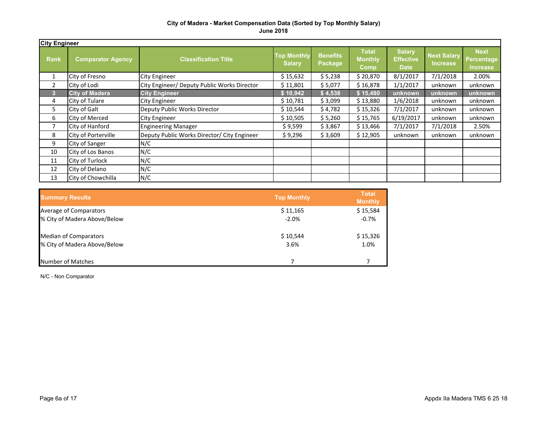| <b>City Engineer</b> |                          |                                             |                                     |                                   |                                        |                                                  |                                       |                                       |
|----------------------|--------------------------|---------------------------------------------|-------------------------------------|-----------------------------------|----------------------------------------|--------------------------------------------------|---------------------------------------|---------------------------------------|
| <b>Rank</b>          | <b>Comparator Agency</b> | <b>Classification Title</b>                 | <b>Top Monthly</b><br><b>Salary</b> | <b>Benefits</b><br><b>Package</b> | <b>Total</b><br><b>Monthly</b><br>Comp | <b>Salary</b><br><b>Effective</b><br><b>Date</b> | <b>Next Salary</b><br><b>Increase</b> | <b>Next</b><br>Percentage<br>Increase |
| 1                    | City of Fresno           | <b>City Engineer</b>                        | \$15,632                            | \$5,238                           | \$20,870                               | 8/1/2017                                         | 7/1/2018                              | 2.00%                                 |
| 2                    | City of Lodi             | City Engineer/ Deputy Public Works Director | \$11,801                            | \$5,077                           | \$16,878                               | 1/1/2017                                         | unknown                               | unknown                               |
| з                    | <b>City of Madera</b>    | <b>City Engineer</b>                        | \$10,942                            | \$4,538                           | \$15,480                               | unknown                                          | unknown                               | unknown                               |
| 4                    | City of Tulare           | <b>City Engineer</b>                        | \$10,781                            | \$3,099                           | \$13,880                               | 1/6/2018                                         | unknown                               | unknown                               |
| 5                    | City of Galt             | Deputy Public Works Director                | \$10,544                            | \$4,782                           | \$15,326                               | 7/1/2017                                         | unknown                               | unknown                               |
| 6                    | <b>City of Merced</b>    | <b>City Engineer</b>                        | \$10,505                            | \$5,260                           | \$15,765                               | 6/19/2017                                        | unknown                               | unknown                               |
| 7                    | City of Hanford          | <b>Engineering Manager</b>                  | \$9,599                             | \$3,867                           | \$13,466                               | 7/1/2017                                         | 7/1/2018                              | 2.50%                                 |
| 8                    | City of Porterville      | Deputy Public Works Director/ City Engineer | \$9,296                             | \$3,609                           | \$12,905                               | unknown                                          | unknown                               | unknown                               |
| 9                    | City of Sanger           | N/C                                         |                                     |                                   |                                        |                                                  |                                       |                                       |
| 10                   | City of Los Banos        | N/C                                         |                                     |                                   |                                        |                                                  |                                       |                                       |
| 11                   | City of Turlock          | N/C                                         |                                     |                                   |                                        |                                                  |                                       |                                       |
| 12                   | City of Delano           | N/C                                         |                                     |                                   |                                        |                                                  |                                       |                                       |
| 13                   | City of Chowchilla       | N/C                                         |                                     |                                   |                                        |                                                  |                                       |                                       |

| <b>Summary Results</b>       | <b>Top Monthly</b> | <b>Total</b><br><b>Monthly</b> |
|------------------------------|--------------------|--------------------------------|
| Average of Comparators       | \$11,165           | \$15,584                       |
| % City of Madera Above/Below | $-2.0%$            | $-0.7%$                        |
| <b>Median of Comparators</b> | \$10,544           | \$15,326                       |
| % City of Madera Above/Below | 3.6%               | 1.0%                           |
| Number of Matches            |                    |                                |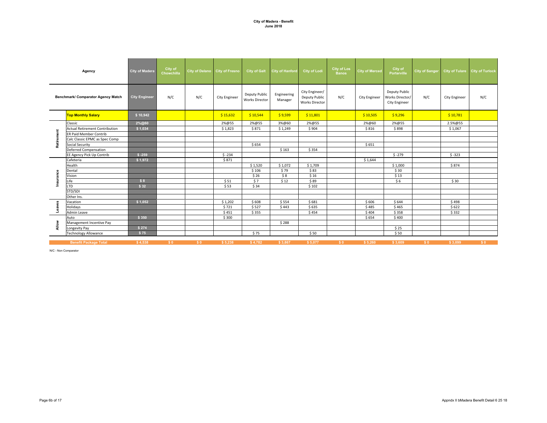|            | Agency                                | <b>City of Madera</b> | City of<br>Chowchilla | City of Delano City of Fresno |                      | <b>City of Galt</b>                    | <b>City of Hanford</b> | <b>City of Lodi</b>                                      | <b>City of Los</b><br><b>Banos</b> | <b>City of Merced</b> | City of<br><b>Porterville</b>                            | <b>City of Sanger</b> |                      | City of Tulare City of Turlock |
|------------|---------------------------------------|-----------------------|-----------------------|-------------------------------|----------------------|----------------------------------------|------------------------|----------------------------------------------------------|------------------------------------|-----------------------|----------------------------------------------------------|-----------------------|----------------------|--------------------------------|
|            | Benchmark/ Comparator Agency Match    | <b>City Engineer</b>  | N/C                   | N/C                           | <b>City Engineer</b> | Deputy Public<br><b>Works Director</b> | Engineering<br>Manager | City Engineer/<br>Deputy Public<br><b>Works Director</b> | N/C                                | <b>City Engineer</b>  | Deputy Public<br>Works Director/<br><b>City Engineer</b> | N/C                   | <b>City Engineer</b> | N/C                            |
|            | <b>Top Monthly Salary</b>             | \$10,942              |                       |                               | \$15,632             | \$10,544                               | \$9,599                | \$11,801                                                 |                                    | \$10,505              | \$9,296                                                  |                       | \$10,781             |                                |
|            | Classic                               | 2%@60                 |                       |                               | 2%@55                | 2%@55                                  | 3%@60                  | 2%@55                                                    |                                    | 2%@60                 | 2%@55                                                    |                       | 2.5%@55              |                                |
|            | <b>Actual Retirement Contribution</b> | \$1,034               |                       |                               | \$1,823              | \$871                                  | \$1,249                | \$904                                                    |                                    | \$816                 | \$898                                                    |                       | \$1,067              |                                |
|            | <b>ER Paid Member Contrib</b>         |                       |                       |                               |                      |                                        |                        |                                                          |                                    |                       |                                                          |                       |                      |                                |
| Retirement | Calc Classic EPMC as Spec Comp        |                       |                       |                               |                      |                                        |                        |                                                          |                                    |                       |                                                          |                       |                      |                                |
|            | Social Security                       |                       |                       |                               |                      | \$654                                  |                        |                                                          |                                    | \$651                 |                                                          |                       |                      |                                |
|            | <b>Deferred Compensation</b>          |                       |                       |                               |                      |                                        | \$163                  | \$354                                                    |                                    |                       |                                                          |                       |                      |                                |
|            | EE Agency Pick Up Contrib             | $$ -259$              |                       |                               | $$ -234$             |                                        |                        |                                                          |                                    |                       | $$ -279$                                                 |                       | $$ -323$             |                                |
|            | Cafeteria                             | \$1,972               |                       |                               | \$871                |                                        |                        |                                                          |                                    | \$1,644               |                                                          |                       |                      |                                |
|            | Health                                |                       |                       |                               |                      | \$1,520                                | \$1,072                | \$1,709                                                  |                                    |                       | \$1,000                                                  |                       | \$874                |                                |
|            | Dental                                |                       |                       |                               |                      | \$106                                  | \$79                   | \$83                                                     |                                    |                       | \$30                                                     |                       |                      |                                |
| Insurance  | Vision                                |                       |                       |                               |                      | \$26                                   | \$8                    | \$16                                                     |                                    |                       | \$13                                                     |                       |                      |                                |
|            | Life                                  | \$8                   |                       |                               | \$51                 | \$7                                    | \$12                   | \$89                                                     |                                    |                       | \$6                                                      |                       | \$30                 |                                |
|            | <b>LTD</b>                            | \$32                  |                       |                               | \$53                 | \$34                                   |                        | \$102                                                    |                                    |                       |                                                          |                       |                      |                                |
|            | STD/SDI                               |                       |                       |                               |                      |                                        |                        |                                                          |                                    |                       |                                                          |                       |                      |                                |
|            | Other Ins.                            |                       |                       |                               |                      |                                        |                        |                                                          |                                    |                       |                                                          |                       |                      |                                |
|            | Vacation                              | \$1,052               |                       |                               | \$1,202              | \$608                                  | \$554                  | \$681                                                    |                                    | \$606                 | \$644                                                    |                       | \$498                |                                |
| Leaves     | Holidays                              |                       |                       |                               | \$721                | \$527                                  | \$443                  | \$635                                                    |                                    | \$485                 | \$465                                                    |                       | \$622                |                                |
|            | <b>Admin Leave</b>                    |                       |                       |                               | \$451                | \$355                                  |                        | \$454                                                    |                                    | \$404                 | \$358                                                    |                       | \$332                |                                |
|            | Auto                                  | \$350                 |                       |                               | \$300                |                                        |                        |                                                          |                                    | \$654                 | \$400                                                    |                       |                      |                                |
| Allow      | Management Incentive Pay              |                       |                       |                               |                      |                                        | \$288                  |                                                          |                                    |                       |                                                          |                       |                      |                                |
|            | Longevity Pay                         | \$274                 |                       |                               |                      |                                        |                        |                                                          |                                    |                       | \$25                                                     |                       |                      |                                |
|            | <b>Technology Allowance</b>           | \$75                  |                       |                               |                      | \$75                                   |                        | \$50                                                     |                                    |                       | \$50                                                     |                       |                      |                                |
|            |                                       |                       |                       |                               |                      |                                        |                        |                                                          |                                    |                       |                                                          |                       |                      |                                |

\$4,538 \$0 \$0 \$5,238 \$4,782 \$3,867 \$5,077 \$0 \$5,260 \$3,609 \$0 \$3,099 \$0 **Benefit Package Total**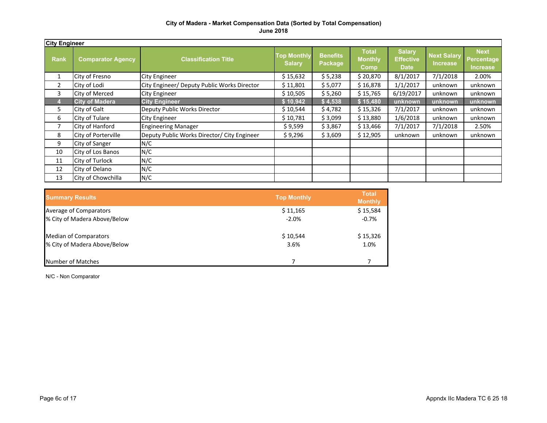| <b>City Engineer</b> |                          |                                             |                                     |                            |                                        |                                                  |                                       |                                              |
|----------------------|--------------------------|---------------------------------------------|-------------------------------------|----------------------------|----------------------------------------|--------------------------------------------------|---------------------------------------|----------------------------------------------|
| <b>Rank</b>          | <b>Comparator Agency</b> | <b>Classification Title</b>                 | <b>Top Monthly</b><br><b>Salary</b> | <b>Benefits</b><br>Package | <b>Total</b><br><b>Monthly</b><br>Comp | <b>Salary</b><br><b>Effective</b><br><b>Date</b> | <b>Next Salary</b><br><b>Increase</b> | <b>Next</b><br>Percentage<br><b>Increase</b> |
| 1                    | City of Fresno           | <b>City Engineer</b>                        | \$15,632                            | \$5,238                    | \$20,870                               | 8/1/2017                                         | 7/1/2018                              | 2.00%                                        |
| 2                    | City of Lodi             | City Engineer/ Deputy Public Works Director | \$11,801                            | \$5,077                    | \$16,878                               | 1/1/2017                                         | unknown                               | unknown                                      |
| 3                    | City of Merced           | <b>City Engineer</b>                        | \$10,505                            | \$5,260                    | \$15,765                               | 6/19/2017                                        | unknown                               | unknown                                      |
|                      | <b>City of Madera</b>    | <b>City Engineer</b>                        | \$10,942                            | \$4,538                    | \$15,480                               | unknown                                          | unknown                               | unknown                                      |
| 5                    | City of Galt             | Deputy Public Works Director                | \$10,544                            | \$4,782                    | \$15,326                               | 7/1/2017                                         | unknown                               | unknown                                      |
| 6                    | City of Tulare           | <b>City Engineer</b>                        | \$10,781                            | \$3,099                    | \$13,880                               | 1/6/2018                                         | unknown                               | unknown                                      |
| 7                    | City of Hanford          | <b>Engineering Manager</b>                  | \$9,599                             | \$3,867                    | \$13,466                               | 7/1/2017                                         | 7/1/2018                              | 2.50%                                        |
| 8                    | City of Porterville      | Deputy Public Works Director/ City Engineer | \$9,296                             | \$3,609                    | \$12,905                               | unknown                                          | unknown                               | unknown                                      |
| 9                    | City of Sanger           | N/C                                         |                                     |                            |                                        |                                                  |                                       |                                              |
| 10                   | City of Los Banos        | N/C                                         |                                     |                            |                                        |                                                  |                                       |                                              |
| 11                   | City of Turlock          | N/C                                         |                                     |                            |                                        |                                                  |                                       |                                              |
| 12                   | City of Delano           | N/C                                         |                                     |                            |                                        |                                                  |                                       |                                              |
| 13                   | City of Chowchilla       | N/C                                         |                                     |                            |                                        |                                                  |                                       |                                              |

| <b>Summary Results</b>       | <b>Top Monthly</b> | <b>Total</b><br><b>Monthly</b> |
|------------------------------|--------------------|--------------------------------|
| Average of Comparators       | \$11,165           | \$15,584                       |
| % City of Madera Above/Below | $-2.0%$            | $-0.7%$                        |
| <b>Median of Comparators</b> | \$10,544           | \$15,326                       |
| % City of Madera Above/Below | 3.6%               | 1.0%                           |
| Number of Matches            |                    |                                |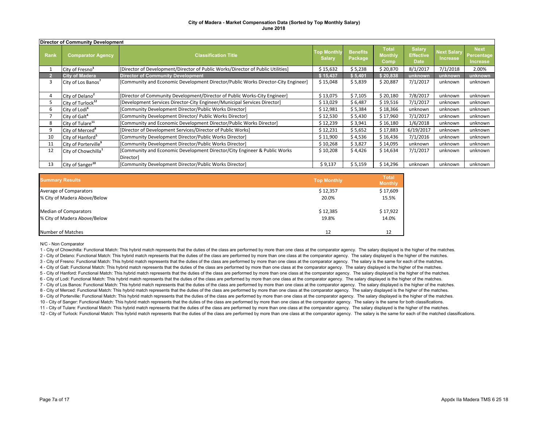|      | Director of Community Development |                                                                                        |                                     |                            |                                        |                                                  |                                       |                                              |  |  |
|------|-----------------------------------|----------------------------------------------------------------------------------------|-------------------------------------|----------------------------|----------------------------------------|--------------------------------------------------|---------------------------------------|----------------------------------------------|--|--|
| Rank | <b>Comparator Agency</b>          | <b>Classification Title</b>                                                            | <b>Top Monthly</b><br><b>Salary</b> | <b>Benefits</b><br>Package | <b>Total</b><br><b>Monthly</b><br>Comp | <b>Salary</b><br><b>Effective</b><br><b>Date</b> | <b>Next Salary</b><br><b>Increase</b> | <b>Next</b><br>Percentage<br><b>Increase</b> |  |  |
|      | City of Fresno <sup>3</sup>       | [Director of Development/Director of Public Works/Director of Public Utilities]        | \$15,632                            | \$5,238                    | \$20,870                               | 8/1/2017                                         | 7/1/2018                              | 2.00%                                        |  |  |
|      | <b>City of Madera</b>             | <b>Director of Community Development</b>                                               | \$15,437                            | \$5,401                    | \$20,838                               | unknown                                          | unknown                               | unknown                                      |  |  |
| 3    | City of Los Banos <sup>7</sup>    | [Community and Economic Development Director/Public Works Director-City Engineer]      | \$15,048                            | \$5,839                    | \$20,887                               | 7/1/2017                                         | unknown                               | unknown                                      |  |  |
| 4    | City of Delano <sup>2</sup>       | [Director of Community Development/Director of Public Works-City Engineer]             | \$13,075                            | \$7,105                    | \$20,180                               | 7/8/2017                                         | unknown                               | unknown                                      |  |  |
|      | City of Turlock <sup>12</sup>     | [Development Services Director-City Engineer/Municipal Services Director]              | \$13,029                            | \$6,487                    | \$19,516                               | 7/1/2017                                         | unknown                               | unknown                                      |  |  |
| 6    | City of Lodi <sup>6</sup>         | [Community Development Director/Public Works Director]                                 | \$12,981                            | \$5,384                    | \$18,366                               | unknown                                          | unknown                               | unknown                                      |  |  |
|      | City of Galt <sup>4</sup>         | [Community Development Director/ Public Works Director]                                | \$12,530                            | \$5,430                    | \$17,960                               | 7/1/2017                                         | unknown                               | unknown                                      |  |  |
| 8    | City of Tulare <sup>11</sup>      | [Community and Economic Development Director/Public Works Director]                    | \$12,239                            | \$3,941                    | \$16,180                               | 1/6/2018                                         | unknown                               | unknown                                      |  |  |
| 9    | City of Merced <sup>8</sup>       | [Director of Development Services/Director of Public Works]                            | \$12,231                            | \$5,652                    | \$17,883                               | 6/19/2017                                        | unknown                               | unknown                                      |  |  |
| 10   | City of Hanford <sup>5</sup>      | [Community Development Director/Public Works Director]                                 | \$11,900                            | \$4,536                    | \$16,436                               | 7/1/2016                                         | unknown                               | unknown                                      |  |  |
| 11   | City of Porterville <sup>9</sup>  | [Community Development Director/Public Works Director]                                 | \$10,268                            | \$3,827                    | \$14,095                               | unknown                                          | unknown                               | unknown                                      |  |  |
| 12   | City of Chowchilla <sup>1</sup>   | [Community and Economic Development Director/City Engineer & Public Works<br>Director] | \$10,208                            | \$4,426                    | \$14,634                               | 7/1/2017                                         | unknown                               | unknown                                      |  |  |
| 13   | City of Sanger <sup>10</sup>      | [Community Development Director/Public Works Director]                                 | \$9,137                             | \$5,159                    | \$14,296                               | unknown                                          | unknown                               | unknown                                      |  |  |

| <b>Summary Results</b>       | <b>Top Monthly</b> | <b>Total</b><br><b>Monthly</b> |
|------------------------------|--------------------|--------------------------------|
| Average of Comparators       | \$12,357           | \$17,609                       |
| % City of Madera Above/Below | 20.0%              | 15.5%                          |
| <b>Median of Comparators</b> | \$12,385           | \$17,922                       |
| % City of Madera Above/Below | 19.8%              | 14.0%                          |
| <b>Number of Matches</b>     | 12                 | 12                             |

#### N/C - Non Comparator

1 - City of Chowchilla: Functional Match: This hybrid match represents that the duties of the class are performed by more than one class at the comparator agency. The salary displayed is the higher of the matches. 2 - City of Delano: Functional Match: This hybrid match represents that the duties of the class are performed by more than one class at the comparator agency. The salary displayed is the higher of the matches. 3 - City of Fresno: Functional Match: This hybrid match represents that the duties of the class are performed by more than one class at the comparator agency. The salary is the same for each of the matches. 4 - City of Galt: Functional Match: This hybrid match represents that the duties of the class are performed by more than one class at the comparator agency. The salary displayed is the higher of the matches. 5 - City of Hanford: Functional Match: This hybrid match represents that the duties of the class are performed by more than one class at the comparator agency. The salary displayed is the higher of the matches. 11 - City of Tulare: Functional Match: This hybrid match represents that the duties of the class are performed by more than one class at the comparator agency. The salary displayed is the higher of the matches. 12 - City of Turlock: Functional Match: This hybrid match represents that the duties of the class are performed by more than one class at the comparator agency. The salary is the same for each of the matched classifications. 6 - City of Lodi: Functional Match: This hybrid match represents that the duties of the class are performed by more than one class at the comparator agency. The salary displayed is the higher of the matches. 7 - City of Los Banos: Functional Match: This hybrid match represents that the duties of the class are performed by more than one class at the comparator agency. The salary displayed is the higher of the matches. 8 - City of Merced: Functional Match: This hybrid match represents that the duties of the class are performed by more than one class at the comparator agency. The salary displayed is the higher of the matches. 9 - City of Porterville: Functional Match: This hybrid match represents that the duties of the class are performed by more than one class at the comparator agency. The salary displayed is the higher of the matches. 10 - City of Sanger: Functional Match: This hybrid match represents that the duties of the class are performed by more than one class at the comparator agency. The salary is the same for both classifications.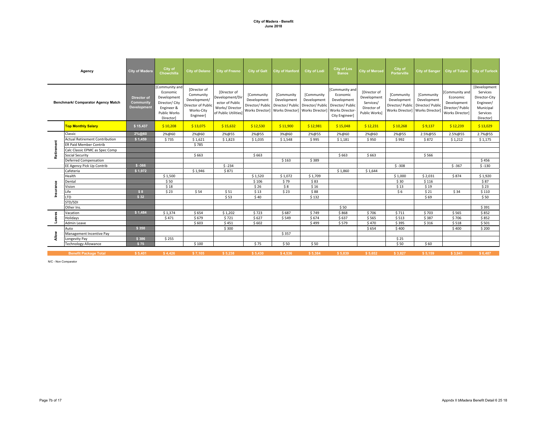|            | Agency                                | <b>City of Madera</b>                   | City of<br>Chowchilla                                                                                              | <b>City of Delano</b>                                                                      | <b>City of Fresno</b>                                                                       | <b>City of Galt</b>                                              | <b>City of Hanford</b>                                                                            | <b>City of Lodi</b>       | <b>City of Los</b><br><b>Banos</b>                                                               | <b>City of Merced</b>                                                    | City of<br><b>Porterville</b>                                    | <b>City of Sanger</b>                                           |                                                                                  | City of Tulare City of Turlock                                                               |
|------------|---------------------------------------|-----------------------------------------|--------------------------------------------------------------------------------------------------------------------|--------------------------------------------------------------------------------------------|---------------------------------------------------------------------------------------------|------------------------------------------------------------------|---------------------------------------------------------------------------------------------------|---------------------------|--------------------------------------------------------------------------------------------------|--------------------------------------------------------------------------|------------------------------------------------------------------|-----------------------------------------------------------------|----------------------------------------------------------------------------------|----------------------------------------------------------------------------------------------|
|            | Benchmark/ Comparator Agency Match    | Director of<br>Community<br>Development | Community and<br>Economic<br>Development<br>Director/ City<br>Engineer &<br><b>Public Works</b><br><b>Director</b> | [Director of<br>Community<br>Development/<br>Director of Public<br>Works-City<br>Engineer] | Director of<br>Development/Dir<br>ector of Public<br>Works/Director<br>of Public Utilities] | [Community<br>Development<br>Director/ Public<br>Works Director] | [Community<br>Development<br>Director/ Public Director/ Public<br>Works Director] Works Director] | [Community<br>Development | Community and<br>Economic<br>Development<br>Director/ Public<br>Works Director<br>City Engineer] | [Director of<br>Development<br>Services/<br>Director of<br>Public Works] | [Community<br>Development<br>Director/ Public<br>Works Director] | [Community<br>Development<br>Director/ Public<br>Works Director | [Community and<br>Economic<br>Development<br>Director/ Public<br>Works Director] | [Development<br>Services<br>Director-City<br>Engineer/<br>Municipal<br>Services<br>Director] |
|            | <b>Top Monthly Salary</b>             | \$15,437                                | \$10,208                                                                                                           | \$13,075                                                                                   | \$15,632                                                                                    | \$12,530                                                         | \$11,900                                                                                          | \$12,981                  | \$15,048                                                                                         | \$12,231                                                                 | \$10,268                                                         | \$9,137                                                         | \$12,239                                                                         | \$13,029                                                                                     |
|            | Classic                               | 2%@60                                   | 2%@60                                                                                                              | 2%@60                                                                                      | 2%@55                                                                                       | 2%@55                                                            | 3%@60                                                                                             | 2%@55                     | 2%@60                                                                                            | 2%@60                                                                    | 2%@55                                                            | 2.5%@55                                                         | 2.5%@55                                                                          | 2.7%@55                                                                                      |
| Retirement | <b>Actual Retirement Contribution</b> | \$1,459                                 | \$735                                                                                                              | \$1,621                                                                                    | \$1,823                                                                                     | \$1,035                                                          | \$1,548                                                                                           | \$995                     | \$1,181                                                                                          | \$950                                                                    | \$992                                                            | \$872                                                           | \$1,212                                                                          | \$1,175                                                                                      |
|            | <b>ER Paid Member Contrib</b>         |                                         |                                                                                                                    | \$785                                                                                      |                                                                                             |                                                                  |                                                                                                   |                           |                                                                                                  |                                                                          |                                                                  |                                                                 |                                                                                  |                                                                                              |
|            | Calc Classic EPMC as Spec Comp        |                                         |                                                                                                                    |                                                                                            |                                                                                             |                                                                  |                                                                                                   |                           |                                                                                                  |                                                                          |                                                                  |                                                                 |                                                                                  |                                                                                              |
|            | <b>Social Security</b>                |                                         |                                                                                                                    | \$663                                                                                      |                                                                                             | \$663                                                            |                                                                                                   |                           | \$663                                                                                            | \$663                                                                    |                                                                  | \$566                                                           |                                                                                  |                                                                                              |
|            | Deferred Compensation                 |                                         |                                                                                                                    |                                                                                            |                                                                                             |                                                                  | \$163                                                                                             | \$389                     |                                                                                                  |                                                                          |                                                                  |                                                                 |                                                                                  | \$456                                                                                        |
|            | EE Agency Pick Up Contrib             | $$ -366$                                |                                                                                                                    |                                                                                            | $$ -234$                                                                                    |                                                                  |                                                                                                   |                           |                                                                                                  |                                                                          | $$ -308$                                                         |                                                                 | $$ -367$                                                                         | $$ -130$                                                                                     |
|            | Cafeteria                             | \$1,972                                 |                                                                                                                    | \$1,946                                                                                    | \$871                                                                                       |                                                                  |                                                                                                   |                           | \$1,860                                                                                          | \$1,644                                                                  |                                                                  |                                                                 |                                                                                  |                                                                                              |
|            | Health                                |                                         | \$1,500                                                                                                            |                                                                                            |                                                                                             | \$1,520                                                          | \$1,072                                                                                           | \$1,709                   |                                                                                                  |                                                                          | \$1,000                                                          | \$2,031                                                         | \$874                                                                            | \$1,920                                                                                      |
|            | Dental                                |                                         | \$50                                                                                                               |                                                                                            |                                                                                             | \$106                                                            | \$79                                                                                              | \$83                      |                                                                                                  |                                                                          | \$30                                                             | \$116                                                           |                                                                                  | \$87                                                                                         |
| nsurance   | Vision                                |                                         | \$18                                                                                                               |                                                                                            |                                                                                             | \$26                                                             | \$8                                                                                               | \$16                      |                                                                                                  |                                                                          | \$13                                                             | \$19                                                            |                                                                                  | \$23                                                                                         |
|            | Life                                  | \$8                                     | \$23                                                                                                               | \$54                                                                                       | \$51                                                                                        | \$13                                                             | \$23                                                                                              | \$88                      |                                                                                                  |                                                                          | \$6                                                              | \$21                                                            | \$34                                                                             | \$110                                                                                        |
|            | <b>LTD</b>                            | \$32                                    |                                                                                                                    |                                                                                            | \$53                                                                                        | \$40                                                             |                                                                                                   | \$132                     |                                                                                                  |                                                                          |                                                                  | \$69                                                            |                                                                                  | \$50                                                                                         |
|            | STD/SDI                               |                                         |                                                                                                                    |                                                                                            |                                                                                             |                                                                  |                                                                                                   |                           |                                                                                                  |                                                                          |                                                                  |                                                                 |                                                                                  |                                                                                              |
|            | Other Ins.                            |                                         |                                                                                                                    |                                                                                            |                                                                                             |                                                                  |                                                                                                   |                           | \$50                                                                                             |                                                                          |                                                                  |                                                                 |                                                                                  | \$391                                                                                        |
| Leaves     | Vacation                              | \$1,484                                 | \$1,374                                                                                                            | \$654                                                                                      | \$1,202                                                                                     | \$723                                                            | \$687                                                                                             | \$749                     | \$868                                                                                            | \$706                                                                    | \$711                                                            | \$703                                                           | \$565                                                                            | \$852                                                                                        |
|            | Holidays                              |                                         | \$471                                                                                                              | \$679                                                                                      | \$721                                                                                       | \$627                                                            | \$549                                                                                             | \$674                     | \$637                                                                                            | \$565                                                                    | \$513                                                            | \$387                                                           | \$706                                                                            | \$852                                                                                        |
|            | Admin Leave                           |                                         |                                                                                                                    | \$603                                                                                      | \$451                                                                                       | \$602                                                            |                                                                                                   | \$499                     | \$579                                                                                            | \$470                                                                    | \$395                                                            | \$316                                                           | \$518                                                                            | \$501                                                                                        |
|            | Auto                                  | \$350                                   |                                                                                                                    |                                                                                            | \$300                                                                                       |                                                                  |                                                                                                   |                           |                                                                                                  | \$654                                                                    | \$400                                                            |                                                                 | \$400                                                                            | \$200                                                                                        |
| Allow      | Management Incentive Pay              |                                         |                                                                                                                    |                                                                                            |                                                                                             |                                                                  | \$357                                                                                             |                           |                                                                                                  |                                                                          |                                                                  |                                                                 |                                                                                  |                                                                                              |
|            | Longevity Pay                         | \$386                                   | \$255                                                                                                              |                                                                                            |                                                                                             |                                                                  |                                                                                                   |                           |                                                                                                  |                                                                          | \$25                                                             |                                                                 |                                                                                  |                                                                                              |
|            | <b>Technology Allowance</b>           | \$75                                    |                                                                                                                    | \$100                                                                                      |                                                                                             | \$75                                                             | \$50                                                                                              | \$50                      |                                                                                                  |                                                                          | \$50                                                             | \$60                                                            |                                                                                  |                                                                                              |
|            | <b>Benefit Package Total</b>          | \$5,401                                 | \$4,426                                                                                                            | \$7,105                                                                                    | \$5,238                                                                                     | \$5,430                                                          | \$4,536                                                                                           | \$5,384                   | \$5,839                                                                                          | \$5,652                                                                  | \$3,827                                                          | \$5,159                                                         | \$3,941                                                                          | \$6,487                                                                                      |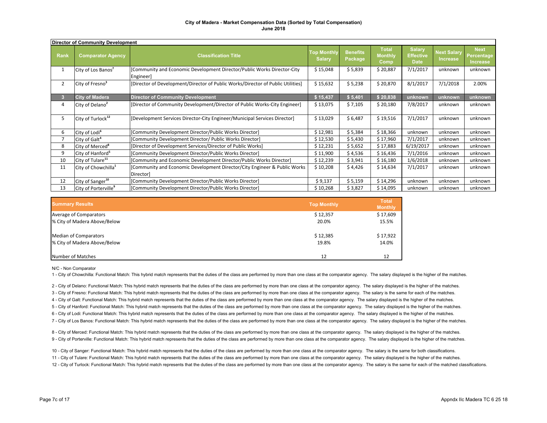|                | <b>Director of Community Development</b> |                                                                                        |                                     |                            |                                        |                                                  |                                |                                                     |  |  |
|----------------|------------------------------------------|----------------------------------------------------------------------------------------|-------------------------------------|----------------------------|----------------------------------------|--------------------------------------------------|--------------------------------|-----------------------------------------------------|--|--|
| Rank           | <b>Comparator Agency</b>                 | <b>Classification Title</b>                                                            | <b>Top Monthly</b><br><b>Salary</b> | <b>Benefits</b><br>Package | <b>Total</b><br><b>Monthly</b><br>Comp | <b>Salary</b><br><b>Effective</b><br><b>Date</b> | <b>Next Salary</b><br>Increase | <b>Next</b><br><b>Percentage</b><br><b>Increase</b> |  |  |
| 1              | City of Los Banos <sup>7</sup>           | [Community and Economic Development Director/Public Works Director-City<br>Engineer]   | \$15,048                            | \$5,839                    | \$20,887                               | 7/1/2017                                         | unknown                        | unknown                                             |  |  |
| $\overline{2}$ | City of Fresno <sup>3</sup>              | [Director of Development/Director of Public Works/Director of Public Utilities]        | \$15,632                            | \$5,238                    | \$20,870                               | 8/1/2017                                         | 7/1/2018                       | 2.00%                                               |  |  |
| 3              | <b>City of Madera</b>                    | <b>Director of Community Development</b>                                               | \$15,437                            | \$5,401                    | \$20,838                               | unknown                                          | unknown                        | unknown                                             |  |  |
| 4              | City of Delano <sup>2</sup>              | [Director of Community Development/Director of Public Works-City Engineer]             | \$13,075                            | \$7,105                    | \$20,180                               | 7/8/2017                                         | unknown                        | unknown                                             |  |  |
| 5              | City of Turlock <sup>12</sup>            | [Development Services Director-City Engineer/Municipal Services Director]              | \$13,029                            | \$6,487                    | \$19,516                               | 7/1/2017                                         | unknown                        | unknown                                             |  |  |
| 6              | City of Lodi <sup>6</sup>                | [Community Development Director/Public Works Director]                                 | \$12,981                            | \$5,384                    | \$18,366                               | unknown                                          | unknown                        | unknown                                             |  |  |
|                | City of Galt <sup>4</sup>                | [Community Development Director/ Public Works Director]                                | \$12,530                            | \$5,430                    | \$17,960                               | 7/1/2017                                         | unknown                        | unknown                                             |  |  |
| 8              | City of Merced <sup>8</sup>              | [Director of Development Services/Director of Public Works]                            | \$12,231                            | \$5,652                    | \$17,883                               | 6/19/2017                                        | unknown                        | unknown                                             |  |  |
| 9              | City of Hanford <sup>5</sup>             | [Community Development Director/Public Works Director]                                 | \$11,900                            | \$4,536                    | \$16,436                               | 7/1/2016                                         | unknown                        | unknown                                             |  |  |
| 10             | City of Tulare <sup>11</sup>             | [Community and Economic Development Director/Public Works Director]                    | \$12,239                            | \$3,941                    | \$16,180                               | 1/6/2018                                         | unknown                        | unknown                                             |  |  |
| 11             | City of Chowchilla <sup>1</sup>          | [Community and Economic Development Director/City Engineer & Public Works<br>Director] | \$10,208                            | \$4,426                    | \$14,634                               | 7/1/2017                                         | unknown                        | unknown                                             |  |  |
| 12             | City of Sanger <sup>10</sup>             | [Community Development Director/Public Works Director]                                 | \$9,137                             | \$5,159                    | \$14,296                               | unknown                                          | unknown                        | unknown                                             |  |  |
| 13             | City of Porterville <sup>9</sup>         | [Community Development Director/Public Works Director]                                 | \$10,268                            | \$3,827                    | \$14,095                               | unknown                                          | unknown                        | unknown                                             |  |  |

| <b>Summary Results</b>       | <b>Top Monthly</b> | <b>Total</b><br><b>Monthly</b> |
|------------------------------|--------------------|--------------------------------|
| Average of Comparators       | \$12,357           | \$17,609                       |
| % City of Madera Above/Below | 20.0%              | 15.5%                          |
| <b>Median of Comparators</b> | \$12,385           | \$17,922                       |
| % City of Madera Above/Below | 19.8%              | 14.0%                          |
| Number of Matches            | 12                 |                                |

N/C - Non Comparator

1 - City of Chowchilla: Functional Match: This hybrid match represents that the duties of the class are performed by more than one class at the comparator agency. The salary displayed is the higher of the matches.

2 - City of Delano: Functional Match: This hybrid match represents that the duties of the class are performed by more than one class at the comparator agency. The salary displayed is the higher of the matches.

3 - City of Fresno: Functional Match: This hybrid match represents that the duties of the class are performed by more than one class at the comparator agency. The salary is the same for each of the matches.

4 - City of Galt: Functional Match: This hybrid match represents that the duties of the class are performed by more than one class at the comparator agency. The salary displayed is the higher of the matches.

5 - City of Hanford: Functional Match: This hybrid match represents that the duties of the class are performed by more than one class at the comparator agency. The salary displayed is the higher of the matches.

6 - City of Lodi: Functional Match: This hybrid match represents that the duties of the class are performed by more than one class at the comparator agency. The salary displayed is the higher of the matches.

7 - City of Los Banos: Functional Match: This hybrid match represents that the duties of the class are performed by more than one class at the comparator agency. The salary displayed is the higher of the matches.

8 - City of Merced: Functional Match: This hybrid match represents that the duties of the class are performed by more than one class at the comparator agency. The salary displayed is the higher of the matches. 9 - City of Porterville: Functional Match: This hybrid match represents that the duties of the class are performed by more than one class at the comparator agency. The salary displayed is the higher of the matches.

11 - City of Tulare: Functional Match: This hybrid match represents that the duties of the class are performed by more than one class at the comparator agency. The salary displayed is the higher of the matches. 12 - City of Turlock: Functional Match: This hybrid match represents that the duties of the class are performed by more than one class at the comparator agency. The salary is the same for each of the matched classification 10 - City of Sanger: Functional Match: This hybrid match represents that the duties of the class are performed by more than one class at the comparator agency. The salary is the same for both classifications.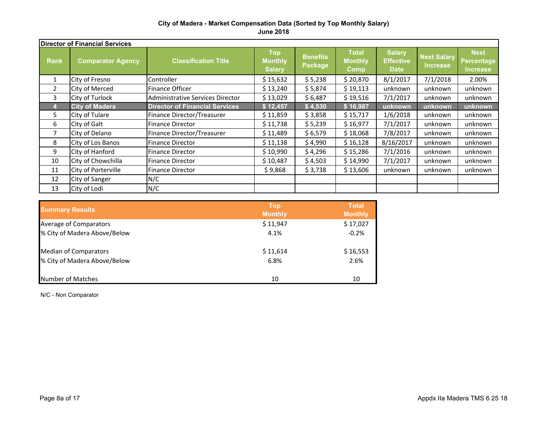|                | <b>Director of Financial Services</b> |                                       |                                               |                            |                                               |                                                  |                                |                                              |  |
|----------------|---------------------------------------|---------------------------------------|-----------------------------------------------|----------------------------|-----------------------------------------------|--------------------------------------------------|--------------------------------|----------------------------------------------|--|
| <b>Rank</b>    | <b>Comparator Agency</b>              | <b>Classification Title</b>           | <b>Top</b><br><b>Monthly</b><br><b>Salary</b> | <b>Benefits</b><br>Package | <b>Total</b><br><b>Monthly</b><br><b>Comp</b> | <b>Salary</b><br><b>Effective</b><br><b>Date</b> | <b>Next Salary</b><br>Increase | <b>Next</b><br>Percentage<br><b>Increase</b> |  |
| 1              | City of Fresno                        | Controller                            | \$15,632                                      | \$5,238                    | \$20,870                                      | 8/1/2017                                         | 7/1/2018                       | 2.00%                                        |  |
| $\overline{2}$ | City of Merced                        | Finance Officer                       | \$13,240                                      | \$5,874                    | \$19,113                                      | unknown                                          | unknown                        | unknown                                      |  |
| 3              | City of Turlock                       | Administrative Services Director      | \$13,029                                      | \$6,487                    | \$19,516                                      | 7/1/2017                                         | unknown                        | unknown                                      |  |
|                | <b>City of Madera</b>                 | <b>Director of Financial Services</b> | \$12,457                                      | \$4,530                    | \$16,987                                      | unknown                                          | unknown                        | unknown                                      |  |
| 5.             | City of Tulare                        | Finance Director/Treasurer            | \$11,859                                      | \$3,858                    | \$15,717                                      | 1/6/2018                                         | unknown                        | unknown                                      |  |
| 6              | City of Galt                          | <b>Finance Director</b>               | \$11,738                                      | \$5,239                    | \$16,977                                      | 7/1/2017                                         | unknown                        | unknown                                      |  |
| 7              | City of Delano                        | Finance Director/Treasurer            | \$11,489                                      | \$6,579                    | \$18,068                                      | 7/8/2017                                         | unknown                        | unknown                                      |  |
| 8              | City of Los Banos                     | <b>Finance Director</b>               | \$11,138                                      | \$4,990                    | \$16,128                                      | 8/16/2017                                        | unknown                        | unknown                                      |  |
| 9              | City of Hanford                       | <b>Finance Director</b>               | \$10,990                                      | \$4,296                    | \$15,286                                      | 7/1/2016                                         | unknown                        | unknown                                      |  |
| 10             | City of Chowchilla                    | <b>Finance Director</b>               | \$10,487                                      | \$4,503                    | \$14,990                                      | 7/1/2017                                         | unknown                        | unknown                                      |  |
| 11             | City of Porterville                   | <b>Finance Director</b>               | \$9,868                                       | \$3,738                    | \$13,606                                      | unknown                                          | unknown                        | unknown                                      |  |
| 12             | City of Sanger                        | N/C                                   |                                               |                            |                                               |                                                  |                                |                                              |  |
| 13             | City of Lodi                          | N/C                                   |                                               |                            |                                               |                                                  |                                |                                              |  |

| <b>Summary Results</b>       | <b>Top</b><br><b>Monthly</b> | <b>Total</b><br><b>Monthly</b> |
|------------------------------|------------------------------|--------------------------------|
| Average of Comparators       | \$11,947                     | \$17,027                       |
| % City of Madera Above/Below | 4.1%                         | $-0.2%$                        |
| <b>Median of Comparators</b> | \$11,614                     | \$16,553                       |
| % City of Madera Above/Below | 6.8%                         | 2.6%                           |
| Number of Matches            | 10                           | 10                             |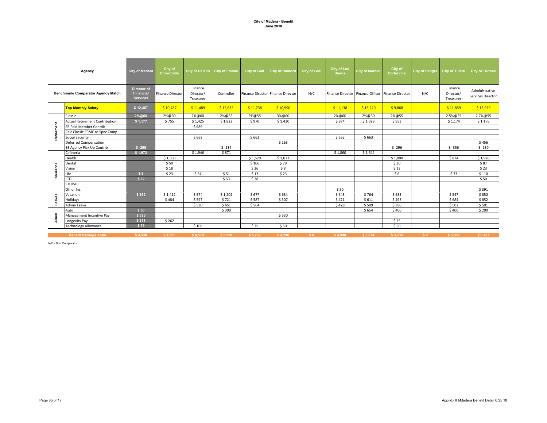|              | Agency                                    | <b>City of Madera</b>                              | City of<br>Chowchilla   |                                   | City of Delano City of Fresno | <b>City of Galt</b>               | <b>City of Hanford</b> | <b>City of Lodi</b> | <b>City of Los</b><br><b>Banos</b>                | <b>City of Merced</b> | City of<br>Porterville | City of Sanger | City of Tulare                    | <b>City of Turlock</b>              |
|--------------|-------------------------------------------|----------------------------------------------------|-------------------------|-----------------------------------|-------------------------------|-----------------------------------|------------------------|---------------------|---------------------------------------------------|-----------------------|------------------------|----------------|-----------------------------------|-------------------------------------|
|              | <b>Benchmark/ Comparator Agency Match</b> | Director of<br><b>Financial</b><br><b>Services</b> | <b>Finance Director</b> | Finance<br>Director/<br>Treasurer | Controller                    | Finance Director Finance Director |                        | N/C                 | Finance Director Finance Officer Finance Director |                       |                        | N/C            | Finance<br>Director/<br>Treasurer | Administrative<br>Services Director |
|              | <b>Top Monthly Salary</b>                 | \$12,457                                           | \$10,487                | \$11,489                          | \$15,632                      | \$11,738                          | \$10,990               |                     | \$11,138                                          | \$13,240              | \$9,868                |                | \$11,859                          | \$13,029                            |
|              | Classic                                   | 2%@60                                              | 2%@60                   | 2%@60                             | 2%@55                         | 2%@55                             | 3%@60                  |                     | 2%@60                                             | 2%@60                 | 2%@55                  |                | 2.5%@55                           | 2.7%@55                             |
|              | <b>Actual Retirement Contribution</b>     | \$1,177                                            | \$755                   | \$1,425                           | \$1,823                       | \$970                             | \$1,430                |                     | \$874                                             | \$1,028               | \$953                  |                | \$1,174                           | \$1,175                             |
|              | <b>ER Paid Member Contrib</b>             |                                                    |                         | \$689                             |                               |                                   |                        |                     |                                                   |                       |                        |                |                                   |                                     |
|              | Calc Classic EPMC as Spec Comp            |                                                    |                         |                                   |                               |                                   |                        |                     |                                                   |                       |                        |                |                                   |                                     |
| Retirer      | <b>Social Security</b>                    |                                                    |                         | \$663                             |                               | \$663                             |                        |                     | \$663                                             | \$663                 |                        |                |                                   |                                     |
|              | <b>Deferred Compensation</b>              |                                                    |                         |                                   |                               |                                   | \$163                  |                     |                                                   |                       |                        |                |                                   | \$456                               |
|              | EE Agency Pick Up Contrib                 | $$ -295$                                           |                         |                                   | $$ -234$                      |                                   |                        |                     |                                                   |                       | $$ -296$               |                | $$ -356$                          | $$ -130$                            |
|              | Cafeteria                                 | \$1,972                                            |                         | \$1,946                           | \$871                         |                                   |                        |                     | \$1,860                                           | \$1,644               |                        |                |                                   |                                     |
|              | Health                                    |                                                    | \$1,500                 |                                   |                               | \$1,520                           | \$1,072                |                     |                                                   |                       | \$1,000                |                | \$874                             | \$1,920                             |
|              | Dental                                    |                                                    | \$50                    |                                   |                               | \$106                             | \$79                   |                     |                                                   |                       | \$30                   |                |                                   | \$87                                |
| nsurance     | Vision                                    |                                                    | \$18                    |                                   |                               | \$26                              | \$8                    |                     |                                                   |                       | \$13                   |                |                                   | \$23                                |
|              | Life                                      | \$8                                                | \$23                    | \$54                              | \$51                          | \$13                              | \$23                   |                     |                                                   |                       | \$6                    |                | \$33                              | \$110                               |
|              | <b>LTD</b>                                | \$32                                               |                         |                                   | \$53                          | \$38                              |                        |                     |                                                   |                       |                        |                |                                   | \$50                                |
|              | STD/SDI                                   |                                                    |                         |                                   |                               |                                   |                        |                     |                                                   |                       |                        |                |                                   |                                     |
|              | Other Ins.                                |                                                    |                         |                                   |                               |                                   |                        |                     | \$50                                              |                       |                        |                |                                   | \$391                               |
|              | Vacation                                  | \$862                                              | \$1,412                 | \$574                             | \$1,202                       | \$677                             | \$634                  |                     | \$643                                             | \$764                 | \$683                  |                | \$547                             | \$852                               |
| Leaves       | Holidays                                  |                                                    | \$484                   | \$597                             | \$721                         | \$587                             | \$507                  |                     | \$471                                             | \$611                 | \$493                  |                | \$684                             | \$852                               |
|              | Admin Leave                               |                                                    |                         | \$530                             | \$451                         | \$564                             |                        |                     | \$428                                             | \$509                 | \$380                  |                | \$502                             | \$501                               |
|              | Auto                                      | \$50                                               |                         |                                   | \$300                         |                                   |                        |                     |                                                   | \$654                 | \$400                  |                | \$400                             | \$200                               |
| <b>Allow</b> | Management Incentive Pay                  | \$336                                              |                         |                                   |                               |                                   | \$330                  |                     |                                                   |                       |                        |                |                                   |                                     |
|              | Longevity Pay                             | \$311                                              | \$262                   |                                   |                               |                                   |                        |                     |                                                   |                       | \$25                   |                |                                   |                                     |
|              | <b>Technology Allowance</b>               | \$75                                               |                         | \$100                             |                               | \$75                              | \$50                   |                     |                                                   |                       | \$50                   |                |                                   |                                     |
|              | <b>Benefit Package Total</b>              | \$4.530                                            | \$4.503                 | \$6,579                           | \$5,238                       | \$5,239                           | \$4,296                | S <sub>0</sub>      | \$4,990                                           | \$5.874               | \$3,738                | S <sub>0</sub> | \$3.858                           | \$6,487                             |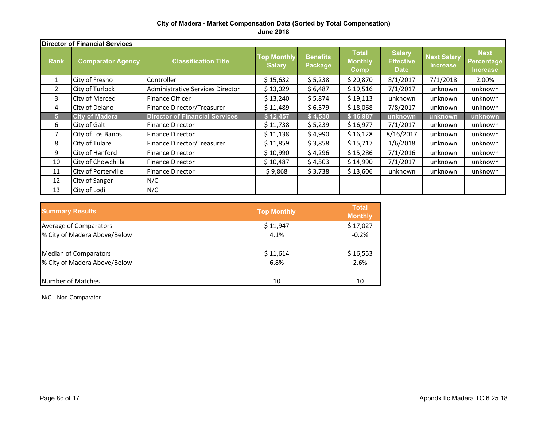|                | <b>Director of Financial Services</b> |                                                                                                                                                          |          |                                                  |                                       |                                                     |          |         |  |
|----------------|---------------------------------------|----------------------------------------------------------------------------------------------------------------------------------------------------------|----------|--------------------------------------------------|---------------------------------------|-----------------------------------------------------|----------|---------|--|
| <b>Rank</b>    | <b>Comparator Agency</b>              | <b>Total</b><br><b>Top Monthly</b><br><b>Benefits</b><br><b>Classification Title</b><br><b>Monthly</b><br><b>Salary</b><br><b>Package</b><br><b>Comp</b> |          | <b>Salary</b><br><b>Effective</b><br><b>Date</b> | <b>Next Salary</b><br><b>Increase</b> | <b>Next</b><br><b>Percentage</b><br><b>Increase</b> |          |         |  |
| $\mathbf{1}$   | City of Fresno                        | Controller                                                                                                                                               | \$15,632 | \$5,238                                          | \$20,870                              | 8/1/2017                                            | 7/1/2018 | 2.00%   |  |
| $\overline{2}$ | City of Turlock                       | Administrative Services Director                                                                                                                         | \$13,029 | \$6,487                                          | \$19,516                              | 7/1/2017                                            | unknown  | unknown |  |
| 3              | City of Merced                        | Finance Officer                                                                                                                                          | \$13,240 | \$5,874                                          | \$19,113                              | unknown                                             | unknown  | unknown |  |
| 4              | City of Delano                        | Finance Director/Treasurer                                                                                                                               | \$11,489 | \$6,579                                          | \$18,068                              | 7/8/2017                                            | unknown  | unknown |  |
| 5              | <b>City of Madera</b>                 | <b>Director of Financial Services</b>                                                                                                                    | \$12,457 | \$4,530                                          | \$16,987                              | unknown                                             | unknown  | unknown |  |
| 6              | City of Galt                          | <b>Finance Director</b>                                                                                                                                  | \$11,738 | \$5,239                                          | \$16,977                              | 7/1/2017                                            | unknown  | unknown |  |
| $\overline{7}$ | City of Los Banos                     | <b>Finance Director</b>                                                                                                                                  | \$11,138 | \$4,990                                          | \$16,128                              | 8/16/2017                                           | unknown  | unknown |  |
| 8              | City of Tulare                        | Finance Director/Treasurer                                                                                                                               | \$11,859 | \$3,858                                          | \$15,717                              | 1/6/2018                                            | unknown  | unknown |  |
| 9              | City of Hanford                       | <b>Finance Director</b>                                                                                                                                  | \$10,990 | \$4,296                                          | \$15,286                              | 7/1/2016                                            | unknown  | unknown |  |
| 10             | City of Chowchilla                    | <b>Finance Director</b>                                                                                                                                  | \$10,487 | \$4,503                                          | \$14,990                              | 7/1/2017                                            | unknown  | unknown |  |
| 11             | City of Porterville                   | <b>Finance Director</b>                                                                                                                                  | \$9,868  | \$3,738                                          | \$13,606                              | unknown                                             | unknown  | unknown |  |
| 12             | City of Sanger                        | N/C                                                                                                                                                      |          |                                                  |                                       |                                                     |          |         |  |
| 13             | City of Lodi                          | N/C                                                                                                                                                      |          |                                                  |                                       |                                                     |          |         |  |

| <b>Summary Results</b>       | <b>Top Monthly</b> | <b>Total</b><br><b>Monthly</b> |
|------------------------------|--------------------|--------------------------------|
| Average of Comparators       | \$11,947           | \$17,027                       |
| % City of Madera Above/Below | 4.1%               | $-0.2%$                        |
| <b>Median of Comparators</b> | \$11,614           | \$16,553                       |
| % City of Madera Above/Below | 6.8%               | 2.6%                           |
| Number of Matches            | 10                 | 10                             |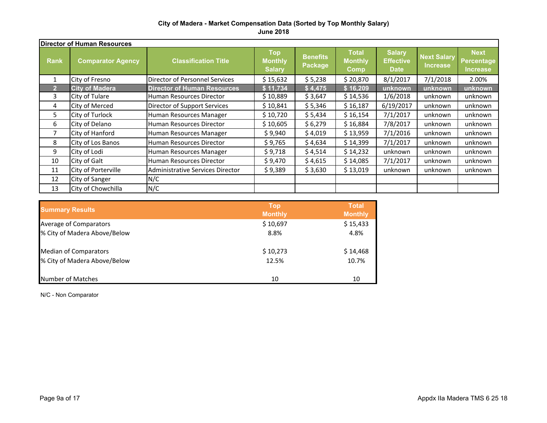|                | <b>Director of Human Resources</b> |                                         |                                               |                                   |                                               |                                                  |                                       |                                              |  |  |
|----------------|------------------------------------|-----------------------------------------|-----------------------------------------------|-----------------------------------|-----------------------------------------------|--------------------------------------------------|---------------------------------------|----------------------------------------------|--|--|
| <b>Rank</b>    | <b>Comparator Agency</b>           | <b>Classification Title</b>             | <b>Top</b><br><b>Monthly</b><br><b>Salary</b> | <b>Benefits</b><br><b>Package</b> | <b>Total</b><br><b>Monthly</b><br><b>Comp</b> | <b>Salary</b><br><b>Effective</b><br><b>Date</b> | <b>Next Salary</b><br><b>Increase</b> | <b>Next</b><br>Percentage<br><b>Increase</b> |  |  |
| 1              | City of Fresno                     | <b>Director of Personnel Services</b>   | \$15,632                                      | \$5,238                           | \$20,870                                      | 8/1/2017                                         | 7/1/2018                              | 2.00%                                        |  |  |
| $\overline{2}$ | <b>City of Madera</b>              | <b>Director of Human Resources</b>      | \$11,734                                      | \$4,475                           | \$16,209                                      | unknown                                          | unknown                               | unknown                                      |  |  |
| 3              | City of Tulare                     | Human Resources Director                | \$10,889                                      | \$3,647                           | \$14,536                                      | 1/6/2018                                         | unknown                               | unknown                                      |  |  |
| 4              | <b>City of Merced</b>              | Director of Support Services            | \$10,841                                      | \$5,346                           | \$16,187                                      | 6/19/2017                                        | unknown                               | unknown                                      |  |  |
| 5.             | City of Turlock                    | Human Resources Manager                 | \$10,720                                      | \$5,434                           | \$16,154                                      | 7/1/2017                                         | unknown                               | unknown                                      |  |  |
| 6              | City of Delano                     | Human Resources Director                | \$10,605                                      | \$6,279                           | \$16,884                                      | 7/8/2017                                         | unknown                               | unknown                                      |  |  |
| 7              | City of Hanford                    | Human Resources Manager                 | \$9,940                                       | \$4,019                           | \$13,959                                      | 7/1/2016                                         | unknown                               | unknown                                      |  |  |
| 8              | City of Los Banos                  | Human Resources Director                | \$9,765                                       | \$4,634                           | \$14,399                                      | 7/1/2017                                         | unknown                               | unknown                                      |  |  |
| 9              | City of Lodi                       | Human Resources Manager                 | \$9,718                                       | \$4,514                           | \$14,232                                      | unknown                                          | unknown                               | unknown                                      |  |  |
| 10             | City of Galt                       | Human Resources Director                | \$9,470                                       | \$4,615                           | \$14,085                                      | 7/1/2017                                         | unknown                               | unknown                                      |  |  |
| 11             | City of Porterville                | <b>Administrative Services Director</b> | \$9,389                                       | \$3,630                           | \$13,019                                      | unknown                                          | unknown                               | unknown                                      |  |  |
| 12             | City of Sanger                     | N/C                                     |                                               |                                   |                                               |                                                  |                                       |                                              |  |  |
| 13             | City of Chowchilla                 | N/C                                     |                                               |                                   |                                               |                                                  |                                       |                                              |  |  |

| <b>Summary Results</b>       | <b>Top</b><br><b>Monthly</b> | <b>Total</b><br><b>Monthly</b> |
|------------------------------|------------------------------|--------------------------------|
| Average of Comparators       | \$10,697                     | \$15,433                       |
| % City of Madera Above/Below | 8.8%                         | 4.8%                           |
| <b>Median of Comparators</b> | \$10,273                     | \$14,468                       |
| % City of Madera Above/Below | 12.5%                        | 10.7%                          |
| Number of Matches            | 10                           | 10                             |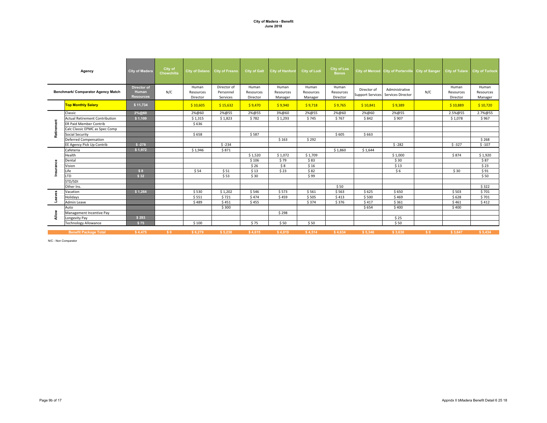|            | Agency                                | <b>City of Madera</b>                    | City of<br>Chowchilla |                                | City of Delano City of Fresno        | <b>City of Galt</b>            | <b>City of Hanford</b>        | <b>City of Lodi</b>           | City of Los<br><b>Banos</b>    |                                        | City of Merced City of Porterville City of Sanger |                |                                | City of Tulare City of Turlock |
|------------|---------------------------------------|------------------------------------------|-----------------------|--------------------------------|--------------------------------------|--------------------------------|-------------------------------|-------------------------------|--------------------------------|----------------------------------------|---------------------------------------------------|----------------|--------------------------------|--------------------------------|
|            | Benchmark/ Comparator Agency Match    | Director of<br>Human<br><b>Resources</b> | N/C                   | Human<br>Resources<br>Director | Director of<br>Personnel<br>Services | Human<br>Resources<br>Director | Human<br>Resources<br>Manager | Human<br>Resources<br>Manager | Human<br>Resources<br>Director | Director of<br><b>Support Services</b> | Administrative<br>Services Director               | N/C            | Human<br>Resources<br>Director | Human<br>Resources<br>Manager  |
|            | <b>Top Monthly Salary</b>             | \$11,734                                 |                       | \$10,605                       | \$15,632                             | \$9,470                        | \$9,940                       | \$9,718                       | \$9,765                        | \$10,841                               | \$9,389                                           |                | \$10,889                       | \$10,720                       |
|            | Classic                               | 2%@60                                    |                       | 2%@60                          | 2%@55                                | 2%@55                          | 3%@60                         | 2%@55                         | 2%@60                          | 2%@60                                  | 2%@55                                             |                | 2.5%@55                        | 2.7%@55                        |
|            | <b>Actual Retirement Contribution</b> | \$1,109                                  |                       | \$1,315                        | \$1,823                              | \$782                          | \$1,293                       | \$745                         | \$767                          | \$842                                  | \$907                                             |                | \$1,078                        | \$967                          |
| Retirement | <b>ER Paid Member Contrib</b>         |                                          |                       | \$636                          |                                      |                                |                               |                               |                                |                                        |                                                   |                |                                |                                |
|            | Calc Classic EPMC as Spec Comp        |                                          |                       |                                |                                      |                                |                               |                               |                                |                                        |                                                   |                |                                |                                |
|            | Social Security                       |                                          |                       | \$658                          |                                      | \$587                          |                               |                               | \$605                          | \$663                                  |                                                   |                |                                |                                |
|            | Deferred Compensation                 |                                          |                       |                                |                                      |                                | \$163                         | \$292                         |                                |                                        |                                                   |                |                                | \$268                          |
|            | EE Agency Pick Up Contrib             | $$ -278$                                 |                       |                                | $$ -234$                             |                                |                               |                               |                                |                                        | $$ -282$                                          |                | $$ -327$                       | $$ -107$                       |
|            | Cafeteria                             | \$1,972                                  |                       | \$1,946                        | \$871                                |                                |                               |                               | \$1,860                        | \$1,644                                |                                                   |                |                                |                                |
|            | Health                                |                                          |                       |                                |                                      | \$1,520                        | \$1,072                       | \$1,709                       |                                |                                        | \$1,000                                           |                | \$874                          | \$1,920                        |
|            | Dental                                |                                          |                       |                                |                                      | \$106                          | \$79                          | \$83                          |                                |                                        | \$30                                              |                |                                | \$87                           |
| Insuranc   | Vision                                |                                          |                       |                                |                                      | \$26                           | \$8                           | \$16                          |                                |                                        | \$13                                              |                |                                | \$23                           |
|            | Life                                  | \$8                                      |                       | \$54                           | \$51                                 | \$13                           | \$23                          | \$82                          |                                |                                        | \$6                                               |                | \$30                           | \$91                           |
|            | LTD                                   | \$32                                     |                       |                                | \$53                                 | \$30                           |                               | \$99                          |                                |                                        |                                                   |                |                                | \$50                           |
|            | STD/SDI                               |                                          |                       |                                |                                      |                                |                               |                               |                                |                                        |                                                   |                |                                |                                |
|            | Other Ins.                            |                                          |                       |                                |                                      |                                |                               |                               | \$50                           |                                        |                                                   |                |                                | \$322                          |
|            | Vacation                              | \$1,264                                  |                       | \$530                          | \$1,202                              | \$546                          | \$573                         | \$561                         | \$563                          | \$625                                  | \$650                                             |                | \$503                          | \$701                          |
| Leaves     | Holidays                              |                                          |                       | \$551                          | \$721                                | \$474                          | \$459                         | \$505                         | \$413                          | \$500                                  | \$469                                             |                | \$628                          | \$701                          |
|            | Admin Leave                           |                                          |                       | \$489                          | \$451                                | \$455                          |                               | \$374                         | \$376                          | \$417                                  | \$361                                             |                | \$461                          | \$412                          |
|            | Auto                                  |                                          |                       |                                | \$300                                |                                |                               |                               |                                | \$654                                  | \$400                                             |                | \$400                          |                                |
| Allow      | Management Incentive Pay              |                                          |                       |                                |                                      |                                | \$298                         |                               |                                |                                        |                                                   |                |                                |                                |
|            | Longevity Pay                         | \$293                                    |                       |                                |                                      |                                |                               |                               |                                |                                        | \$25                                              |                |                                |                                |
|            | <b>Technology Allowance</b>           | \$75                                     |                       | \$100                          |                                      | \$75                           | \$50                          | \$50                          |                                |                                        | \$50                                              |                |                                |                                |
|            | <b>Benefit Package Total</b>          | \$4.475                                  | S <sub>0</sub>        | \$6.279                        | \$5,238                              | \$4,615                        | \$4.019                       | \$4,514                       | \$4.634                        | \$5.346                                | \$3,630                                           | S <sub>0</sub> | \$3,647                        | \$5.434                        |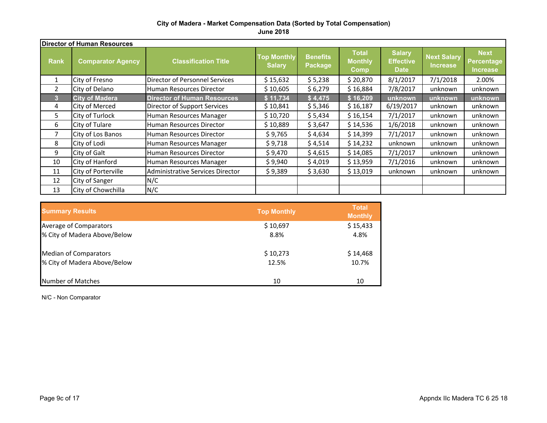|                | <b>Director of Human Resources</b> |                                    |                                     |                            |                                               |                                                  |                                       |                                                     |  |
|----------------|------------------------------------|------------------------------------|-------------------------------------|----------------------------|-----------------------------------------------|--------------------------------------------------|---------------------------------------|-----------------------------------------------------|--|
| <b>Rank</b>    | <b>Comparator Agency</b>           | <b>Classification Title</b>        | <b>Top Monthly</b><br><b>Salary</b> | <b>Benefits</b><br>Package | <b>Total</b><br><b>Monthly</b><br><b>Comp</b> | <b>Salary</b><br><b>Effective</b><br><b>Date</b> | <b>Next Salary</b><br><b>Increase</b> | <b>Next</b><br><b>Percentage</b><br><b>Increase</b> |  |
| $\mathbf{1}$   | City of Fresno                     | Director of Personnel Services     | \$15,632                            | \$5,238                    | \$20,870                                      | 8/1/2017                                         | 7/1/2018                              | 2.00%                                               |  |
| $\overline{2}$ | City of Delano                     | Human Resources Director           | \$10,605                            | \$6,279                    | \$16,884                                      | 7/8/2017                                         | unknown                               | unknown                                             |  |
| 3              | <b>City of Madera</b>              | <b>Director of Human Resources</b> | \$11,734                            | \$4,475                    | \$16,209                                      | unknown                                          | unknown                               | unknown                                             |  |
| 4              | City of Merced                     | Director of Support Services       | \$10,841                            | \$5,346                    | \$16,187                                      | 6/19/2017                                        | unknown                               | unknown                                             |  |
| 5.             | City of Turlock                    | Human Resources Manager            | \$10,720                            | \$5,434                    | \$16,154                                      | 7/1/2017                                         | unknown                               | unknown                                             |  |
| 6              | City of Tulare                     | Human Resources Director           | \$10,889                            | \$3,647                    | \$14,536                                      | 1/6/2018                                         | unknown                               | unknown                                             |  |
| 7              | City of Los Banos                  | Human Resources Director           | \$9,765                             | \$4,634                    | \$14,399                                      | 7/1/2017                                         | unknown                               | unknown                                             |  |
| 8              | City of Lodi                       | Human Resources Manager            | \$9,718                             | \$4,514                    | \$14,232                                      | unknown                                          | unknown                               | unknown                                             |  |
| 9              | City of Galt                       | Human Resources Director           | \$9,470                             | \$4,615                    | \$14,085                                      | 7/1/2017                                         | unknown                               | unknown                                             |  |
| 10             | City of Hanford                    | Human Resources Manager            | \$9,940                             | \$4,019                    | \$13,959                                      | 7/1/2016                                         | unknown                               | unknown                                             |  |
| 11             | City of Porterville                | Administrative Services Director   | \$9,389                             | \$3,630                    | \$13,019                                      | unknown                                          | unknown                               | unknown                                             |  |
| 12             | City of Sanger                     | N/C                                |                                     |                            |                                               |                                                  |                                       |                                                     |  |
| 13             | City of Chowchilla                 | N/C                                |                                     |                            |                                               |                                                  |                                       |                                                     |  |

| <b>Summary Results</b>       | <b>Top Monthly</b> | <b>Total</b><br><b>Monthly</b> |
|------------------------------|--------------------|--------------------------------|
| Average of Comparators       | \$10,697           | \$15,433                       |
| % City of Madera Above/Below | 8.8%               | 4.8%                           |
| <b>Median of Comparators</b> | \$10,273           | \$14,468                       |
| % City of Madera Above/Below | 12.5%              | 10.7%                          |
| Number of Matches            | 10                 | 10                             |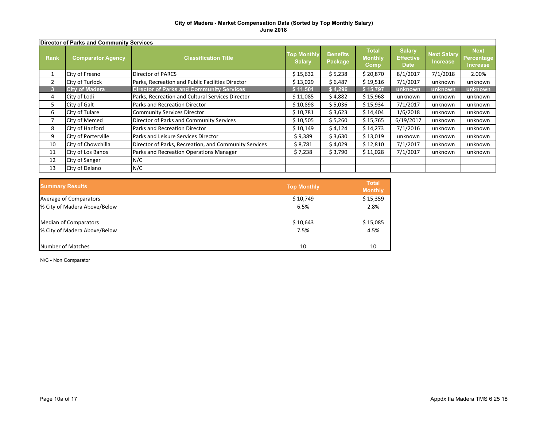|                | Director of Parks and Community Services |                                                       |                                     |                            |                                        |                                                  |                                       |                                              |
|----------------|------------------------------------------|-------------------------------------------------------|-------------------------------------|----------------------------|----------------------------------------|--------------------------------------------------|---------------------------------------|----------------------------------------------|
| <b>Rank</b>    | <b>Comparator Agency</b>                 | <b>Classification Title</b>                           | <b>Top Monthly</b><br><b>Salary</b> | <b>Benefits</b><br>Package | <b>Total</b><br><b>Monthly</b><br>Comp | <b>Salary</b><br><b>Effective</b><br><b>Date</b> | <b>Next Salary</b><br><b>Increase</b> | <b>Next</b><br>Percentage<br><b>Increase</b> |
|                | City of Fresno                           | Director of PARCS                                     | \$15,632                            | \$5,238                    | \$20,870                               | 8/1/2017                                         | 7/1/2018                              | 2.00%                                        |
| $\overline{2}$ | City of Turlock                          | Parks, Recreation and Public Facilities Director      | \$13,029                            | \$6,487                    | \$19,516                               | 7/1/2017                                         | unknown                               | unknown                                      |
|                | <b>City of Madera</b>                    | <b>Director of Parks and Community Services</b>       | \$11,501                            | \$4,296                    | \$15,797                               | unknown                                          | unknown                               | unknown                                      |
| 4              | City of Lodi                             | Parks, Recreation and Cultural Services Director      | \$11,085                            | \$4,882                    | \$15,968                               | unknown                                          | unknown                               | unknown                                      |
| 5              | City of Galt                             | Parks and Recreation Director                         | \$10,898                            | \$5,036                    | \$15,934                               | 7/1/2017                                         | unknown                               | unknown                                      |
| 6              | City of Tulare                           | Community Services Director                           | \$10,781                            | \$3,623                    | \$14,404                               | 1/6/2018                                         | unknown                               | unknown                                      |
|                | <b>City of Merced</b>                    | Director of Parks and Community Services              | \$10,505                            | \$5,260                    | \$15,765                               | 6/19/2017                                        | unknown                               | unknown                                      |
| 8              | City of Hanford                          | Parks and Recreation Director                         | \$10,149                            | \$4,124                    | \$14,273                               | 7/1/2016                                         | unknown                               | unknown                                      |
| 9              | City of Porterville                      | Parks and Leisure Services Director                   | \$9,389                             | \$3,630                    | \$13,019                               | unknown                                          | unknown                               | unknown                                      |
| 10             | City of Chowchilla                       | Director of Parks, Recreation, and Community Services | \$8,781                             | \$4,029                    | \$12,810                               | 7/1/2017                                         | unknown                               | unknown                                      |
| 11             | City of Los Banos                        | Parks and Recreation Operations Manager               | \$7,238                             | \$3,790                    | \$11,028                               | 7/1/2017                                         | unknown                               | unknown                                      |
| 12             | City of Sanger                           | N/C                                                   |                                     |                            |                                        |                                                  |                                       |                                              |
| 13             | City of Delano                           | N/C                                                   |                                     |                            |                                        |                                                  |                                       |                                              |

| <b>Summary Results</b>       | <b>Top Monthly</b> | <b>Total</b><br><b>Monthly</b> |
|------------------------------|--------------------|--------------------------------|
| Average of Comparators       | \$10,749           | \$15,359                       |
| % City of Madera Above/Below | 6.5%               | 2.8%                           |
| <b>Median of Comparators</b> | \$10,643           | \$15,085                       |
| % City of Madera Above/Below | 7.5%               | 4.5%                           |
| Number of Matches            | 10                 | 10                             |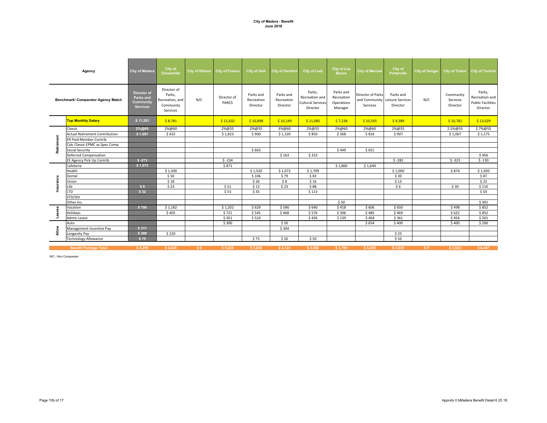|            | Agency                                | City of Madera                                                  | City of<br>Chowchilla                                             | City of Delano City of Fresno |                      | <b>City of Galt</b>                 | <b>City of Hanford</b>              | <b>City of Lodi</b>                                              | <b>City of Los</b><br><b>Banos</b>               | <b>City of Merced</b>                                           | City of<br><b>Porterville</b> | <b>City of Sanger</b> |                                   | City of Tulare City of Turlock                                   |
|------------|---------------------------------------|-----------------------------------------------------------------|-------------------------------------------------------------------|-------------------------------|----------------------|-------------------------------------|-------------------------------------|------------------------------------------------------------------|--------------------------------------------------|-----------------------------------------------------------------|-------------------------------|-----------------------|-----------------------------------|------------------------------------------------------------------|
|            | Benchmark/ Comparator Agency Match    | <b>Director of</b><br>Parks and<br>Community<br><b>Services</b> | Director of<br>Parks,<br>Recreation, and<br>Community<br>Services | N/C                           | Director of<br>PARCS | Parks and<br>Recreation<br>Director | Parks and<br>Recreation<br>Director | Parks,<br>Recreation and<br><b>Cultural Services</b><br>Director | Parks and<br>Recreation<br>Operations<br>Manager | Director of Parks<br>and Community Leisure Services<br>Services | Parks and<br>Director         | N/C                   | Community<br>Services<br>Director | Parks,<br>Recreation and<br><b>Public Facilities</b><br>Director |
|            | <b>Top Monthly Salary</b>             | \$11,501                                                        | \$8,781                                                           |                               | \$15,632             | \$10,898                            | \$10,149                            | \$11,085                                                         | \$7,238                                          | \$10,505                                                        | \$9,389                       |                       | \$10,781                          | \$13,029                                                         |
|            | Classic                               | 2%@60                                                           | 2%@60                                                             |                               | 2%@55                | 2%@55                               | 3%@60                               | 2%@55                                                            | 2%@60                                            | 2%@60                                                           | 2%@55                         |                       | 2.5%@55                           | 2.7%@55                                                          |
|            | <b>Actual Retirement Contribution</b> | \$1,087                                                         | \$632                                                             |                               | \$1,823              | \$900                               | \$1,320                             | \$850                                                            | \$568                                            | \$816                                                           | \$907                         |                       | \$1,067                           | \$1,175                                                          |
| Retirement | <b>ER Paid Member Contrib</b>         |                                                                 |                                                                   |                               |                      |                                     |                                     |                                                                  |                                                  |                                                                 |                               |                       |                                   |                                                                  |
|            | Calc Classic EPMC as Spec Comp        |                                                                 |                                                                   |                               |                      |                                     |                                     |                                                                  |                                                  |                                                                 |                               |                       |                                   |                                                                  |
|            | Social Security                       |                                                                 |                                                                   |                               |                      | \$663                               |                                     |                                                                  | \$449                                            | \$651                                                           |                               |                       |                                   |                                                                  |
|            | <b>Deferred Compensation</b>          |                                                                 |                                                                   |                               |                      |                                     | \$163                               | \$333                                                            |                                                  |                                                                 |                               |                       |                                   | \$456                                                            |
|            | EE Agency Pick Up Contrib             | $$ -273$                                                        |                                                                   |                               | $$ -234$             |                                     |                                     |                                                                  |                                                  |                                                                 | $$ -282$                      |                       | $$ -323$                          | $$ -130$                                                         |
|            | Cafeteria                             | \$1,972                                                         |                                                                   |                               | \$871                |                                     |                                     |                                                                  | \$1,860                                          | \$1,644                                                         |                               |                       |                                   |                                                                  |
|            | Health                                |                                                                 | \$1,500                                                           |                               |                      | \$1,520                             | \$1,072                             | \$1,709                                                          |                                                  |                                                                 | \$1,000                       |                       | \$874                             | \$1,920                                                          |
|            | Dental                                |                                                                 | \$50                                                              |                               |                      | \$106                               | \$79                                | \$83                                                             |                                                  |                                                                 | \$30                          |                       |                                   | \$87                                                             |
| Insurance  | Vision                                |                                                                 | \$18                                                              |                               |                      | \$26                                | \$8                                 | \$16                                                             |                                                  |                                                                 | \$13                          |                       |                                   | \$23                                                             |
|            | Life                                  | \$8                                                             | \$23                                                              |                               | \$51                 | \$13                                | \$23                                | \$88                                                             |                                                  |                                                                 | \$6                           |                       | \$30                              | \$110                                                            |
|            | <b>LTD</b>                            | \$32                                                            |                                                                   |                               | \$53                 | \$35                                |                                     | \$113                                                            |                                                  |                                                                 |                               |                       |                                   | \$50                                                             |
|            | STD/SDI                               |                                                                 |                                                                   |                               |                      |                                     |                                     |                                                                  |                                                  |                                                                 |                               |                       |                                   |                                                                  |
|            | Other Ins.                            |                                                                 |                                                                   |                               |                      |                                     |                                     |                                                                  | \$50                                             |                                                                 |                               |                       |                                   | \$391                                                            |
| Leaves     | Vacation                              | \$796                                                           | \$1,182                                                           |                               | \$1,202              | \$629                               | \$586                               | \$640                                                            | \$418                                            | \$606                                                           | \$650                         |                       | \$498                             | \$852                                                            |
|            | Holidays                              |                                                                 | \$405                                                             |                               | \$721                | \$545                               | \$468                               | \$576                                                            | \$306                                            | \$485                                                           | \$469                         |                       | \$622                             | \$852                                                            |
|            | Admin Leave                           |                                                                 |                                                                   |                               | \$451                | \$524                               |                                     | \$426                                                            | \$139                                            | \$404                                                           | \$361                         |                       | \$456                             | \$501                                                            |
|            | Auto                                  |                                                                 |                                                                   |                               | \$300                |                                     | \$50                                |                                                                  |                                                  | \$654                                                           | \$400                         |                       | \$400                             | \$200                                                            |
| Allow      | Management Incentive Pay              | \$311                                                           |                                                                   |                               |                      |                                     | \$304                               |                                                                  |                                                  |                                                                 |                               |                       |                                   |                                                                  |
|            | Longevity Pay                         | \$288                                                           | \$220                                                             |                               |                      |                                     |                                     |                                                                  |                                                  |                                                                 | \$25                          |                       |                                   |                                                                  |
|            | <b>Technology Allowance</b>           | \$75                                                            |                                                                   |                               |                      | \$75                                | \$50                                | \$50                                                             |                                                  |                                                                 | \$50                          |                       |                                   |                                                                  |
|            | <b>Benefit Package Total</b>          | \$4.296                                                         | \$4.029                                                           | \$0                           | \$5.238              | \$5,036                             | \$4.124                             | \$4,882                                                          | \$3.790                                          | \$5.260                                                         | \$3,630                       | S <sub>0</sub>        | \$3,623                           | \$6,487                                                          |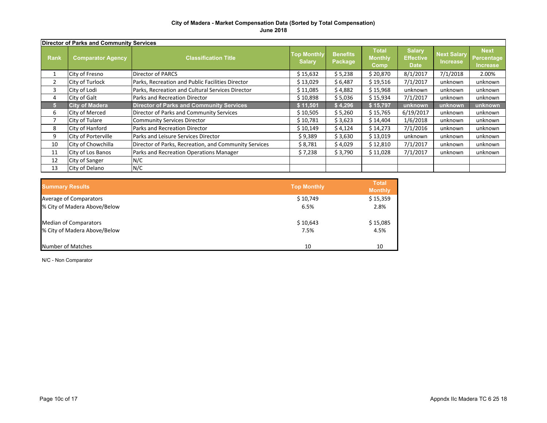|             | Director of Parks and Community Services |                                                       |                                     |                            |                                        |                                                  |                                       |                                              |
|-------------|------------------------------------------|-------------------------------------------------------|-------------------------------------|----------------------------|----------------------------------------|--------------------------------------------------|---------------------------------------|----------------------------------------------|
| <b>Rank</b> | <b>Comparator Agency</b>                 | <b>Classification Title</b>                           | <b>Top Monthly</b><br><b>Salary</b> | <b>Benefits</b><br>Package | <b>Total</b><br><b>Monthly</b><br>Comp | <b>Salary</b><br><b>Effective</b><br><b>Date</b> | <b>Next Salary</b><br><b>Increase</b> | <b>Next</b><br>Percentage<br><b>Increase</b> |
|             | City of Fresno                           | <b>Director of PARCS</b>                              | \$15,632                            | \$5,238                    | \$20,870                               | 8/1/2017                                         | 7/1/2018                              | 2.00%                                        |
| 2           | City of Turlock                          | Parks, Recreation and Public Facilities Director      | \$13,029                            | \$6,487                    | \$19,516                               | 7/1/2017                                         | unknown                               | unknown                                      |
| 3           | City of Lodi                             | Parks, Recreation and Cultural Services Director      | \$11,085                            | \$4,882                    | \$15,968                               | unknown                                          | unknown                               | unknown                                      |
| 4           | City of Galt                             | Parks and Recreation Director                         | \$10,898                            | \$5,036                    | \$15,934                               | 7/1/2017                                         | unknown                               | unknown                                      |
| 5           | <b>City of Madera</b>                    | <b>Director of Parks and Community Services</b>       | \$11,501                            | \$4,296                    | \$15,797                               | unknown                                          | unknown                               | unknown                                      |
| 6           | <b>City of Merced</b>                    | Director of Parks and Community Services              | \$10,505                            | \$5,260                    | \$15,765                               | 6/19/2017                                        | unknown                               | unknown                                      |
|             | City of Tulare                           | <b>Community Services Director</b>                    | \$10,781                            | \$3,623                    | \$14,404                               | 1/6/2018                                         | unknown                               | unknown                                      |
| 8           | City of Hanford                          | Parks and Recreation Director                         | \$10,149                            | \$4,124                    | \$14,273                               | 7/1/2016                                         | unknown                               | unknown                                      |
| 9           | City of Porterville                      | Parks and Leisure Services Director                   | \$9,389                             | \$3,630                    | \$13,019                               | unknown                                          | unknown                               | unknown                                      |
| 10          | City of Chowchilla                       | Director of Parks, Recreation, and Community Services | \$8,781                             | \$4,029                    | \$12,810                               | 7/1/2017                                         | unknown                               | unknown                                      |
| 11          | City of Los Banos                        | Parks and Recreation Operations Manager               | \$7,238                             | \$3,790                    | \$11,028                               | 7/1/2017                                         | unknown                               | unknown                                      |
| 12          | City of Sanger                           | N/C                                                   |                                     |                            |                                        |                                                  |                                       |                                              |
| 13          | City of Delano                           | N/C                                                   |                                     |                            |                                        |                                                  |                                       |                                              |

| <b>Summary Results</b>       | <b>Top Monthly</b> | <b>Total</b><br><b>Monthly</b> |
|------------------------------|--------------------|--------------------------------|
| Average of Comparators       | \$10,749           | \$15,359                       |
| % City of Madera Above/Below | 6.5%               | 2.8%                           |
| <b>Median of Comparators</b> | \$10,643           | \$15,085                       |
| % City of Madera Above/Below | 7.5%               | 4.5%                           |
| Number of Matches            | 10                 | 10                             |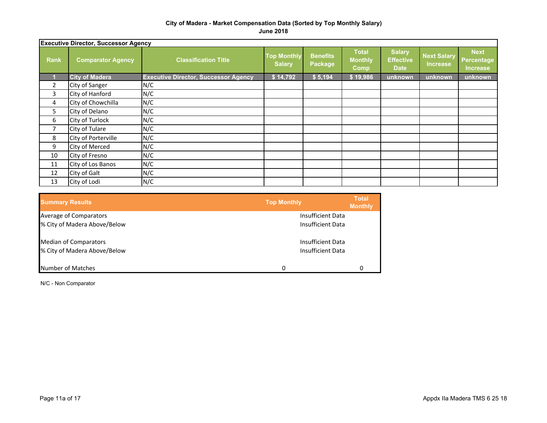|             | <b>Executive Director, Successor Agency</b> |                                             |                                     |                            |                                        |                                                  |                                       |                                              |
|-------------|---------------------------------------------|---------------------------------------------|-------------------------------------|----------------------------|----------------------------------------|--------------------------------------------------|---------------------------------------|----------------------------------------------|
| <b>Rank</b> | <b>Comparator Agency</b>                    | <b>Classification Title</b>                 | <b>Top Monthly</b><br><b>Salary</b> | <b>Benefits</b><br>Package | <b>Total</b><br><b>Monthly</b><br>Comp | <b>Salary</b><br><b>Effective</b><br><b>Date</b> | <b>Next Salary</b><br><b>Increase</b> | <b>Next</b><br>Percentage<br><b>Increase</b> |
|             | <b>City of Madera</b>                       | <b>Executive Director, Successor Agency</b> | \$14,792                            | \$5,194                    | \$19,986                               | unknown                                          | unknown                               | unknown                                      |
| 2           | City of Sanger                              | N/C                                         |                                     |                            |                                        |                                                  |                                       |                                              |
| 3           | City of Hanford                             | N/C                                         |                                     |                            |                                        |                                                  |                                       |                                              |
| 4           | City of Chowchilla                          | N/C                                         |                                     |                            |                                        |                                                  |                                       |                                              |
| 5           | City of Delano                              | N/C                                         |                                     |                            |                                        |                                                  |                                       |                                              |
| 6           | City of Turlock                             | N/C                                         |                                     |                            |                                        |                                                  |                                       |                                              |
| 7           | City of Tulare                              | N/C                                         |                                     |                            |                                        |                                                  |                                       |                                              |
| 8           | City of Porterville                         | N/C                                         |                                     |                            |                                        |                                                  |                                       |                                              |
| 9           | City of Merced                              | N/C                                         |                                     |                            |                                        |                                                  |                                       |                                              |
| 10          | City of Fresno                              | N/C                                         |                                     |                            |                                        |                                                  |                                       |                                              |
| 11          | City of Los Banos                           | N/C                                         |                                     |                            |                                        |                                                  |                                       |                                              |
| 12          | City of Galt                                | N/C                                         |                                     |                            |                                        |                                                  |                                       |                                              |
| 13          | City of Lodi                                | N/C                                         |                                     |                            |                                        |                                                  |                                       |                                              |

| <b>Summary Results</b>       | <b>Top Monthly</b> | <b>Total</b><br><b>Monthly</b> |
|------------------------------|--------------------|--------------------------------|
| Average of Comparators       | Insufficient Data  |                                |
| % City of Madera Above/Below | Insufficient Data  |                                |
| <b>Median of Comparators</b> | Insufficient Data  |                                |
| % City of Madera Above/Below | Insufficient Data  |                                |
| Number of Matches            | O                  | 0                              |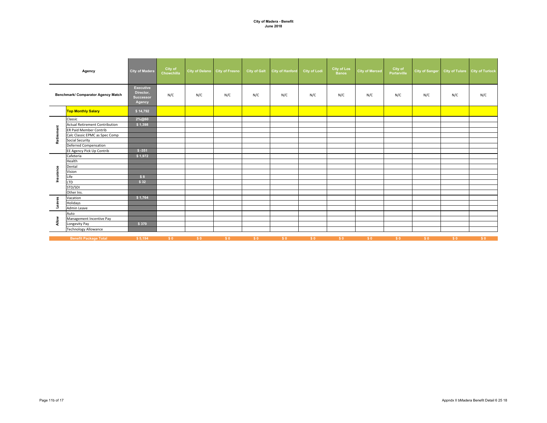|            | Agency                                | <b>City of Madera</b>                                | City of<br>Chowchilla |     | City of Delano City of Fresno | <b>City of Galt</b> | City of Hanford | <b>City of Lodi</b> | <b>City of Los</b><br><b>Banos</b> | <b>City of Merced</b> | City of<br>Porterville | <b>City of Sanger</b> |     | City of Tulare City of Turlock |
|------------|---------------------------------------|------------------------------------------------------|-----------------------|-----|-------------------------------|---------------------|-----------------|---------------------|------------------------------------|-----------------------|------------------------|-----------------------|-----|--------------------------------|
|            | Benchmark/ Comparator Agency Match    | Executive<br>Director,<br><b>Successor</b><br>Agency | N/C                   | N/C | N/C                           | N/C                 | N/C             | N/C                 | N/C                                | N/C                   | N/C                    | N/C                   | N/C | N/C                            |
|            | <b>Top Monthly Salary</b>             | \$14,792                                             |                       |     |                               |                     |                 |                     |                                    |                       |                        |                       |     |                                |
|            | Classic                               | 2%@60                                                |                       |     |                               |                     |                 |                     |                                    |                       |                        |                       |     |                                |
|            | <b>Actual Retirement Contribution</b> | \$1,398                                              |                       |     |                               |                     |                 |                     |                                    |                       |                        |                       |     |                                |
| Retirement | ER Paid Member Contrib                |                                                      |                       |     |                               |                     |                 |                     |                                    |                       |                        |                       |     |                                |
|            | Calc Classic EPMC as Spec Comp        |                                                      |                       |     |                               |                     |                 |                     |                                    |                       |                        |                       |     |                                |
|            | Social Security                       |                                                      |                       |     |                               |                     |                 |                     |                                    |                       |                        |                       |     |                                |
|            | <b>Deferred Compensation</b>          |                                                      |                       |     |                               |                     |                 |                     |                                    |                       |                        |                       |     |                                |
|            | EE Agency Pick Up Contrib             | $$ -351$                                             |                       |     |                               |                     |                 |                     |                                    |                       |                        |                       |     |                                |
|            | Cafeteria                             | \$1,972                                              |                       |     |                               |                     |                 |                     |                                    |                       |                        |                       |     |                                |
|            | Health                                |                                                      |                       |     |                               |                     |                 |                     |                                    |                       |                        |                       |     |                                |
|            | Dental                                |                                                      |                       |     |                               |                     |                 |                     |                                    |                       |                        |                       |     |                                |
| Insurance  | Vision                                |                                                      |                       |     |                               |                     |                 |                     |                                    |                       |                        |                       |     |                                |
|            | Life                                  | \$8                                                  |                       |     |                               |                     |                 |                     |                                    |                       |                        |                       |     |                                |
|            | <b>LTD</b>                            | \$32                                                 |                       |     |                               |                     |                 |                     |                                    |                       |                        |                       |     |                                |
|            | STD/SDI                               |                                                      |                       |     |                               |                     |                 |                     |                                    |                       |                        |                       |     |                                |
|            | Other Ins.                            |                                                      |                       |     |                               |                     |                 |                     |                                    |                       |                        |                       |     |                                |
| Leaves     | Vacation                              | \$1,764                                              |                       |     |                               |                     |                 |                     |                                    |                       |                        |                       |     |                                |
|            | Holidays                              |                                                      |                       |     |                               |                     |                 |                     |                                    |                       |                        |                       |     |                                |
|            | Admin Leave                           |                                                      |                       |     |                               |                     |                 |                     |                                    |                       |                        |                       |     |                                |
|            | Auto                                  |                                                      |                       |     |                               |                     |                 |                     |                                    |                       |                        |                       |     |                                |
| Allow      | Management Incentive Pay              |                                                      |                       |     |                               |                     |                 |                     |                                    |                       |                        |                       |     |                                |
|            | Longevity Pay                         | \$370                                                |                       |     |                               |                     |                 |                     |                                    |                       |                        |                       |     |                                |
|            | <b>Technology Allowance</b>           |                                                      |                       |     |                               |                     |                 |                     |                                    |                       |                        |                       |     |                                |
|            | <b>Benefit Package Total</b>          | \$5,194                                              | \$0                   | \$0 | S <sub>0</sub>                | \$0                 | \$0             | \$0                 | \$0                                | \$0                   | \$0                    | \$0                   | \$0 | \$0                            |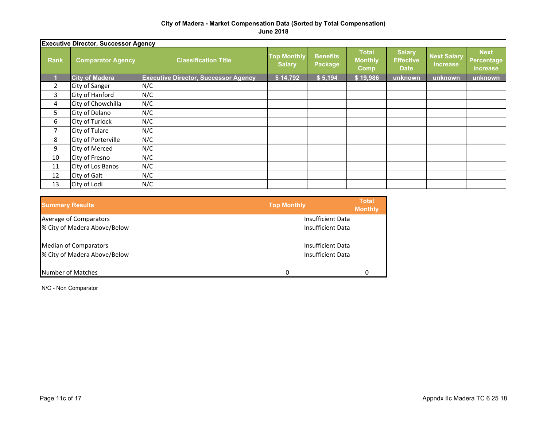|             | <b>Executive Director, Successor Agency</b> |                                             |                                     |                            |                                               |                                                  |                                       |                                                     |
|-------------|---------------------------------------------|---------------------------------------------|-------------------------------------|----------------------------|-----------------------------------------------|--------------------------------------------------|---------------------------------------|-----------------------------------------------------|
| <b>Rank</b> | <b>Comparator Agency</b>                    | <b>Classification Title</b>                 | <b>Top Monthly</b><br><b>Salary</b> | <b>Benefits</b><br>Package | <b>Total</b><br><b>Monthly</b><br><b>Comp</b> | <b>Salary</b><br><b>Effective</b><br><b>Date</b> | <b>Next Salary</b><br><b>Increase</b> | <b>Next</b><br><b>Percentage</b><br><b>Increase</b> |
|             | <b>City of Madera</b>                       | <b>Executive Director, Successor Agency</b> | \$14,792                            | \$5,194                    | \$19,986                                      | unknown                                          | unknown                               | unknown                                             |
| 2           | City of Sanger                              | N/C                                         |                                     |                            |                                               |                                                  |                                       |                                                     |
| 3           | City of Hanford                             | N/C                                         |                                     |                            |                                               |                                                  |                                       |                                                     |
| 4           | City of Chowchilla                          | N/C                                         |                                     |                            |                                               |                                                  |                                       |                                                     |
| 5           | City of Delano                              | N/C                                         |                                     |                            |                                               |                                                  |                                       |                                                     |
| 6           | City of Turlock                             | N/C                                         |                                     |                            |                                               |                                                  |                                       |                                                     |
| 7           | City of Tulare                              | N/C                                         |                                     |                            |                                               |                                                  |                                       |                                                     |
| 8           | City of Porterville                         | N/C                                         |                                     |                            |                                               |                                                  |                                       |                                                     |
| 9           | City of Merced                              | N/C                                         |                                     |                            |                                               |                                                  |                                       |                                                     |
| 10          | City of Fresno                              | N/C                                         |                                     |                            |                                               |                                                  |                                       |                                                     |
| 11          | City of Los Banos                           | N/C                                         |                                     |                            |                                               |                                                  |                                       |                                                     |
| 12          | City of Galt                                | N/C                                         |                                     |                            |                                               |                                                  |                                       |                                                     |
| 13          | City of Lodi                                | N/C                                         |                                     |                            |                                               |                                                  |                                       |                                                     |

| <b>Summary Results</b>       | <b>Top Monthly</b> | <b>Total</b><br><b>Monthly</b> |
|------------------------------|--------------------|--------------------------------|
| Average of Comparators       | Insufficient Data  |                                |
| % City of Madera Above/Below | Insufficient Data  |                                |
| <b>Median of Comparators</b> | Insufficient Data  |                                |
| % City of Madera Above/Below | Insufficient Data  |                                |
| Number of Matches            | 0                  | 0                              |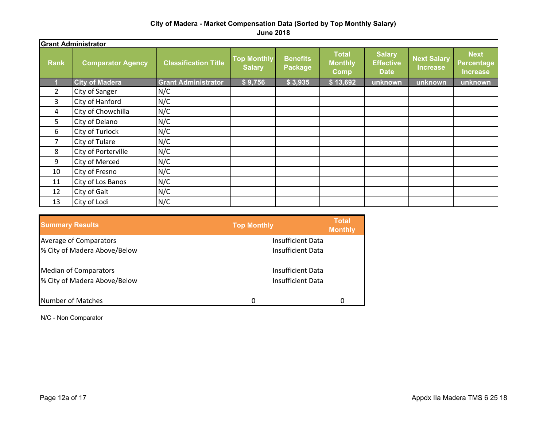|                | <b>Grant Administrator</b> |                             |                                     |                            |                                               |                                                  |                                       |                                                     |
|----------------|----------------------------|-----------------------------|-------------------------------------|----------------------------|-----------------------------------------------|--------------------------------------------------|---------------------------------------|-----------------------------------------------------|
| <b>Rank</b>    | <b>Comparator Agency</b>   | <b>Classification Title</b> | <b>Top Monthly</b><br><b>Salary</b> | <b>Benefits</b><br>Package | <b>Total</b><br><b>Monthly</b><br><b>Comp</b> | <b>Salary</b><br><b>Effective</b><br><b>Date</b> | <b>Next Salary</b><br><b>Increase</b> | <b>Next</b><br><b>Percentage</b><br><b>Increase</b> |
|                | <b>City of Madera</b>      | <b>Grant Administrator</b>  | \$9,756                             | \$3,935                    | \$13,692                                      | unknown                                          | unknown                               | unknown                                             |
| $\overline{2}$ | City of Sanger             | N/C                         |                                     |                            |                                               |                                                  |                                       |                                                     |
| 3              | City of Hanford            | N/C                         |                                     |                            |                                               |                                                  |                                       |                                                     |
| 4              | City of Chowchilla         | N/C                         |                                     |                            |                                               |                                                  |                                       |                                                     |
| 5              | City of Delano             | N/C                         |                                     |                            |                                               |                                                  |                                       |                                                     |
| 6              | City of Turlock            | N/C                         |                                     |                            |                                               |                                                  |                                       |                                                     |
| 7              | City of Tulare             | N/C                         |                                     |                            |                                               |                                                  |                                       |                                                     |
| 8              | City of Porterville        | N/C                         |                                     |                            |                                               |                                                  |                                       |                                                     |
| 9              | City of Merced             | N/C                         |                                     |                            |                                               |                                                  |                                       |                                                     |
| 10             | City of Fresno             | N/C                         |                                     |                            |                                               |                                                  |                                       |                                                     |
| 11             | City of Los Banos          | N/C                         |                                     |                            |                                               |                                                  |                                       |                                                     |
| 12             | City of Galt               | N/C                         |                                     |                            |                                               |                                                  |                                       |                                                     |
| 13             | City of Lodi               | N/C                         |                                     |                            |                                               |                                                  |                                       |                                                     |

| <b>Summary Results</b>        | <b>Top Monthly</b> | Total<br><b>Monthly</b> |
|-------------------------------|--------------------|-------------------------|
| <b>Average of Comparators</b> | Insufficient Data  |                         |
| % City of Madera Above/Below  | Insufficient Data  |                         |
| <b>Median of Comparators</b>  | Insufficient Data  |                         |
| % City of Madera Above/Below  | Insufficient Data  |                         |
| Number of Matches             |                    | 0                       |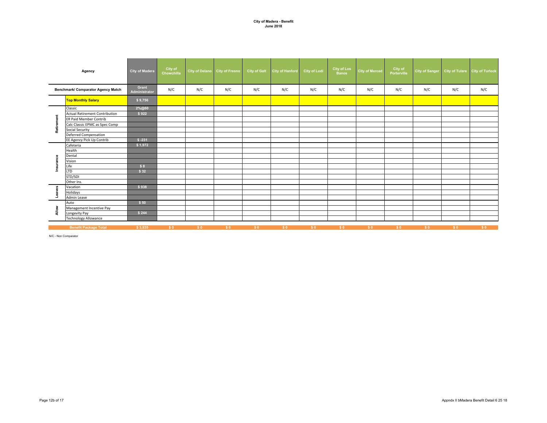|            | Agency                                | <b>City of Madera</b>  | City of<br>Chowchilla |     | City of Delano City of Fresno | <b>City of Galt</b> | City of Hanford | <b>City of Lodi</b> | <b>City of Los</b><br><b>Banos</b> | <b>City of Merced</b> | City of<br>Porterville | City of Sanger |     | City of Tulare City of Turlock |
|------------|---------------------------------------|------------------------|-----------------------|-----|-------------------------------|---------------------|-----------------|---------------------|------------------------------------|-----------------------|------------------------|----------------|-----|--------------------------------|
|            | Benchmark/ Comparator Agency Match    | Grant<br>Administrator | N/C                   | N/C | N/C                           | N/C                 | N/C             | N/C                 | N/C                                | N/C                   | N/C                    | N/C            | N/C | N/C                            |
|            | <b>Top Monthly Salary</b>             | \$9,756                |                       |     |                               |                     |                 |                     |                                    |                       |                        |                |     |                                |
|            | Classic                               | 2%@60                  |                       |     |                               |                     |                 |                     |                                    |                       |                        |                |     |                                |
|            | <b>Actual Retirement Contribution</b> | \$922                  |                       |     |                               |                     |                 |                     |                                    |                       |                        |                |     |                                |
| Retirement | ER Paid Member Contrib                |                        |                       |     |                               |                     |                 |                     |                                    |                       |                        |                |     |                                |
|            | Calc Classic EPMC as Spec Comp        |                        |                       |     |                               |                     |                 |                     |                                    |                       |                        |                |     |                                |
|            | <b>Social Security</b>                |                        |                       |     |                               |                     |                 |                     |                                    |                       |                        |                |     |                                |
|            | Deferred Compensation                 |                        |                       |     |                               |                     |                 |                     |                                    |                       |                        |                |     |                                |
|            | EE Agency Pick Up Contrib             | $$ -231$               |                       |     |                               |                     |                 |                     |                                    |                       |                        |                |     |                                |
|            | Cafeteria                             | \$1,972                |                       |     |                               |                     |                 |                     |                                    |                       |                        |                |     |                                |
|            | Health                                |                        |                       |     |                               |                     |                 |                     |                                    |                       |                        |                |     |                                |
|            | Dental                                |                        |                       |     |                               |                     |                 |                     |                                    |                       |                        |                |     |                                |
| Insurance  | Vision                                |                        |                       |     |                               |                     |                 |                     |                                    |                       |                        |                |     |                                |
|            | Life                                  | \$8                    |                       |     |                               |                     |                 |                     |                                    |                       |                        |                |     |                                |
|            | <b>LTD</b>                            | \$32                   |                       |     |                               |                     |                 |                     |                                    |                       |                        |                |     |                                |
|            | STD/SDI                               |                        |                       |     |                               |                     |                 |                     |                                    |                       |                        |                |     |                                |
|            | Other Ins.                            |                        |                       |     |                               |                     |                 |                     |                                    |                       |                        |                |     |                                |
| Leaves     | Vacation                              | \$938                  |                       |     |                               |                     |                 |                     |                                    |                       |                        |                |     |                                |
|            | Holidays                              |                        |                       |     |                               |                     |                 |                     |                                    |                       |                        |                |     |                                |
|            | Admin Leave                           |                        |                       |     |                               |                     |                 |                     |                                    |                       |                        |                |     |                                |
|            | Auto                                  | \$50                   |                       |     |                               |                     |                 |                     |                                    |                       |                        |                |     |                                |
| Allow      | Management Incentive Pay              |                        |                       |     |                               |                     |                 |                     |                                    |                       |                        |                |     |                                |
|            | Longevity Pay                         | \$244                  |                       |     |                               |                     |                 |                     |                                    |                       |                        |                |     |                                |
|            | <b>Technology Allowance</b>           |                        |                       |     |                               |                     |                 |                     |                                    |                       |                        |                |     |                                |
|            | <b>Benefit Package Total</b>          | \$3,935                | \$0                   | \$0 | \$0                           | \$0                 | S <sub>0</sub>  | \$0                 | \$0                                | S <sub>0</sub>        | \$0                    | \$0            | \$0 | \$0                            |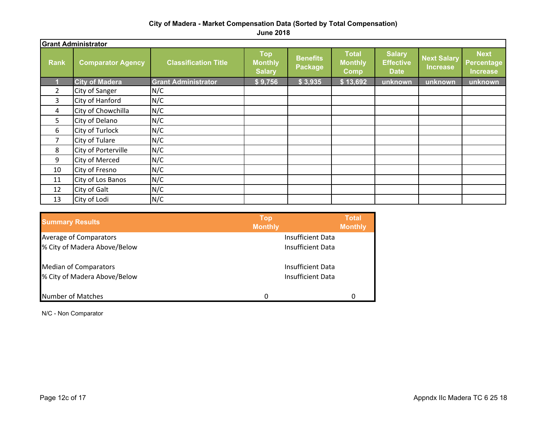**June 2018**

|                | <b>Grant Administrator</b> |                             |                                               |                            |                                               |                                                  |                                       |                                                     |
|----------------|----------------------------|-----------------------------|-----------------------------------------------|----------------------------|-----------------------------------------------|--------------------------------------------------|---------------------------------------|-----------------------------------------------------|
| <b>Rank</b>    | <b>Comparator Agency</b>   | <b>Classification Title</b> | <b>Top</b><br><b>Monthly</b><br><b>Salary</b> | <b>Benefits</b><br>Package | <b>Total</b><br><b>Monthly</b><br><b>Comp</b> | <b>Salary</b><br><b>Effective</b><br><b>Date</b> | <b>Next Salary</b><br><b>Increase</b> | <b>Next</b><br><b>Percentage</b><br><b>Increase</b> |
|                | <b>City of Madera</b>      | <b>Grant Administrator</b>  | \$9,756                                       | \$3,935                    | \$13,692                                      | unknown                                          | unknown                               | unknown                                             |
| $\overline{2}$ | City of Sanger             | N/C                         |                                               |                            |                                               |                                                  |                                       |                                                     |
| 3              | City of Hanford            | N/C                         |                                               |                            |                                               |                                                  |                                       |                                                     |
| 4              | City of Chowchilla         | N/C                         |                                               |                            |                                               |                                                  |                                       |                                                     |
| 5              | City of Delano             | N/C                         |                                               |                            |                                               |                                                  |                                       |                                                     |
| 6              | City of Turlock            | N/C                         |                                               |                            |                                               |                                                  |                                       |                                                     |
| $\overline{7}$ | City of Tulare             | N/C                         |                                               |                            |                                               |                                                  |                                       |                                                     |
| 8              | City of Porterville        | N/C                         |                                               |                            |                                               |                                                  |                                       |                                                     |
| 9              | City of Merced             | N/C                         |                                               |                            |                                               |                                                  |                                       |                                                     |
| 10             | City of Fresno             | N/C                         |                                               |                            |                                               |                                                  |                                       |                                                     |
| 11             | City of Los Banos          | N/C                         |                                               |                            |                                               |                                                  |                                       |                                                     |
| 12             | City of Galt               | N/C                         |                                               |                            |                                               |                                                  |                                       |                                                     |
| 13             | City of Lodi               | N/C                         |                                               |                            |                                               |                                                  |                                       |                                                     |

| <b>Summary Results</b>       | <b>Top</b><br><b>Monthly</b> | <b>Total</b><br><b>Monthly</b> |
|------------------------------|------------------------------|--------------------------------|
| Average of Comparators       | <b>Insufficient Data</b>     |                                |
| % City of Madera Above/Below | Insufficient Data            |                                |
| <b>Median of Comparators</b> | Insufficient Data            |                                |
| % City of Madera Above/Below | Insufficient Data            |                                |
| Number of Matches            | 0                            | O                              |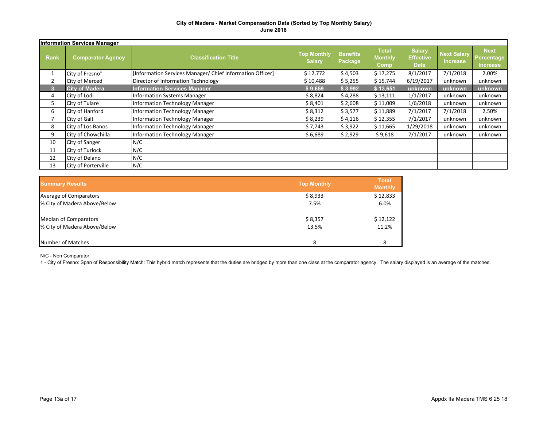|             | <b>Information Services Manager</b> |                                                           |                                     |                            |                                        |                                                  |                                       |                                              |  |  |  |  |  |
|-------------|-------------------------------------|-----------------------------------------------------------|-------------------------------------|----------------------------|----------------------------------------|--------------------------------------------------|---------------------------------------|----------------------------------------------|--|--|--|--|--|
| <b>Rank</b> | <b>Comparator Agency</b>            | <b>Classification Title</b>                               | <b>Top Monthly</b><br><b>Salary</b> | <b>Benefits</b><br>Package | <b>Total</b><br><b>Monthly</b><br>Comp | <b>Salary</b><br><b>Effective</b><br><b>Date</b> | <b>Next Salary</b><br><b>Increase</b> | <b>Next</b><br>Percentage<br><b>Increase</b> |  |  |  |  |  |
|             | City of Fresno <sup>1</sup>         | [Information Services Manager/ Chief Information Officer] | \$12,772                            | \$4,503                    | \$17,275                               | 8/1/2017                                         | 7/1/2018                              | 2.00%                                        |  |  |  |  |  |
|             | City of Merced                      | Director of Information Technology                        | \$10,488                            | \$5,255                    | \$15,744                               | 6/19/2017                                        | unknown                               | unknown                                      |  |  |  |  |  |
| 3           | <b>City of Madera</b>               | <b>Information Services Manager</b>                       | \$9,659                             | \$3,992                    | \$13,651                               | unknown                                          | unknown                               | unknown                                      |  |  |  |  |  |
| 4           | City of Lodi                        | <b>Information Systems Manager</b>                        | \$8,824                             | \$4,288                    | \$13,111                               | 1/1/2017                                         | unknown                               | unknown                                      |  |  |  |  |  |
| 5           | City of Tulare                      | Information Technology Manager                            | \$ 8,401                            | \$2,608                    | \$11,009                               | 1/6/2018                                         | unknown                               | unknown                                      |  |  |  |  |  |
| 6           | City of Hanford                     | Information Technology Manager                            | \$8,312                             | \$3,577                    | \$11,889                               | 7/1/2017                                         | 7/1/2018                              | 2.50%                                        |  |  |  |  |  |
|             | City of Galt                        | Information Technology Manager                            | \$8,239                             | \$4,116                    | \$12,355                               | 7/1/2017                                         | unknown                               | unknown                                      |  |  |  |  |  |
| 8           | City of Los Banos                   | <b>Information Technology Manager</b>                     | \$7,743                             | \$3,922                    | \$11,665                               | 1/29/2018                                        | unknown                               | unknown                                      |  |  |  |  |  |
| 9           | City of Chowchilla                  | Information Technology Manager                            | \$6,689                             | \$2,929                    | \$9,618                                | 7/1/2017                                         | unknown                               | unknown                                      |  |  |  |  |  |
| 10          | City of Sanger                      | N/C                                                       |                                     |                            |                                        |                                                  |                                       |                                              |  |  |  |  |  |
| 11          | City of Turlock                     | N/C                                                       |                                     |                            |                                        |                                                  |                                       |                                              |  |  |  |  |  |
| 12          | City of Delano                      | N/C                                                       |                                     |                            |                                        |                                                  |                                       |                                              |  |  |  |  |  |
| 13          | <b>City of Porterville</b>          | N/C                                                       |                                     |                            |                                        |                                                  |                                       |                                              |  |  |  |  |  |

| <b>Summary Results</b>       | <b>Top Monthly</b> | <b>Total</b><br><b>Monthly</b> |
|------------------------------|--------------------|--------------------------------|
| Average of Comparators       | \$8,933            | \$12,833                       |
| % City of Madera Above/Below | 7.5%               | 6.0%                           |
| Median of Comparators        | \$8,357            | \$12,122                       |
| % City of Madera Above/Below | 13.5%              | 11.2%                          |
| Number of Matches            | 8                  | 8                              |

N/C - Non Comparator

1 - City of Fresno: Span of Responsibility Match: This hybrid match represents that the duties are bridged by more than one class at the comparator agency. The salary displayed is an average of the matches.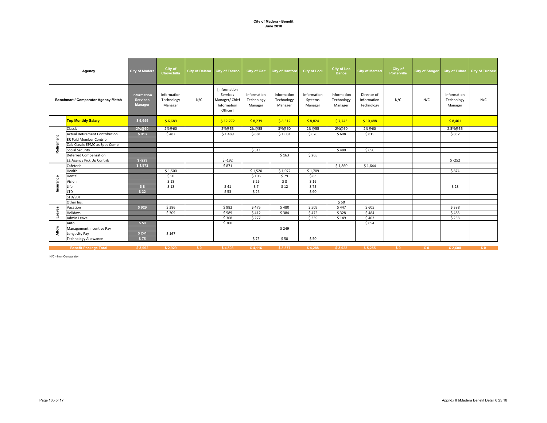|            | Agency                                | <b>City of Madera</b>                     | City of<br>Chowchilla                | City of Delano City of Fresno |                                                                       | <b>City of Galt</b>                  | <b>City of Hanford</b>               | <b>City of Lodi</b>               | <b>City of Los</b><br><b>Banos</b>   | <b>City of Merced</b>                    | City of<br><b>Porterville</b> | City of Sanger |                                      | City of Tulare City of Turlock |
|------------|---------------------------------------|-------------------------------------------|--------------------------------------|-------------------------------|-----------------------------------------------------------------------|--------------------------------------|--------------------------------------|-----------------------------------|--------------------------------------|------------------------------------------|-------------------------------|----------------|--------------------------------------|--------------------------------|
|            | Benchmark/ Comparator Agency Match    | Information<br><b>Services</b><br>Manager | Information<br>Technology<br>Manager | N/C                           | [Information<br>Services<br>Manager/ Chief<br>Information<br>Officer] | Information<br>Technology<br>Manager | Information<br>Technology<br>Manager | Information<br>Systems<br>Manager | Information<br>Technology<br>Manager | Director of<br>Information<br>Technology | N/C                           | N/C            | Information<br>Technology<br>Manager | N/C                            |
|            | <b>Top Monthly Salary</b>             | \$9,659                                   | \$6,689                              |                               | \$12,772                                                              | \$8,239                              | \$8,312                              | \$8,824                           | \$7,743                              | \$10,488                                 |                               |                | \$8,401                              |                                |
|            | Classic                               | 2%@60                                     | 2%@60                                |                               | 2%@55                                                                 | 2%@55                                | 3%@60                                | 2%@55                             | 2%@60                                | 2%@60                                    |                               |                | 2.5%@55                              |                                |
|            | <b>Actual Retirement Contribution</b> | \$913                                     | \$482                                |                               | \$1,489                                                               | \$681                                | \$1,081                              | \$676                             | \$608                                | \$815                                    |                               |                | \$832                                |                                |
| Retirement | <b>ER Paid Member Contrib</b>         |                                           |                                      |                               |                                                                       |                                      |                                      |                                   |                                      |                                          |                               |                |                                      |                                |
|            | Calc Classic EPMC as Spec Comp        |                                           |                                      |                               |                                                                       |                                      |                                      |                                   |                                      |                                          |                               |                |                                      |                                |
|            | Social Security                       |                                           |                                      |                               |                                                                       | \$511                                |                                      |                                   | \$480                                | \$650                                    |                               |                |                                      |                                |
|            | <b>Deferred Compensation</b>          |                                           |                                      |                               |                                                                       |                                      | \$163                                | \$265                             |                                      |                                          |                               |                |                                      |                                |
|            | EE Agency Pick Up Contrib             | $$ -229$                                  |                                      |                               | $$ -192$                                                              |                                      |                                      |                                   |                                      |                                          |                               |                | $$ -252$                             |                                |
|            | Cafeteria                             | \$1,972                                   |                                      |                               | \$871                                                                 |                                      |                                      |                                   | \$1,860                              | \$1,644                                  |                               |                |                                      |                                |
|            | Health                                |                                           | \$1,500                              |                               |                                                                       | \$1,520                              | \$1,072                              | \$1,709                           |                                      |                                          |                               |                | \$874                                |                                |
|            | Dental                                |                                           | \$50                                 |                               |                                                                       | \$106                                | \$79                                 | \$83                              |                                      |                                          |                               |                |                                      |                                |
| Insurance  | Vision                                |                                           | \$18                                 |                               |                                                                       | \$26                                 | \$8                                  | \$16                              |                                      |                                          |                               |                |                                      |                                |
|            | Life                                  | \$8                                       | \$18                                 |                               | \$41                                                                  | \$7                                  | \$12                                 | \$75                              |                                      |                                          |                               |                | \$23                                 |                                |
|            | <b>LTD</b>                            | \$32                                      |                                      |                               | \$53                                                                  | \$26                                 |                                      | \$90                              |                                      |                                          |                               |                |                                      |                                |
|            | STD/SDI                               |                                           |                                      |                               |                                                                       |                                      |                                      |                                   |                                      |                                          |                               |                |                                      |                                |
|            | Other Ins.                            |                                           |                                      |                               |                                                                       |                                      |                                      |                                   | \$50                                 |                                          |                               |                |                                      |                                |
| Leaves     | Vacation                              | \$929                                     | \$386                                |                               | \$982                                                                 | \$475                                | \$480                                | \$509                             | \$447                                | \$605                                    |                               |                | \$388                                |                                |
|            | Holidays                              |                                           | \$309                                |                               | \$589                                                                 | \$412                                | \$384                                | \$475                             | \$328                                | \$484                                    |                               |                | \$485                                |                                |
|            | <b>Admin Leave</b>                    |                                           |                                      |                               | \$368                                                                 | \$277                                |                                      | \$339                             | \$149                                | \$403                                    |                               |                | \$258                                |                                |
|            | Auto                                  | \$50                                      |                                      |                               | \$300                                                                 |                                      |                                      |                                   |                                      | \$654                                    |                               |                |                                      |                                |
| Allow      | Management Incentive Pay              |                                           |                                      |                               |                                                                       |                                      | \$249                                |                                   |                                      |                                          |                               |                |                                      |                                |
|            | Longevity Pay                         | \$241                                     | \$167                                |                               |                                                                       |                                      |                                      |                                   |                                      |                                          |                               |                |                                      |                                |
|            | <b>Technology Allowance</b>           | \$75                                      |                                      |                               |                                                                       | \$75                                 | \$50                                 | \$50                              |                                      |                                          |                               |                |                                      |                                |
|            | <b>Benefit Package Total</b>          | \$3,992                                   | \$2,929                              | \$0                           | \$4,503                                                               | \$4,116                              | \$3,577                              | \$4,288                           | \$3,922                              | \$5,255                                  | \$0                           | \$0            | \$2,608                              | \$0                            |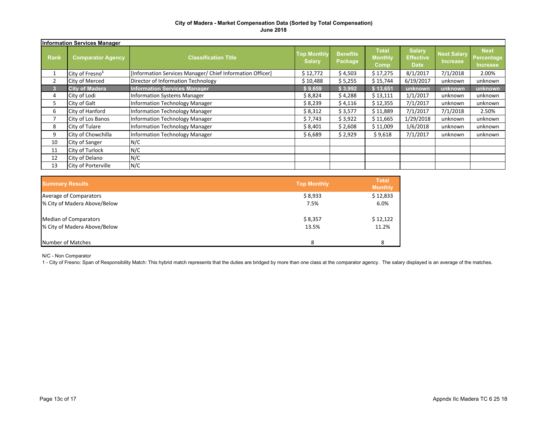|             | <b>Information Services Manager</b> |                                                           |                                     |                            |                                        |                                                  |                                       |                                                     |  |  |  |  |  |
|-------------|-------------------------------------|-----------------------------------------------------------|-------------------------------------|----------------------------|----------------------------------------|--------------------------------------------------|---------------------------------------|-----------------------------------------------------|--|--|--|--|--|
| <b>Rank</b> | <b>Comparator Agency</b>            | <b>Classification Title</b>                               | <b>Top Monthly</b><br><b>Salary</b> | <b>Benefits</b><br>Package | <b>Total</b><br><b>Monthly</b><br>Comp | <b>Salary</b><br><b>Effective</b><br><b>Date</b> | <b>Next Salary</b><br><b>Increase</b> | <b>Next</b><br><b>Percentage</b><br><b>Increase</b> |  |  |  |  |  |
|             | City of Fresno <sup>1</sup>         | [Information Services Manager/ Chief Information Officer] | \$12,772                            | \$4,503                    | \$17,275                               | 8/1/2017                                         | 7/1/2018                              | 2.00%                                               |  |  |  |  |  |
|             | City of Merced                      | Director of Information Technology                        | \$10,488                            | \$5,255                    | \$15,744                               | 6/19/2017                                        | unknown                               | unknown                                             |  |  |  |  |  |
| 3           | <b>City of Madera</b>               | <b>Information Services Manager</b>                       | \$9,659                             | \$3,992                    | \$13,651                               | unknown                                          | unknown                               | unknown                                             |  |  |  |  |  |
| 4           | City of Lodi                        | <b>Information Systems Manager</b>                        | \$8,824                             | \$4,288                    | \$13,111                               | 1/1/2017                                         | unknown                               | unknown                                             |  |  |  |  |  |
| 5           | City of Galt                        | <b>Information Technology Manager</b>                     | \$8,239                             | \$4,116                    | \$12,355                               | 7/1/2017                                         | unknown                               | unknown                                             |  |  |  |  |  |
| 6           | City of Hanford                     | <b>Information Technology Manager</b>                     | \$8,312                             | \$3,577                    | \$11,889                               | 7/1/2017                                         | 7/1/2018                              | 2.50%                                               |  |  |  |  |  |
|             | City of Los Banos                   | <b>Information Technology Manager</b>                     | \$7,743                             | \$3,922                    | \$11,665                               | 1/29/2018                                        | unknown                               | unknown                                             |  |  |  |  |  |
| 8           | City of Tulare                      | <b>Information Technology Manager</b>                     | \$8,401                             | \$2,608                    | \$11,009                               | 1/6/2018                                         | unknown                               | unknown                                             |  |  |  |  |  |
| 9           | City of Chowchilla                  | <b>Information Technology Manager</b>                     | \$6,689                             | \$2,929                    | \$9,618                                | 7/1/2017                                         | unknown                               | unknown                                             |  |  |  |  |  |
| 10          | City of Sanger                      | N/C                                                       |                                     |                            |                                        |                                                  |                                       |                                                     |  |  |  |  |  |
| 11          | City of Turlock                     | N/C                                                       |                                     |                            |                                        |                                                  |                                       |                                                     |  |  |  |  |  |
| 12          | City of Delano                      | N/C                                                       |                                     |                            |                                        |                                                  |                                       |                                                     |  |  |  |  |  |
| 13          | <b>City of Porterville</b>          | N/C                                                       |                                     |                            |                                        |                                                  |                                       |                                                     |  |  |  |  |  |

| <b>Summary Results</b>       | <b>Top Monthly</b> | <b>Total</b><br><b>Monthly</b> |
|------------------------------|--------------------|--------------------------------|
| Average of Comparators       | \$8,933            | \$12,833                       |
| % City of Madera Above/Below | 7.5%               | 6.0%                           |
| <b>Median of Comparators</b> | \$8,357            | \$12,122                       |
| % City of Madera Above/Below | 13.5%              | 11.2%                          |
| Number of Matches            | 8                  |                                |

N/C - Non Comparator

1 - City of Fresno: Span of Responsibility Match: This hybrid match represents that the duties are bridged by more than one class at the comparator agency. The salary displayed is an average of the matches.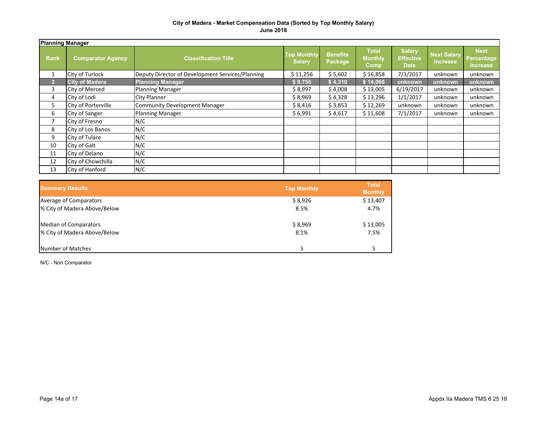|                | <b>Planning Manager</b>    |                                                  |                                     |                            |                                        |                                                  |                                       |                                                     |  |  |  |  |
|----------------|----------------------------|--------------------------------------------------|-------------------------------------|----------------------------|----------------------------------------|--------------------------------------------------|---------------------------------------|-----------------------------------------------------|--|--|--|--|
| <b>Rank</b>    | <b>Comparator Agency</b>   | <b>Classification Title</b>                      | <b>Top Monthly</b><br><b>Salary</b> | <b>Benefits</b><br>Package | <b>Total</b><br><b>Monthly</b><br>Comp | <b>Salary</b><br><b>Effective</b><br><b>Date</b> | <b>Next Salary</b><br><b>Increase</b> | <b>Next</b><br><b>Percentage</b><br><b>Increase</b> |  |  |  |  |
|                | City of Turlock            | Deputy Director of Development Services/Planning | \$11,256                            | \$5,602                    | \$16,858                               | 7/1/2017                                         | unknown                               | unknown                                             |  |  |  |  |
| $\overline{2}$ | <b>City of Madera</b>      | <b>Planning Manager</b>                          | \$9,756                             | \$4,310                    | \$14,066                               | unknown                                          | unknown                               | unknown                                             |  |  |  |  |
| 3              | <b>City of Merced</b>      | <b>Planning Manager</b>                          | \$8,997                             | \$4,008                    | \$13,005                               | 6/19/2017                                        | unknown                               | unknown                                             |  |  |  |  |
| 4              | City of Lodi               | <b>City Planner</b>                              | \$8,969                             | \$4,328                    | \$13,296                               | 1/1/2017                                         | unknown                               | unknown                                             |  |  |  |  |
| 5              | <b>City of Porterville</b> | <b>Community Development Manager</b>             | \$8,416                             | \$3,853                    | \$12,269                               | unknown                                          | unknown                               | unknown                                             |  |  |  |  |
| 6              | City of Sanger             | <b>Planning Manager</b>                          | \$6,991                             | \$4,617                    | \$11,608                               | 7/1/2017                                         | unknown                               | unknown                                             |  |  |  |  |
|                | City of Fresno             | N/C                                              |                                     |                            |                                        |                                                  |                                       |                                                     |  |  |  |  |
| 8              | City of Los Banos          | N/C                                              |                                     |                            |                                        |                                                  |                                       |                                                     |  |  |  |  |
| 9              | City of Tulare             | N/C                                              |                                     |                            |                                        |                                                  |                                       |                                                     |  |  |  |  |
| 10             | City of Galt               | N/C                                              |                                     |                            |                                        |                                                  |                                       |                                                     |  |  |  |  |
| 11             | City of Delano             | N/C                                              |                                     |                            |                                        |                                                  |                                       |                                                     |  |  |  |  |
| 12             | City of Chowchilla         | N/C                                              |                                     |                            |                                        |                                                  |                                       |                                                     |  |  |  |  |
| 13             | City of Hanford            | N/C                                              |                                     |                            |                                        |                                                  |                                       |                                                     |  |  |  |  |

| <b>Summary Results</b>       | <b>Top Monthly</b> | <b>Total</b><br><b>Monthly</b> |
|------------------------------|--------------------|--------------------------------|
| Average of Comparators       | \$8,926            | \$13,407                       |
| % City of Madera Above/Below | 8.5%               | 4.7%                           |
| <b>Median of Comparators</b> | \$8,969            | \$13,005                       |
| % City of Madera Above/Below | 8.1%               | 7.5%                           |
| Number of Matches            |                    |                                |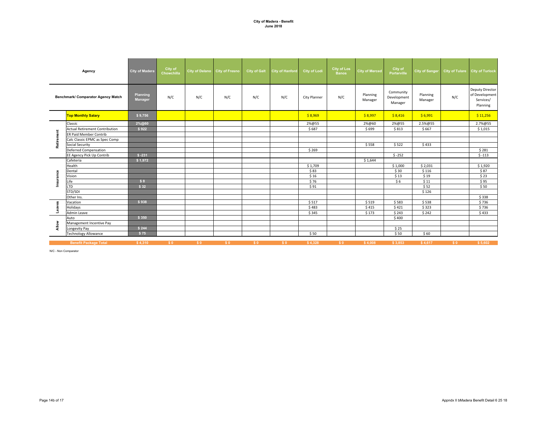|            | Agency                                    | <b>City of Madera</b> | City of<br>Chowchilla |     | City of Delano City of Fresno | <b>City of Galt</b> | <b>City of Hanford</b> | <b>City of Lodi</b> | <b>City of Los</b><br><b>Banos</b> | <b>City of Merced</b> | City of<br><b>Porterville</b>       | <b>City of Sanger</b> |                | City of Tulare City of Turlock                                    |
|------------|-------------------------------------------|-----------------------|-----------------------|-----|-------------------------------|---------------------|------------------------|---------------------|------------------------------------|-----------------------|-------------------------------------|-----------------------|----------------|-------------------------------------------------------------------|
|            | <b>Benchmark/ Comparator Agency Match</b> | Planning<br>Manager   | N/C                   | N/C | N/C                           | N/C                 | N/C                    | <b>City Planner</b> | N/C                                | Planning<br>Manager   | Community<br>Development<br>Manager | Planning<br>Manager   | N/C            | <b>Deputy Director</b><br>of Development<br>Services/<br>Planning |
|            | <b>Top Monthly Salary</b>                 | \$9,756               |                       |     |                               |                     |                        | \$8,969             |                                    | \$8,997               | \$8,416                             | \$6,991               |                | \$11,256                                                          |
|            | Classic                                   | 2%@60                 |                       |     |                               |                     |                        | 2%@55               |                                    | 2%@60                 | 2%@55                               | 2.5%@55               |                | 2.7%@55                                                           |
|            | <b>Actual Retirement Contribution</b>     | \$922                 |                       |     |                               |                     |                        | \$687               |                                    | \$699                 | \$813                               | \$667                 |                | \$1,015                                                           |
|            | <b>ER Paid Member Contrib</b>             |                       |                       |     |                               |                     |                        |                     |                                    |                       |                                     |                       |                |                                                                   |
|            | Calc Classic EPMC as Spec Comp            |                       |                       |     |                               |                     |                        |                     |                                    |                       |                                     |                       |                |                                                                   |
| Retirement | <b>Social Security</b>                    |                       |                       |     |                               |                     |                        |                     |                                    | \$558                 | \$522                               | \$433                 |                |                                                                   |
|            | <b>Deferred Compensation</b>              |                       |                       |     |                               |                     |                        | \$269               |                                    |                       |                                     |                       |                | \$281                                                             |
|            | EE Agency Pick Up Contrib                 | $$ -231$              |                       |     |                               |                     |                        |                     |                                    |                       | $$ -252$                            |                       |                | $$-113$                                                           |
|            | Cafeteria                                 | \$1,972               |                       |     |                               |                     |                        |                     |                                    | \$1,644               |                                     |                       |                |                                                                   |
|            | Health                                    |                       |                       |     |                               |                     |                        | \$1,709             |                                    |                       | \$1,000                             | \$2,031               |                | \$1,920                                                           |
|            | Dental                                    |                       |                       |     |                               |                     |                        | \$83                |                                    |                       | \$30                                | \$116                 |                | \$87                                                              |
|            | Vision                                    |                       |                       |     |                               |                     |                        | \$16                |                                    |                       | \$13                                | \$19                  |                | \$23                                                              |
| Insurance  | Life                                      | \$8                   |                       |     |                               |                     |                        | \$76                |                                    |                       | \$6                                 | \$11                  |                | \$95                                                              |
|            | <b>LTD</b>                                | \$32                  |                       |     |                               |                     |                        | \$91                |                                    |                       |                                     | \$52                  |                | \$50                                                              |
|            | STD/SDI                                   |                       |                       |     |                               |                     |                        |                     |                                    |                       |                                     | \$126                 |                |                                                                   |
|            | Other Ins.                                |                       |                       |     |                               |                     |                        |                     |                                    |                       |                                     |                       |                | \$338                                                             |
|            | Vacation                                  | \$938                 |                       |     |                               |                     |                        | \$517               |                                    | \$519                 | \$583                               | \$538                 |                | \$736                                                             |
| Leaves     | Holidays                                  |                       |                       |     |                               |                     |                        | \$483               |                                    | \$415                 | \$421                               | \$323                 |                | \$736                                                             |
|            | Admin Leave                               |                       |                       |     |                               |                     |                        | \$345               |                                    | \$173                 | \$243                               | \$242                 |                | \$433                                                             |
|            | Auto                                      | \$350                 |                       |     |                               |                     |                        |                     |                                    |                       | \$400                               |                       |                |                                                                   |
| Allow      | Management Incentive Pay                  |                       |                       |     |                               |                     |                        |                     |                                    |                       |                                     |                       |                |                                                                   |
|            | Longevity Pay                             | \$244                 |                       |     |                               |                     |                        |                     |                                    |                       | \$25                                |                       |                |                                                                   |
|            | <b>Technology Allowance</b>               | \$75                  |                       |     |                               |                     |                        | \$50                |                                    |                       | \$50                                | \$60                  |                |                                                                   |
|            | <b>Benefit Package Total</b>              | \$4,310               | \$0                   | \$0 | \$0                           | \$0                 | \$0                    | \$4,328             | \$0                                | \$4,008               | \$3,853                             | \$4,617               | S <sub>0</sub> | \$5,602                                                           |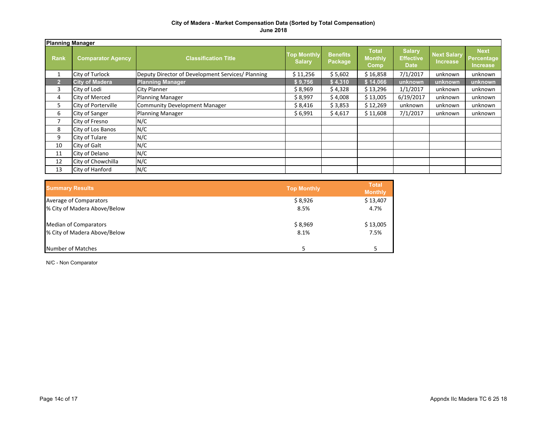|      | <b>Planning Manager</b>  |                                                   |                                     |                            |                                        |                                                  |                                       |                                              |  |  |  |  |  |
|------|--------------------------|---------------------------------------------------|-------------------------------------|----------------------------|----------------------------------------|--------------------------------------------------|---------------------------------------|----------------------------------------------|--|--|--|--|--|
| Rank | <b>Comparator Agency</b> | <b>Classification Title</b>                       | <b>Top Monthly</b><br><b>Salary</b> | <b>Benefits</b><br>Package | <b>Total</b><br><b>Monthly</b><br>Comp | <b>Salary</b><br><b>Effective</b><br><b>Date</b> | <b>Next Salary</b><br><b>Increase</b> | <b>Next</b><br>Percentage<br><b>Increase</b> |  |  |  |  |  |
| 1    | City of Turlock          | Deputy Director of Development Services/ Planning | \$11,256                            | \$5,602                    | \$16,858                               | 7/1/2017                                         | unknown                               | unknown                                      |  |  |  |  |  |
| 2    | <b>City of Madera</b>    | <b>Planning Manager</b>                           | \$9,756                             | \$4,310                    | \$14,066                               | unknown                                          | unknown                               | unknown                                      |  |  |  |  |  |
| 3    | City of Lodi             | <b>City Planner</b>                               | \$8,969                             | \$4,328                    | \$13,296                               | 1/1/2017                                         | unknown                               | unknown                                      |  |  |  |  |  |
| 4    | <b>City of Merced</b>    | Planning Manager                                  | \$8,997                             | \$4,008                    | \$13,005                               | 6/19/2017                                        | unknown                               | unknown                                      |  |  |  |  |  |
| 5    | City of Porterville      | Community Development Manager                     | \$8,416                             | \$3,853                    | \$12,269                               | unknown                                          | unknown                               | unknown                                      |  |  |  |  |  |
| 6    | City of Sanger           | Planning Manager                                  | \$6,991                             | \$4,617                    | \$11,608                               | 7/1/2017                                         | unknown                               | unknown                                      |  |  |  |  |  |
| 7    | City of Fresno           | N/C                                               |                                     |                            |                                        |                                                  |                                       |                                              |  |  |  |  |  |
| 8    | City of Los Banos        | N/C                                               |                                     |                            |                                        |                                                  |                                       |                                              |  |  |  |  |  |
| 9    | City of Tulare           | N/C                                               |                                     |                            |                                        |                                                  |                                       |                                              |  |  |  |  |  |
| 10   | City of Galt             | N/C                                               |                                     |                            |                                        |                                                  |                                       |                                              |  |  |  |  |  |
| 11   | City of Delano           | N/C                                               |                                     |                            |                                        |                                                  |                                       |                                              |  |  |  |  |  |
| 12   | City of Chowchilla       | N/C                                               |                                     |                            |                                        |                                                  |                                       |                                              |  |  |  |  |  |
| 13   | City of Hanford          | N/C                                               |                                     |                            |                                        |                                                  |                                       |                                              |  |  |  |  |  |

| <b>Summary Results</b>       | <b>Top Monthly</b> | <b>Total</b><br><b>Monthly</b> |
|------------------------------|--------------------|--------------------------------|
| Average of Comparators       | \$8,926            | \$13,407                       |
| % City of Madera Above/Below | 8.5%               | 4.7%                           |
| Median of Comparators        | \$8,969            | \$13,005                       |
| % City of Madera Above/Below | 8.1%               | 7.5%                           |
| Number of Matches            |                    |                                |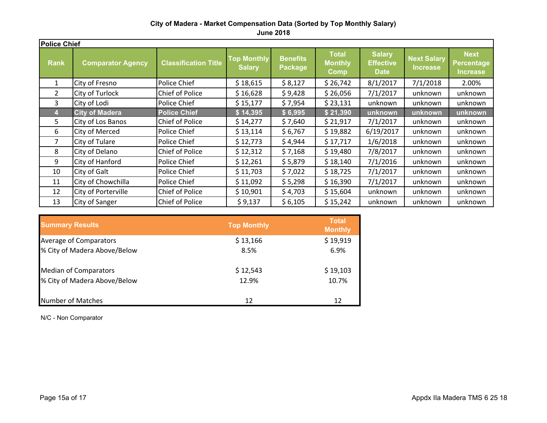|                | <b>Police Chief</b>      |                             |                                     |                            |                                                      |                                                  |                                       |                                              |  |  |  |  |  |  |
|----------------|--------------------------|-----------------------------|-------------------------------------|----------------------------|------------------------------------------------------|--------------------------------------------------|---------------------------------------|----------------------------------------------|--|--|--|--|--|--|
| <b>Rank</b>    | <b>Comparator Agency</b> | <b>Classification Title</b> | <b>Top Monthly</b><br><b>Salary</b> | <b>Benefits</b><br>Package | <b>Total</b><br><b>Monthly</b><br>$  \mathsf{Comp} $ | <b>Salary</b><br><b>Effective</b><br><b>Date</b> | <b>Next Salary</b><br><b>Increase</b> | <b>Next</b><br><b>Percentage</b><br>Increase |  |  |  |  |  |  |
| $\mathbf{1}$   | City of Fresno           | Police Chief                | \$18,615                            | \$8,127                    | \$26,742                                             | 8/1/2017                                         | 7/1/2018                              | 2.00%                                        |  |  |  |  |  |  |
| $\overline{2}$ | City of Turlock          | Chief of Police             | \$16,628                            | \$9,428                    | \$26,056                                             | 7/1/2017                                         | unknown                               | unknown                                      |  |  |  |  |  |  |
| 3              | City of Lodi             | Police Chief                | \$15,177                            | \$7,954                    | \$23,131                                             | unknown                                          | unknown                               | unknown                                      |  |  |  |  |  |  |
|                | <b>City of Madera</b>    | <b>Police Chief</b>         | \$14,395                            | \$6,995                    | \$21,390                                             | unknown                                          | unknown                               | unknown                                      |  |  |  |  |  |  |
| 5.             | City of Los Banos        | Chief of Police             | \$14,277                            | \$7,640                    | \$21,917                                             | 7/1/2017                                         | unknown                               | unknown                                      |  |  |  |  |  |  |
| 6              | City of Merced           | Police Chief                | \$13,114                            | \$6,767                    | \$19,882                                             | 6/19/2017                                        | unknown                               | unknown                                      |  |  |  |  |  |  |
|                | City of Tulare           | Police Chief                | \$12,773                            | \$4,944                    | \$17,717                                             | 1/6/2018                                         | unknown                               | unknown                                      |  |  |  |  |  |  |
| 8              | City of Delano           | Chief of Police             | \$12,312                            | \$7,168                    | \$19,480                                             | 7/8/2017                                         | unknown                               | unknown                                      |  |  |  |  |  |  |
| 9              | City of Hanford          | Police Chief                | \$12,261                            | \$5,879                    | \$18,140                                             | 7/1/2016                                         | unknown                               | unknown                                      |  |  |  |  |  |  |
| 10             | City of Galt             | Police Chief                | \$11,703                            | \$7,022                    | \$18,725                                             | 7/1/2017                                         | unknown                               | unknown                                      |  |  |  |  |  |  |
| 11             | City of Chowchilla       | Police Chief                | \$11,092                            | \$5,298                    | \$16,390                                             | 7/1/2017                                         | unknown                               | unknown                                      |  |  |  |  |  |  |
| 12             | City of Porterville      | Chief of Police             | \$10,901                            | \$4,703                    | \$15,604                                             | unknown                                          | unknown                               | unknown                                      |  |  |  |  |  |  |
| 13             | City of Sanger           | <b>Chief of Police</b>      | \$9,137                             | \$6,105                    | \$15,242                                             | unknown                                          | unknown                               | unknown                                      |  |  |  |  |  |  |

| <b>Summary Results</b>       | <b>Top Monthly</b> | <b>Total</b><br><b>Monthly</b> |
|------------------------------|--------------------|--------------------------------|
| Average of Comparators       | \$13,166           | \$19,919                       |
| % City of Madera Above/Below | 8.5%               | 6.9%                           |
| <b>Median of Comparators</b> | \$12,543           | \$19,103                       |
| % City of Madera Above/Below | 12.9%              | 10.7%                          |
| <b>Number of Matches</b>     | 12                 | 12                             |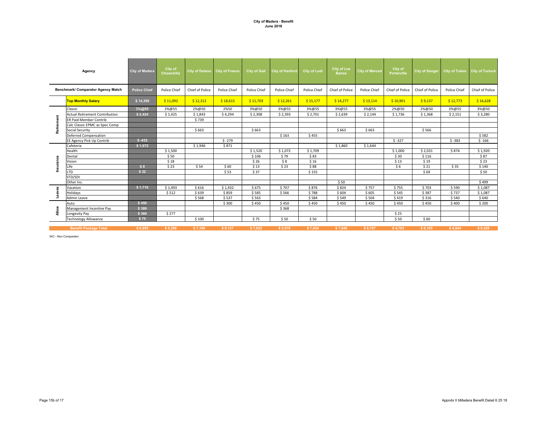|              | Agency                                | <b>City of Madera</b> | City of<br>Chowchilla |                 | City of Delano City of Fresno | <b>City of Galt</b> | <b>City of Hanford</b> | <b>City of Lodi</b> | <b>City of Los</b><br><b>Banos</b> | <b>City of Merced</b> | City of<br><b>Porterville</b> | <b>City of Sanger</b> |              | City of Tulare City of Turlock |
|--------------|---------------------------------------|-----------------------|-----------------------|-----------------|-------------------------------|---------------------|------------------------|---------------------|------------------------------------|-----------------------|-------------------------------|-----------------------|--------------|--------------------------------|
|              | Benchmark/ Comparator Agency Match    | <b>Police Chief</b>   | Police Chief          | Chief of Police | Police Chief                  | <b>Police Chief</b> | Police Chief           | Police Chief        | Chief of Police                    | Police Chief          | Chief of Police               | Chief of Police       | Police Chief | Chief of Police                |
|              | <b>Top Monthly Salary</b>             | \$14,395              | \$11,092              | \$12,312        | \$18,615                      | \$11,703            | \$12,261               | \$15,177            | \$14,277                           | \$13,114              | \$10,901                      | \$9,137               | \$12,773     | \$16,628                       |
|              | Classic                               | 3%@55                 | 2%@55                 | 2%@50           | 2%50                          | 3%@50               | 3%@55                  | 3%@55               | 3%@55                              | 3%@55                 | 2%@50                         | 2%@50                 | 3%@55        | 3%@50                          |
|              | <b>Actual Retirement Contribution</b> | \$2,424               | \$1,425               | \$1,843         | \$4,294                       | \$2,308             | \$2,393                | \$2,701             | \$2,639                            | \$2,144               | \$1,736                       | \$1,368               | \$2,151      | \$3,280                        |
| Retirement   | <b>ER Paid Member Contrib</b>         |                       |                       | \$739           |                               |                     |                        |                     |                                    |                       |                               |                       |              |                                |
|              | Calc Classic EPMC as Spec Comp        |                       |                       |                 |                               |                     |                        |                     |                                    |                       |                               |                       |              |                                |
|              | Social Security                       |                       |                       | \$663           |                               | \$663               |                        |                     | \$663                              | \$663                 |                               | \$566                 |              |                                |
|              | <b>Deferred Compensation</b>          |                       |                       |                 |                               |                     | \$163                  | \$455               |                                    |                       |                               |                       |              | \$582                          |
|              | EE Agency Pick Up Contrib             | $$ -432$              |                       |                 | $$ -279$                      |                     |                        |                     |                                    |                       | $$ -327$                      |                       | $$ -383$     | $$ -166$                       |
|              | Cafeteria                             | \$1,972               |                       | \$1,946         | \$871                         |                     |                        |                     | \$1,860                            | \$1,644               |                               |                       |              |                                |
|              | Health                                |                       | \$1,500               |                 |                               | \$1,520             | \$1,072                | \$1,709             |                                    |                       | \$1,000                       | \$2,031               | \$874        | \$1,920                        |
| 8            | Dental                                |                       | \$50                  |                 |                               | \$106               | \$79                   | \$83                |                                    |                       | \$30                          | \$116                 |              | \$87                           |
|              | Vision                                |                       | \$18                  |                 |                               | \$26                | \$8                    | \$16                |                                    |                       | \$13                          | \$19                  |              | \$23                           |
|              | Life                                  | \$8                   | \$23                  | \$54            | \$60                          | \$13                | \$23                   | \$88                |                                    |                       | \$6                           | \$21                  | \$35         | \$140                          |
|              | <b>LTD</b>                            | \$32                  |                       |                 | \$53                          | \$37                |                        | \$155               |                                    |                       |                               | \$69                  |              | \$50                           |
|              | STD/SDI                               |                       |                       |                 |                               |                     |                        |                     |                                    |                       |                               |                       |              |                                |
|              | Other Ins.                            |                       |                       |                 |                               |                     |                        |                     | \$50                               |                       |                               |                       |              | \$499                          |
| 8            | Vacation                              | \$1,716               | \$1,493               | \$616           | \$1,432                       | \$675               | \$707                  | \$876               | \$824                              | \$757                 | \$755                         | \$703                 | \$590        | \$1,087                        |
|              | Holidays                              |                       | \$512                 | \$639           | \$859                         | \$585               | \$566                  | \$788               | \$604                              | \$605                 | \$545                         | \$387                 | \$737        | \$1,087                        |
|              | Admin Leave                           |                       |                       | \$568           | \$537                         | \$563               |                        | \$584               | \$549                              | \$504                 | \$419                         | \$316                 | \$540        | \$640                          |
|              | Auto                                  | \$450                 |                       |                 | \$300                         | \$450               | \$450                  | \$450               | \$450                              | \$450                 | \$450                         | \$450                 | \$400        | \$200                          |
| <b>Allow</b> | Management Incentive Pay              | \$389                 |                       |                 |                               |                     | \$368                  |                     |                                    |                       |                               |                       |              |                                |
|              | Longevity Pay                         | \$360                 | \$277                 |                 |                               |                     |                        |                     |                                    |                       | \$25                          |                       |              |                                |
|              | <b>Technology Allowance</b>           | \$75                  |                       | \$100           |                               | \$75                | \$50                   | \$50                |                                    |                       | \$50                          | \$60                  |              |                                |
|              | <b>Benefit Package Total</b>          | \$6.995               | \$5,298               | \$7,168         | \$8.127                       | \$7,022             | \$5.879                | \$7,954             | \$7,640                            | \$6,767               | \$4,703                       | \$6,105               | \$4.944      | \$9.428                        |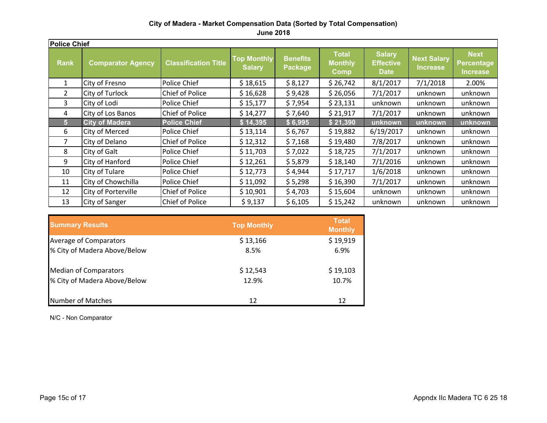**June 2018**

| <b>Police Chief</b> |                          |                             |                                                                   |         |                                               |                                                  |          |                                              |  |  |  |  |
|---------------------|--------------------------|-----------------------------|-------------------------------------------------------------------|---------|-----------------------------------------------|--------------------------------------------------|----------|----------------------------------------------|--|--|--|--|
| <b>Rank</b>         | <b>Comparator Agency</b> | <b>Classification Title</b> | <b>Top Monthly</b><br><b>Benefits</b><br><b>Salary</b><br>Package |         | <b>Total</b><br><b>Monthly</b><br><b>Comp</b> | <b>Salary</b><br><b>Effective</b><br><b>Date</b> |          | <b>Next</b><br><b>Percentage</b><br>Increase |  |  |  |  |
| 1                   | City of Fresno           | Police Chief                | \$18,615                                                          | \$8,127 | \$26,742                                      | 8/1/2017                                         | 7/1/2018 | 2.00%                                        |  |  |  |  |
| 2                   | City of Turlock          | <b>Chief of Police</b>      | \$16,628                                                          | \$9,428 | \$26,056                                      | 7/1/2017                                         | unknown  | unknown                                      |  |  |  |  |
| 3                   | City of Lodi             | Police Chief                | \$15,177                                                          | \$7,954 | \$23,131                                      | unknown                                          | unknown  | unknown                                      |  |  |  |  |
| 4                   | City of Los Banos        | <b>Chief of Police</b>      | \$14,277                                                          | \$7,640 | \$21,917                                      | 7/1/2017                                         | unknown  | unknown                                      |  |  |  |  |
| 5                   | <b>City of Madera</b>    | <b>Police Chief</b>         | \$14,395                                                          | \$6,995 | \$21,390                                      | unknown                                          | unknown  | unknown                                      |  |  |  |  |
| 6                   | City of Merced           | Police Chief                | \$13,114                                                          | \$6,767 | \$19,882                                      | 6/19/2017                                        | unknown  | unknown                                      |  |  |  |  |
|                     | City of Delano           | <b>Chief of Police</b>      | \$12,312                                                          | \$7,168 | \$19,480                                      | 7/8/2017                                         | unknown  | unknown                                      |  |  |  |  |
| 8                   | City of Galt             | Police Chief                | \$11,703                                                          | \$7,022 | \$18,725                                      | 7/1/2017                                         | unknown  | unknown                                      |  |  |  |  |
| 9                   | City of Hanford          | Police Chief                | \$12,261                                                          | \$5,879 | \$18,140                                      | 7/1/2016                                         | unknown  | unknown                                      |  |  |  |  |
| 10                  | City of Tulare           | Police Chief                | \$12,773                                                          | \$4,944 | \$17,717                                      | 1/6/2018                                         | unknown  | unknown                                      |  |  |  |  |
| 11                  | City of Chowchilla       | Police Chief                | \$11,092                                                          | \$5,298 | \$16,390                                      | 7/1/2017                                         | unknown  | unknown                                      |  |  |  |  |
| 12                  | City of Porterville      | <b>Chief of Police</b>      | \$10,901                                                          | \$4,703 | \$15,604                                      | unknown                                          | unknown  | unknown                                      |  |  |  |  |
| 13                  | <b>City of Sanger</b>    | Chief of Police             | \$9,137                                                           | \$6,105 | \$15,242                                      | unknown                                          | unknown  | unknown                                      |  |  |  |  |

| <b>Summary Results</b>       | <b>Top Monthly</b> | <b>Total</b><br><b>Monthly</b> |
|------------------------------|--------------------|--------------------------------|
| Average of Comparators       | \$13,166           | \$19,919                       |
| % City of Madera Above/Below | 8.5%               | 6.9%                           |
| <b>Median of Comparators</b> | \$12,543           | \$19,103                       |
| % City of Madera Above/Below | 12.9%              | 10.7%                          |
| <b>Number of Matches</b>     | 12                 | 12                             |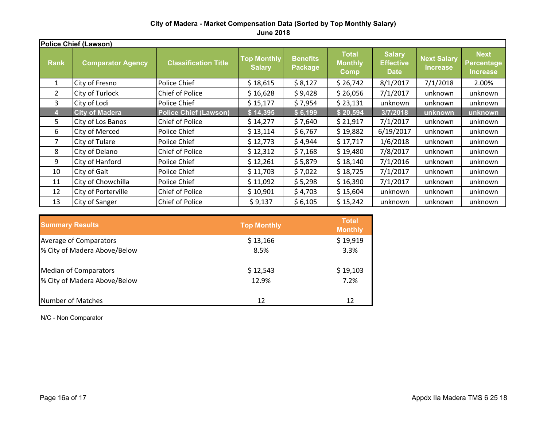|                | Police Chief (Lawson)    |                              |                                                                          |         |                                                |                                                  |                                       |                                                     |  |  |  |  |  |
|----------------|--------------------------|------------------------------|--------------------------------------------------------------------------|---------|------------------------------------------------|--------------------------------------------------|---------------------------------------|-----------------------------------------------------|--|--|--|--|--|
| <b>Rank</b>    | <b>Comparator Agency</b> | <b>Classification Title</b>  | <b>Top Monthly</b><br><b>Benefits</b><br><b>Salary</b><br><b>Package</b> |         | <b>Total</b><br><b>Monthly</b><br><u>lComp</u> | <b>Salary</b><br><b>Effective</b><br><b>Date</b> | <b>Next Salary</b><br><b>Increase</b> | <b>Next</b><br><b>Percentage</b><br><b>Increase</b> |  |  |  |  |  |
| $\mathbf{1}$   | City of Fresno           | Police Chief                 | \$18,615                                                                 | \$8,127 | \$26,742                                       | 8/1/2017                                         | 7/1/2018                              | 2.00%                                               |  |  |  |  |  |
| $\overline{2}$ | City of Turlock          | Chief of Police              | \$16,628                                                                 | \$9,428 | \$26,056                                       | 7/1/2017                                         | unknown                               | unknown                                             |  |  |  |  |  |
| 3              | City of Lodi             | Police Chief                 | \$15,177                                                                 | \$7,954 | \$23,131                                       | unknown                                          | unknown                               | unknown                                             |  |  |  |  |  |
|                | <b>City of Madera</b>    | <b>Police Chief (Lawson)</b> | \$14,395                                                                 | \$6,199 | \$20,594                                       | 3/7/2018                                         | unknown                               | unknown                                             |  |  |  |  |  |
| 5              | City of Los Banos        | Chief of Police              | \$14,277                                                                 | \$7,640 | \$21,917                                       | 7/1/2017                                         | unknown                               | unknown                                             |  |  |  |  |  |
| 6              | City of Merced           | Police Chief                 | \$13,114                                                                 | \$6,767 | \$19,882                                       | 6/19/2017                                        | unknown                               | unknown                                             |  |  |  |  |  |
| 7              | City of Tulare           | Police Chief                 | \$12,773                                                                 | \$4,944 | \$17,717                                       | 1/6/2018                                         | unknown                               | unknown                                             |  |  |  |  |  |
| 8              | City of Delano           | Chief of Police              | \$12,312                                                                 | \$7,168 | \$19,480                                       | 7/8/2017                                         | unknown                               | unknown                                             |  |  |  |  |  |
| 9              | City of Hanford          | Police Chief                 | \$12,261                                                                 | \$5,879 | \$18,140                                       | 7/1/2016                                         | unknown                               | unknown                                             |  |  |  |  |  |
| 10             | City of Galt             | Police Chief                 | \$11,703                                                                 | \$7,022 | \$18,725                                       | 7/1/2017                                         | unknown                               | unknown                                             |  |  |  |  |  |
| 11             | City of Chowchilla       | Police Chief                 | \$11,092                                                                 | \$5,298 | \$16,390                                       | 7/1/2017                                         | unknown                               | unknown                                             |  |  |  |  |  |
| 12             | City of Porterville      | Chief of Police              | \$10,901                                                                 | \$4,703 | \$15,604                                       | unknown                                          | unknown                               | unknown                                             |  |  |  |  |  |
| 13             | City of Sanger           | <b>Chief of Police</b>       | \$9,137                                                                  | \$6,105 | \$15,242                                       | unknown                                          | unknown                               | unknown                                             |  |  |  |  |  |

| <b>Summary Results</b>        | <b>Top Monthly</b> | <b>Total</b><br><b>Monthly</b> |
|-------------------------------|--------------------|--------------------------------|
| <b>Average of Comparators</b> | \$13,166           | \$19,919                       |
| % City of Madera Above/Below  | 8.5%               | 3.3%                           |
| <b>Median of Comparators</b>  | \$12,543           | \$19,103                       |
| % City of Madera Above/Below  | 12.9%              | 7.2%                           |
| Number of Matches             | 12                 | 12                             |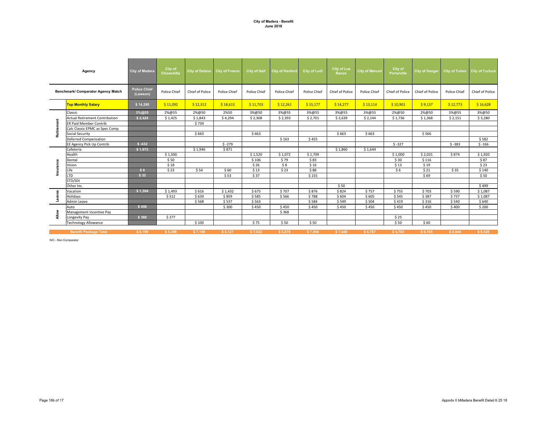|              | Agency                                | <b>City of Madera</b>           | City of<br><b>Chowchilla</b> |                 | City of Delano City of Fresno | <b>City of Galt</b> | <b>City of Hanford</b> | <b>City of Lodi</b> | <b>City of Los</b><br><b>Banos</b> | <b>City of Merced</b> | City of<br><b>Porterville</b> | City of Sanger  |              | City of Tulare City of Turlock |
|--------------|---------------------------------------|---------------------------------|------------------------------|-----------------|-------------------------------|---------------------|------------------------|---------------------|------------------------------------|-----------------------|-------------------------------|-----------------|--------------|--------------------------------|
|              | Benchmark/ Comparator Agency Match    | <b>Police Chief</b><br>(Lawson) | Police Chief                 | Chief of Police | Police Chief                  | Police Chief        | Police Chief           | Police Chief        | Chief of Police                    | Police Chief          | Chief of Police               | Chief of Police | Police Chief | Chief of Police                |
|              | <b>Top Monthly Salary</b>             | \$14,395                        | \$11,092                     | \$12,312        | \$18,615                      | \$11,703            | \$12,261               | \$15,177            | \$14,277                           | \$13,114              | \$10,901                      | \$9,137         | \$12,773     | \$16,628                       |
|              | Classic                               | 3%@55                           | 2%@55                        | 2%@50           | 2%50                          | 3%@50               | 3%@55                  | 3%@55               | 3%@55                              | 3%@55                 | 2%@50                         | 2%@50           | 3%@55        | 3%@50                          |
|              | <b>Actual Retirement Contribution</b> | \$2,424                         | \$1,425                      | \$1,843         | \$4,294                       | \$2,308             | \$2,393                | \$2,701             | \$2,639                            | \$2,144               | \$1,736                       | \$1,368         | \$2,151      | \$3,280                        |
| Retirement   | <b>ER Paid Member Contrib</b>         |                                 |                              | \$739           |                               |                     |                        |                     |                                    |                       |                               |                 |              |                                |
|              | Calc Classic EPMC as Spec Comp        |                                 |                              |                 |                               |                     |                        |                     |                                    |                       |                               |                 |              |                                |
|              | Social Security                       |                                 |                              | \$663           |                               | \$663               |                        |                     | \$663                              | \$663                 |                               | \$566           |              |                                |
|              | <b>Deferred Compensation</b>          |                                 |                              |                 |                               |                     | \$163                  | \$455               |                                    |                       |                               |                 |              | \$582                          |
|              | EE Agency Pick Up Contrib             | $$ -432$                        |                              |                 | $$ -279$                      |                     |                        |                     |                                    |                       | $$ -327$                      |                 | $$ -383$     | $$ -166$                       |
|              | Cafeteria                             | \$1,972                         |                              | \$1,946         | \$871                         |                     |                        |                     | \$1,860                            | \$1,644               |                               |                 |              |                                |
|              | Health                                |                                 | \$1,500                      |                 |                               | \$1,520             | \$1,072                | \$1,709             |                                    |                       | \$1,000                       | \$2,031         | \$874        | \$1,920                        |
|              | Dental                                |                                 | \$50                         |                 |                               | \$106               | \$79                   | \$83                |                                    |                       | \$30                          | \$116           |              | \$87                           |
| Insurance    | Vision                                |                                 | \$18                         |                 |                               | \$26                | \$8                    | \$16                |                                    |                       | \$13                          | \$19            |              | \$23                           |
|              | Life                                  | \$8                             | \$23                         | \$54            | \$60                          | \$13                | \$23                   | \$88                |                                    |                       | \$6                           | \$21            | \$35         | \$140                          |
|              | <b>LTD</b>                            | \$32                            |                              |                 | \$53                          | \$37                |                        | \$155               |                                    |                       |                               | \$69            |              | \$50                           |
|              | STD/SDI                               |                                 |                              |                 |                               |                     |                        |                     |                                    |                       |                               |                 |              |                                |
|              | Other Ins.                            |                                 |                              |                 |                               |                     |                        |                     | \$50                               |                       |                               |                 |              | \$499                          |
|              | Vacation                              | \$1,384                         | \$1,493                      | \$616           | \$1,432                       | \$675               | \$707                  | \$876               | \$824                              | \$757                 | \$755                         | \$703           | \$590        | \$1,087                        |
| Leaves       | Holidays                              |                                 | \$512                        | \$639           | \$859                         | \$585               | \$566                  | \$788               | \$604                              | \$605                 | \$545                         | \$387           | \$737        | \$1,087                        |
|              | Admin Leave                           |                                 |                              | \$568           | \$537                         | \$563               |                        | \$584               | \$549                              | \$504                 | \$419                         | \$316           | \$540        | \$640                          |
|              | Auto                                  | \$450                           |                              |                 | \$300                         | \$450               | \$450                  | \$450               | \$450                              | \$450                 | \$450                         | \$450           | \$400        | \$200                          |
| <b>Allow</b> | Management Incentive Pay              |                                 |                              |                 |                               |                     | \$368                  |                     |                                    |                       |                               |                 |              |                                |
|              | Longevity Pay                         | \$360                           | \$277                        |                 |                               |                     |                        |                     |                                    |                       | \$25                          |                 |              |                                |
|              | <b>Technology Allowance</b>           |                                 |                              | \$100           |                               | \$75                | \$50                   | \$50                |                                    |                       | \$50                          | \$60            |              |                                |
|              | <b>Benefit Package Total</b>          | \$6.199                         | \$5,298                      | \$7,168         | \$8,127                       | \$7,022             | \$5.879                | \$7,954             | \$7.640                            | \$6,767               | \$4,703                       | \$6,105         | \$4.944      | \$9.428                        |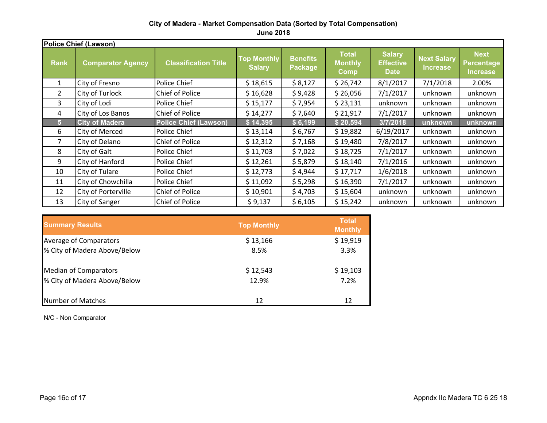**June 2018**

|                | <b>Police Chief (Lawson)</b> |                              |                                                                   |         |                                        |                                                  |          |                                                     |  |  |  |  |  |
|----------------|------------------------------|------------------------------|-------------------------------------------------------------------|---------|----------------------------------------|--------------------------------------------------|----------|-----------------------------------------------------|--|--|--|--|--|
| <b>Rank</b>    | <b>Comparator Agency</b>     | <b>Classification Title</b>  | <b>Top Monthly</b><br><b>Benefits</b><br><b>Salary</b><br>Package |         | <b>Total</b><br><b>Monthly</b><br>Comp | <b>Salary</b><br><b>Effective</b><br><b>Date</b> |          | <b>Next</b><br><b>Percentage</b><br><b>Increase</b> |  |  |  |  |  |
| 1              | City of Fresno               | Police Chief                 | \$18,615                                                          | \$8,127 | \$26,742                               | 8/1/2017                                         | 7/1/2018 | 2.00%                                               |  |  |  |  |  |
| $\overline{2}$ | City of Turlock              | <b>Chief of Police</b>       | \$16,628                                                          | \$9,428 | \$26,056                               | 7/1/2017                                         | unknown  | unknown                                             |  |  |  |  |  |
| 3              | City of Lodi                 | Police Chief                 | \$15,177                                                          | \$7,954 | \$23,131                               | unknown                                          | unknown  | unknown                                             |  |  |  |  |  |
| 4              | City of Los Banos            | Chief of Police              | \$14,277                                                          | \$7,640 | \$21,917                               | 7/1/2017                                         | unknown  | unknown                                             |  |  |  |  |  |
| 5 <sup>5</sup> | <b>City of Madera</b>        | <b>Police Chief (Lawson)</b> | \$14,395                                                          | \$6,199 | \$20,594                               | 3/7/2018                                         | unknown  | unknown                                             |  |  |  |  |  |
| 6              | <b>City of Merced</b>        | Police Chief                 | \$13,114                                                          | \$6,767 | \$19,882                               | 6/19/2017                                        | unknown  | unknown                                             |  |  |  |  |  |
| 7              | City of Delano               | <b>Chief of Police</b>       | \$12,312                                                          | \$7,168 | \$19,480                               | 7/8/2017                                         | unknown  | unknown                                             |  |  |  |  |  |
| 8              | City of Galt                 | Police Chief                 | \$11,703                                                          | \$7,022 | \$18,725                               | 7/1/2017                                         | unknown  | unknown                                             |  |  |  |  |  |
| 9              | City of Hanford              | Police Chief                 | \$12,261                                                          | \$5,879 | \$18,140                               | 7/1/2016                                         | unknown  | unknown                                             |  |  |  |  |  |
| 10             | City of Tulare               | Police Chief                 | \$12,773                                                          | \$4,944 | \$17,717                               | 1/6/2018                                         | unknown  | unknown                                             |  |  |  |  |  |
| 11             | City of Chowchilla           | Police Chief                 | \$11,092                                                          | \$5,298 | \$16,390                               | 7/1/2017                                         | unknown  | unknown                                             |  |  |  |  |  |
| 12             | City of Porterville          | <b>Chief of Police</b>       | \$10,901                                                          | \$4,703 | \$15,604                               | unknown                                          | unknown  | unknown                                             |  |  |  |  |  |
| 13             | City of Sanger               | Chief of Police              | \$9,137                                                           | \$6,105 | \$15,242                               | unknown                                          | unknown  | unknown                                             |  |  |  |  |  |

| <b>Summary Results</b>       | <b>Top Monthly</b> | <b>Total</b><br><b>Monthly</b> |
|------------------------------|--------------------|--------------------------------|
| Average of Comparators       | \$13,166           | \$19,919                       |
| % City of Madera Above/Below | 8.5%               | 3.3%                           |
| <b>Median of Comparators</b> | \$12,543           | \$19,103                       |
| % City of Madera Above/Below | 12.9%              | 7.2%                           |
| <b>Number of Matches</b>     | 12                 | 12                             |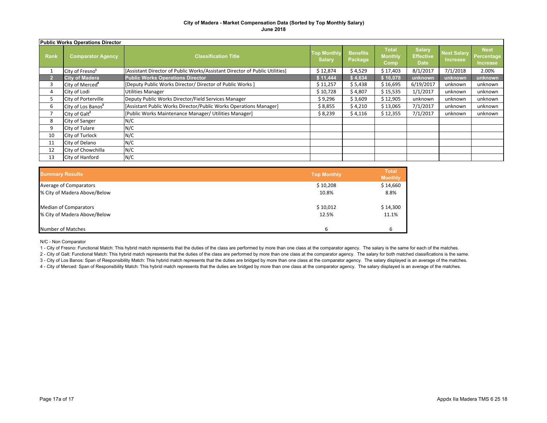|             | <b>Public Works Operations Director</b> |                                                                             |                                     |                            |                                        |                                                  |                                       |                                       |  |  |  |  |  |  |
|-------------|-----------------------------------------|-----------------------------------------------------------------------------|-------------------------------------|----------------------------|----------------------------------------|--------------------------------------------------|---------------------------------------|---------------------------------------|--|--|--|--|--|--|
| <b>Rank</b> | <b>Comparator Agency</b>                | <b>Classification Title</b>                                                 | <b>Top Monthly</b><br><b>Salary</b> | <b>Benefits</b><br>Package | <b>Total</b><br><b>Monthly</b><br>Comp | <b>Salary</b><br><b>Effective</b><br><b>Date</b> | <b>Next Salary</b><br><b>Increase</b> | <b>Next</b><br>Percentage<br>Increase |  |  |  |  |  |  |
|             | City of Fresno <sup>1</sup>             | [Assistant Director of Public Works/Assistant Director of Public Utilities] | \$12,874                            | \$4,529                    | \$17,403                               | 8/1/2017                                         | 7/1/2018                              | 2.00%                                 |  |  |  |  |  |  |
|             | <b>City of Madera</b>                   | <b>Public Works Operations Director</b>                                     | \$11,444                            | \$4,634                    | \$16,078                               | unknown                                          | unknown                               | unknown                               |  |  |  |  |  |  |
| 3           | City of Merced <sup>4</sup>             | [Deputy Public Works Director/ Director of Public Works]                    | \$11,257                            | \$5,438                    | \$16,695                               | 6/19/2017                                        | unknown                               | unknown                               |  |  |  |  |  |  |
| 4           | City of Lodi                            | <b>Utilities Manager</b>                                                    | \$10,728                            | \$4,807                    | \$15,535                               | 1/1/2017                                         | unknown                               | unknown                               |  |  |  |  |  |  |
| 5           | City of Porterville                     | Deputy Public Works Director/Field Services Manager                         | \$9,296                             | \$3,609                    | \$12,905                               | unknown                                          | unknown                               | unknown                               |  |  |  |  |  |  |
| 6           | City of Los Banos <sup>3</sup>          | [Assistant Public Works Director/Public Works Operations Manager]           | \$8,855                             | \$4,210                    | \$13,065                               | 7/1/2017                                         | unknown                               | unknown                               |  |  |  |  |  |  |
|             | City of $Galt2$                         | [Public Works Maintenance Manager/ Utilities Manager]                       | \$8,239                             | \$4,116                    | \$12,355                               | 7/1/2017                                         | unknown                               | unknown                               |  |  |  |  |  |  |
| 8           | City of Sanger                          | N/C                                                                         |                                     |                            |                                        |                                                  |                                       |                                       |  |  |  |  |  |  |
| 9           | City of Tulare                          | N/C                                                                         |                                     |                            |                                        |                                                  |                                       |                                       |  |  |  |  |  |  |
| 10          | City of Turlock                         | N/C                                                                         |                                     |                            |                                        |                                                  |                                       |                                       |  |  |  |  |  |  |
| 11          | City of Delano                          | N/C                                                                         |                                     |                            |                                        |                                                  |                                       |                                       |  |  |  |  |  |  |
| 12          | City of Chowchilla                      | N/C                                                                         |                                     |                            |                                        |                                                  |                                       |                                       |  |  |  |  |  |  |
| 13          | City of Hanford                         | N/C                                                                         |                                     |                            |                                        |                                                  |                                       |                                       |  |  |  |  |  |  |

| <b>Summary Results</b>       | <b>Top Monthly</b> | <b>Total</b><br><b>Monthly</b> |
|------------------------------|--------------------|--------------------------------|
| Average of Comparators       | \$10,208           | \$14,660                       |
| % City of Madera Above/Below | 10.8%              | 8.8%                           |
| <b>Median of Comparators</b> | \$10,012           | \$14,300                       |
| % City of Madera Above/Below | 12.5%              | 11.1%                          |
| Number of Matches            | 6                  |                                |

N/C - Non Comparator

1 - City of Fresno: Functional Match: This hybrid match represents that the duties of the class are performed by more than one class at the comparator agency. The salary is the same for each of the matches.

2 - City of Galt: Functional Match: This hybrid match represents that the duties of the class are performed by more than one class at the comparator agency. The salary for both matched classifications is the same.

3 - City of Los Banos: Span of Responsibility Match: This hybrid match represents that the duties are bridged by more than one class at the comparator agency. The salary displayed is an average of the matches.

4 - City of Merced: Span of Responsibility Match: This hybrid match represents that the duties are bridged by more than one class at the comparator agency. The salary displayed is an average of the matches.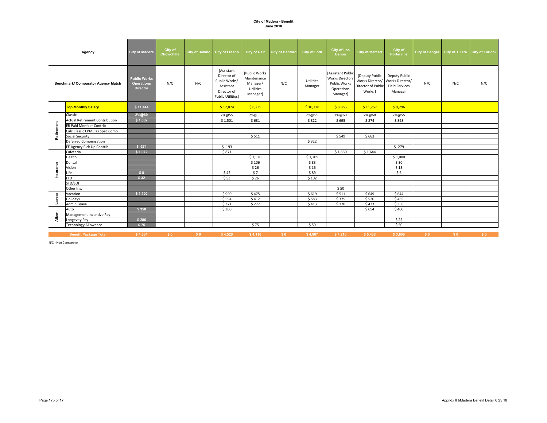|                                           | Agency                                | <b>City of Madera</b>                                       | City of<br>Chowchilla | City of Delano City of Fresno |                                                                                                    | <b>City of Galt</b>                                               | <b>City of Hanford</b> | <b>City of Lodi</b>  | <b>City of Los</b><br><b>Banos</b>                                                   | <b>City of Merced</b>                                              | City of<br><b>Porterville</b>                                        | <b>City of Sanger</b> |     | City of Tulare City of Turlock |
|-------------------------------------------|---------------------------------------|-------------------------------------------------------------|-----------------------|-------------------------------|----------------------------------------------------------------------------------------------------|-------------------------------------------------------------------|------------------------|----------------------|--------------------------------------------------------------------------------------|--------------------------------------------------------------------|----------------------------------------------------------------------|-----------------------|-----|--------------------------------|
| <b>Benchmark/ Comparator Agency Match</b> |                                       | <b>Public Works</b><br><b>Operations</b><br><b>Director</b> | N/C                   | N/C                           | [Assistant<br>Director of<br>Public Works/<br>Assistant<br>Director of<br><b>Public Utilities]</b> | [Public Works<br>Maintenance<br>Manager/<br>Utilities<br>Manager] | N/C                    | Utilities<br>Manager | <b>Assistant Public</b><br>Works Director/<br>Public Works<br>Operations<br>Manager] | [Deputy Public<br>Works Director/<br>Director of Public<br>Works ] | Deputy Public<br>Works Director/<br><b>Field Services</b><br>Manager | N/C                   | N/C | N/C                            |
|                                           | <b>Top Monthly Salary</b>             | \$11,444                                                    |                       |                               | \$12,874                                                                                           | \$8,239                                                           |                        | \$10,728             | \$8,855                                                                              | \$11,257                                                           | \$9,296                                                              |                       |     |                                |
|                                           | Classic                               | 2%@60                                                       |                       |                               | 2%@55                                                                                              | 2%@55                                                             |                        | 2%@55                | 2%@60                                                                                | 2%@60                                                              | 2%@55                                                                |                       |     |                                |
|                                           | <b>Actual Retirement Contribution</b> | \$1,082                                                     |                       |                               | \$1,501                                                                                            | \$681                                                             |                        | \$822                | \$695                                                                                | \$874                                                              | \$898                                                                |                       |     |                                |
| Retirement                                | ER Paid Member Contrib                |                                                             |                       |                               |                                                                                                    |                                                                   |                        |                      |                                                                                      |                                                                    |                                                                      |                       |     |                                |
|                                           | Calc Classic EPMC as Spec Comp        |                                                             |                       |                               |                                                                                                    |                                                                   |                        |                      |                                                                                      |                                                                    |                                                                      |                       |     |                                |
|                                           | <b>Social Security</b>                |                                                             |                       |                               |                                                                                                    | \$511                                                             |                        |                      | \$549                                                                                | \$663                                                              |                                                                      |                       |     |                                |
|                                           | Deferred Compensation                 |                                                             |                       |                               |                                                                                                    |                                                                   |                        | \$322                |                                                                                      |                                                                    |                                                                      |                       |     |                                |
|                                           | EE Agency Pick Up Contrib             | $$ -271$                                                    |                       |                               | $$ -193$                                                                                           |                                                                   |                        |                      |                                                                                      |                                                                    | $$ -279$                                                             |                       |     |                                |
|                                           | Cafeteria                             | \$1,972                                                     |                       |                               | \$871                                                                                              |                                                                   |                        |                      | \$1,860                                                                              | \$1,644                                                            |                                                                      |                       |     |                                |
|                                           | Health                                |                                                             |                       |                               |                                                                                                    | \$1,520                                                           |                        | \$1,709              |                                                                                      |                                                                    | \$1,000                                                              |                       |     |                                |
|                                           | Dental                                |                                                             |                       |                               |                                                                                                    | \$106                                                             |                        | \$83                 |                                                                                      |                                                                    | \$30                                                                 |                       |     |                                |
| Insurance                                 | Vision                                |                                                             |                       |                               |                                                                                                    | \$26                                                              |                        | \$16                 |                                                                                      |                                                                    | \$13                                                                 |                       |     |                                |
|                                           | Life                                  | \$8                                                         |                       |                               | \$42                                                                                               | \$7                                                               |                        | \$89                 |                                                                                      |                                                                    | \$6                                                                  |                       |     |                                |
|                                           | LTD                                   | \$32                                                        |                       |                               | \$53                                                                                               | \$26                                                              |                        | \$102                |                                                                                      |                                                                    |                                                                      |                       |     |                                |
|                                           | STD/SDI                               |                                                             |                       |                               |                                                                                                    |                                                                   |                        |                      |                                                                                      |                                                                    |                                                                      |                       |     |                                |
|                                           | Other Ins.                            |                                                             |                       |                               |                                                                                                    |                                                                   |                        |                      | \$50                                                                                 |                                                                    |                                                                      |                       |     |                                |
|                                           | Vacation                              | \$1,100                                                     |                       |                               | \$990                                                                                              | \$475                                                             |                        | \$619                | \$511                                                                                | \$649                                                              | \$644                                                                |                       |     |                                |
| Leaves                                    | Holidays                              |                                                             |                       |                               | \$594                                                                                              | \$412                                                             |                        | \$583                | \$375                                                                                | \$520                                                              | \$465                                                                |                       |     |                                |
|                                           | Admin Leave                           |                                                             |                       |                               | \$371                                                                                              | \$277                                                             |                        | \$413                | \$170                                                                                | \$433                                                              | \$358                                                                |                       |     |                                |
|                                           | Auto                                  | \$350                                                       |                       |                               | \$300                                                                                              |                                                                   |                        |                      |                                                                                      | \$654                                                              | \$400                                                                |                       |     |                                |
|                                           | Management Incentive Pay              |                                                             |                       |                               |                                                                                                    |                                                                   |                        |                      |                                                                                      |                                                                    |                                                                      |                       |     |                                |
| Allow                                     | Longevity Pay                         | \$286                                                       |                       |                               |                                                                                                    |                                                                   |                        |                      |                                                                                      |                                                                    | \$25                                                                 |                       |     |                                |
|                                           | <b>Technology Allowance</b>           | \$75                                                        |                       |                               |                                                                                                    | \$75                                                              |                        | \$50                 |                                                                                      |                                                                    | \$50                                                                 |                       |     |                                |
|                                           | <b>Benefit Package Total</b>          | \$4,634                                                     | S <sub>0</sub>        | \$0                           | \$4,529                                                                                            | \$4,116                                                           | \$0                    | \$4,807              | \$4,210                                                                              | \$5,438                                                            | \$3,609                                                              | S <sub>0</sub>        | \$0 | \$0                            |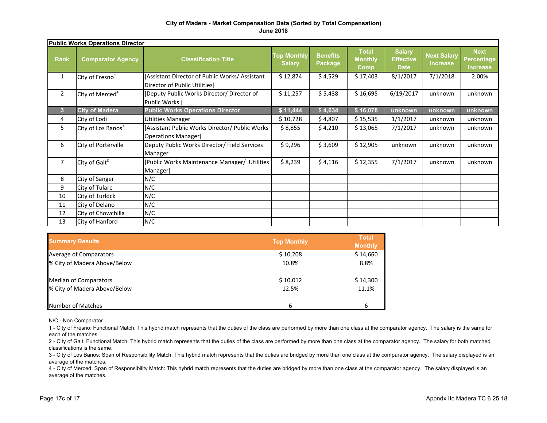#### **City of Madera - Market Compensation Data (Sorted by Total Compensation) June 2018**

| <b>Public Works Operations Director</b> |                                |                                                                                 |                                     |                            |                                        |                                                  |                                       |                                                     |
|-----------------------------------------|--------------------------------|---------------------------------------------------------------------------------|-------------------------------------|----------------------------|----------------------------------------|--------------------------------------------------|---------------------------------------|-----------------------------------------------------|
| <b>Rank</b>                             | <b>Comparator Agency</b>       | <b>Classification Title</b>                                                     | <b>Top Monthly</b><br><b>Salary</b> | <b>Benefits</b><br>Package | <b>Total</b><br><b>Monthly</b><br>Comp | <b>Salary</b><br><b>Effective</b><br><b>Date</b> | <b>Next Salary</b><br><b>Increase</b> | <b>Next</b><br><b>Percentage</b><br><b>Increase</b> |
| $\mathbf{1}$                            | City of Fresno <sup>1</sup>    | [Assistant Director of Public Works/ Assistant<br>Director of Public Utilities] | \$12,874                            | \$4,529                    | \$17,403                               | 8/1/2017                                         | 7/1/2018                              | 2.00%                                               |
| $\overline{2}$                          | City of Merced <sup>4</sup>    | [Deputy Public Works Director/ Director of<br>Public Works 1                    | \$11,257                            | \$5,438                    | \$16,695                               | 6/19/2017                                        | unknown                               | unknown                                             |
| $\mathbf{3}$                            | <b>City of Madera</b>          | <b>Public Works Operations Director</b>                                         | \$11,444                            | \$4,634                    | \$16,078                               | unknown                                          | unknown                               | unknown                                             |
| 4                                       | City of Lodi                   | <b>Utilities Manager</b>                                                        | \$10,728                            | \$4,807                    | \$15,535                               | 1/1/2017                                         | unknown                               | unknown                                             |
| 5                                       | City of Los Banos <sup>3</sup> | [Assistant Public Works Director/ Public Works<br>Operations Manager            | \$8,855                             | \$4,210                    | \$13,065                               | 7/1/2017                                         | unknown                               | unknown                                             |
| 6                                       | City of Porterville            | Deputy Public Works Director/ Field Services<br>Manager                         | \$9,296                             | \$3,609                    | \$12,905                               | unknown                                          | unknown                               | unknown                                             |
| 7                                       | City of Galt <sup>2</sup>      | [Public Works Maintenance Manager/ Utilities]<br>Manager]                       | \$8,239                             | \$4,116                    | \$12,355                               | 7/1/2017                                         | unknown                               | unknown                                             |
| 8                                       | City of Sanger                 | N/C                                                                             |                                     |                            |                                        |                                                  |                                       |                                                     |
| 9                                       | City of Tulare                 | N/C                                                                             |                                     |                            |                                        |                                                  |                                       |                                                     |
| 10                                      | City of Turlock                | N/C                                                                             |                                     |                            |                                        |                                                  |                                       |                                                     |
| 11                                      | City of Delano                 | N/C                                                                             |                                     |                            |                                        |                                                  |                                       |                                                     |
| 12                                      | City of Chowchilla             | N/C                                                                             |                                     |                            |                                        |                                                  |                                       |                                                     |
| 13                                      | City of Hanford                | N/C                                                                             |                                     |                            |                                        |                                                  |                                       |                                                     |

| <b>Summary Results</b>       | <b>Top Monthly</b> | <b>Total</b><br><b>Monthly</b> |
|------------------------------|--------------------|--------------------------------|
| Average of Comparators       | \$10,208           | \$14,660                       |
| % City of Madera Above/Below | 10.8%              | 8.8%                           |
| <b>Median of Comparators</b> | \$10,012           | \$14,300                       |
| % City of Madera Above/Below | 12.5%              | 11.1%                          |
| Number of Matches            | 6                  | 6                              |

N/C - Non Comparator

1 - City of Fresno: Functional Match: This hybrid match represents that the duties of the class are performed by more than one class at the comparator agency. The salary is the same for each of the matches.

2 - City of Galt: Functional Match: This hybrid match represents that the duties of the class are performed by more than one class at the comparator agency. The salary for both matched classifications is the same.

3 - City of Los Banos: Span of Responsibility Match: This hybrid match represents that the duties are bridged by more than one class at the comparator agency. The salary displayed is an average of the matches.

4 - City of Merced: Span of Responsibility Match: This hybrid match represents that the duties are bridged by more than one class at the comparator agency. The salary displayed is an average of the matches.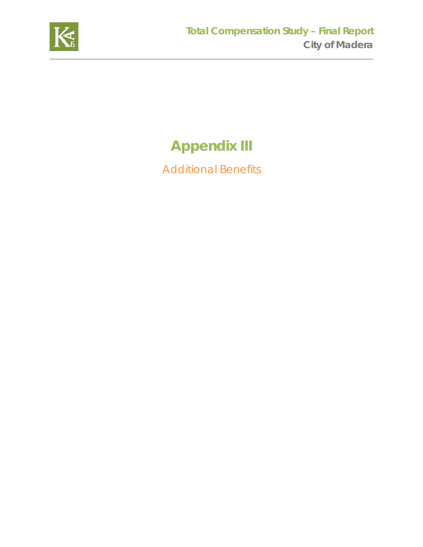

# **Appendix III**

Additional Benefits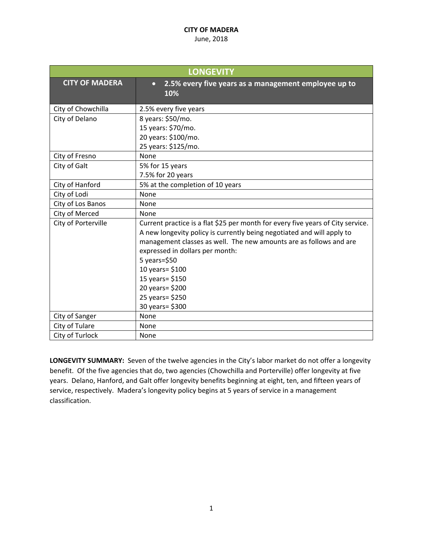#### June, 2018

| <b>LONGEVITY</b>      |                                                                                 |  |
|-----------------------|---------------------------------------------------------------------------------|--|
| <b>CITY OF MADERA</b> | 2.5% every five years as a management employee up to<br>$\bullet$<br>10%        |  |
| City of Chowchilla    | 2.5% every five years                                                           |  |
| City of Delano        | 8 years: \$50/mo.                                                               |  |
|                       | 15 years: \$70/mo.                                                              |  |
|                       | 20 years: \$100/mo.                                                             |  |
|                       | 25 years: \$125/mo.                                                             |  |
| City of Fresno        | None                                                                            |  |
| City of Galt          | 5% for 15 years                                                                 |  |
|                       | 7.5% for 20 years                                                               |  |
| City of Hanford       | 5% at the completion of 10 years                                                |  |
| City of Lodi          | None                                                                            |  |
| City of Los Banos     | None                                                                            |  |
| City of Merced        | None                                                                            |  |
| City of Porterville   | Current practice is a flat \$25 per month for every five years of City service. |  |
|                       | A new longevity policy is currently being negotiated and will apply to          |  |
|                       | management classes as well. The new amounts are as follows and are              |  |
|                       | expressed in dollars per month:                                                 |  |
|                       | $5$ years= $$50$                                                                |  |
|                       | 10 years= \$100                                                                 |  |
|                       | 15 years= \$150                                                                 |  |
|                       | 20 years= \$200                                                                 |  |
|                       | 25 years= \$250                                                                 |  |
|                       | 30 years = \$300                                                                |  |
| City of Sanger        | None                                                                            |  |
| City of Tulare        | None                                                                            |  |
| City of Turlock       | None                                                                            |  |

**LONGEVITY SUMMARY:** Seven of the twelve agencies in the City's labor market do not offer a longevity benefit. Of the five agencies that do, two agencies (Chowchilla and Porterville) offer longevity at five years. Delano, Hanford, and Galt offer longevity benefits beginning at eight, ten, and fifteen years of service, respectively. Madera's longevity policy begins at 5 years of service in a management classification.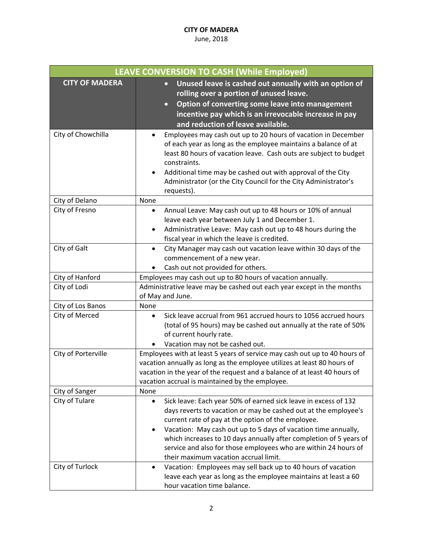| <b>LEAVE CONVERSION TO CASH (While Employed)</b> |                                                                                                                                                                                                                                                                                                                                                                                                                                                                |  |
|--------------------------------------------------|----------------------------------------------------------------------------------------------------------------------------------------------------------------------------------------------------------------------------------------------------------------------------------------------------------------------------------------------------------------------------------------------------------------------------------------------------------------|--|
| <b>CITY OF MADERA</b>                            | Unused leave is cashed out annually with an option of<br>$\bullet$<br>rolling over a portion of unused leave.<br>Option of converting some leave into management<br>$\bullet$<br>incentive pay which is an irrevocable increase in pay<br>and reduction of leave available.                                                                                                                                                                                    |  |
| City of Chowchilla                               | Employees may cash out up to 20 hours of vacation in December<br>of each year as long as the employee maintains a balance of at<br>least 80 hours of vacation leave. Cash outs are subject to budget<br>constraints.<br>Additional time may be cashed out with approval of the City<br>Administrator (or the City Council for the City Administrator's<br>requests).                                                                                           |  |
| City of Delano                                   | None                                                                                                                                                                                                                                                                                                                                                                                                                                                           |  |
| City of Fresno                                   | Annual Leave: May cash out up to 48 hours or 10% of annual<br>leave each year between July 1 and December 1.<br>Administrative Leave: May cash out up to 48 hours during the<br>٠<br>fiscal year in which the leave is credited.                                                                                                                                                                                                                               |  |
| City of Galt                                     | City Manager may cash out vacation leave within 30 days of the<br>$\bullet$<br>commencement of a new year.<br>Cash out not provided for others.                                                                                                                                                                                                                                                                                                                |  |
| City of Hanford                                  | Employees may cash out up to 80 hours of vacation annually.                                                                                                                                                                                                                                                                                                                                                                                                    |  |
| City of Lodi                                     | Administrative leave may be cashed out each year except in the months<br>of May and June.                                                                                                                                                                                                                                                                                                                                                                      |  |
| City of Los Banos                                | None                                                                                                                                                                                                                                                                                                                                                                                                                                                           |  |
| City of Merced                                   | Sick leave accrual from 961 accrued hours to 1056 accrued hours<br>$\bullet$<br>(total of 95 hours) may be cashed out annually at the rate of 50%<br>of current hourly rate.<br>Vacation may not be cashed out.                                                                                                                                                                                                                                                |  |
| City of Porterville                              | Employees with at least 5 years of service may cash out up to 40 hours of<br>vacation annually as long as the employee utilizes at least 80 hours of<br>vacation in the year of the request and a balance of at least 40 hours of<br>vacation accrual is maintained by the employee.                                                                                                                                                                           |  |
| City of Sanger                                   | None                                                                                                                                                                                                                                                                                                                                                                                                                                                           |  |
| City of Tulare                                   | Sick leave: Each year 50% of earned sick leave in excess of 132<br>$\bullet$<br>days reverts to vacation or may be cashed out at the employee's<br>current rate of pay at the option of the employee.<br>Vacation: May cash out up to 5 days of vacation time annually,<br>٠<br>which increases to 10 days annually after completion of 5 years of<br>service and also for those employees who are within 24 hours of<br>their maximum vacation accrual limit. |  |
| City of Turlock                                  | Vacation: Employees may sell back up to 40 hours of vacation<br>٠<br>leave each year as long as the employee maintains at least a 60<br>hour vacation time balance.                                                                                                                                                                                                                                                                                            |  |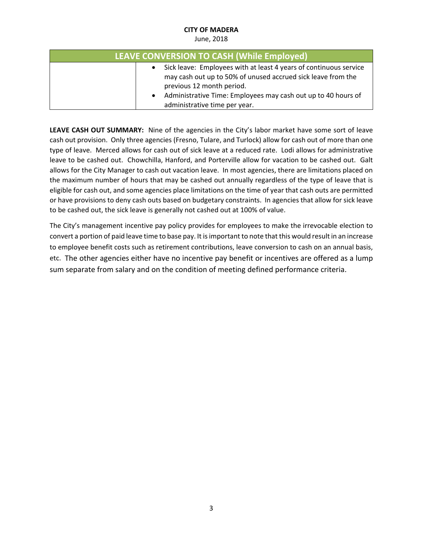#### June, 2018

| LEAVE CONVERSION TO CASH (While Employed) |  |                                                                                                                                                                |
|-------------------------------------------|--|----------------------------------------------------------------------------------------------------------------------------------------------------------------|
|                                           |  | Sick leave: Employees with at least 4 years of continuous service<br>may cash out up to 50% of unused accrued sick leave from the<br>previous 12 month period. |
|                                           |  | Administrative Time: Employees may cash out up to 40 hours of<br>administrative time per year.                                                                 |

**LEAVE CASH OUT SUMMARY:** Nine of the agencies in the City's labor market have some sort of leave cash out provision. Only three agencies (Fresno, Tulare, and Turlock) allow for cash out of more than one type of leave. Merced allows for cash out of sick leave at a reduced rate. Lodi allows for administrative leave to be cashed out. Chowchilla, Hanford, and Porterville allow for vacation to be cashed out. Galt allows for the City Manager to cash out vacation leave. In most agencies, there are limitations placed on the maximum number of hours that may be cashed out annually regardless of the type of leave that is eligible for cash out, and some agencies place limitations on the time of year that cash outs are permitted or have provisions to deny cash outs based on budgetary constraints. In agencies that allow for sick leave to be cashed out, the sick leave is generally not cashed out at 100% of value.

The City's management incentive pay policy provides for employees to make the irrevocable election to convert a portion of paid leave time to base pay. It is important to note that this would result in an increase to employee benefit costs such as retirement contributions, leave conversion to cash on an annual basis, etc. The other agencies either have no incentive pay benefit or incentives are offered as a lump sum separate from salary and on the condition of meeting defined performance criteria.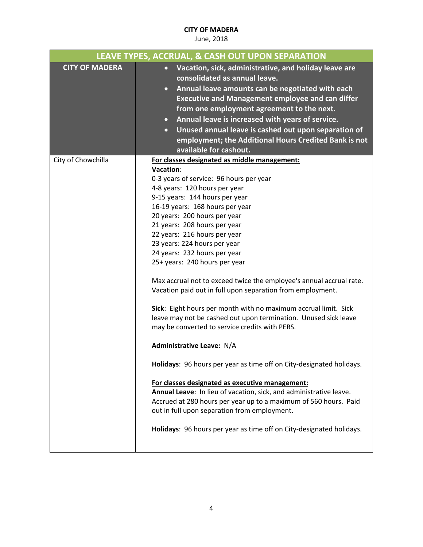|                       | LEAVE TYPES, ACCRUAL, & CASH OUT UPON SEPARATION                                                                                                                                                                                                                                                                                                                                                                                                                                                                                                                                                                                                                                                                                                                                                                                                                                                                                                                                                                                                                                                                                                                          |
|-----------------------|---------------------------------------------------------------------------------------------------------------------------------------------------------------------------------------------------------------------------------------------------------------------------------------------------------------------------------------------------------------------------------------------------------------------------------------------------------------------------------------------------------------------------------------------------------------------------------------------------------------------------------------------------------------------------------------------------------------------------------------------------------------------------------------------------------------------------------------------------------------------------------------------------------------------------------------------------------------------------------------------------------------------------------------------------------------------------------------------------------------------------------------------------------------------------|
| <b>CITY OF MADERA</b> | • Vacation, sick, administrative, and holiday leave are<br>consolidated as annual leave.<br>Annual leave amounts can be negotiated with each<br>$\bullet$<br><b>Executive and Management employee and can differ</b><br>from one employment agreement to the next.<br>Annual leave is increased with years of service.<br>$\bullet$<br>Unused annual leave is cashed out upon separation of<br>$\bullet$<br>employment; the Additional Hours Credited Bank is not<br>available for cashout.                                                                                                                                                                                                                                                                                                                                                                                                                                                                                                                                                                                                                                                                               |
| City of Chowchilla    | For classes designated as middle management:<br>Vacation:<br>0-3 years of service: 96 hours per year<br>4-8 years: 120 hours per year<br>9-15 years: 144 hours per year<br>16-19 years: 168 hours per year<br>20 years: 200 hours per year<br>21 years: 208 hours per year<br>22 years: 216 hours per year<br>23 years: 224 hours per year<br>24 years: 232 hours per year<br>25+ years: 240 hours per year<br>Max accrual not to exceed twice the employee's annual accrual rate.<br>Vacation paid out in full upon separation from employment.<br>Sick: Eight hours per month with no maximum accrual limit. Sick<br>leave may not be cashed out upon termination. Unused sick leave<br>may be converted to service credits with PERS.<br><b>Administrative Leave: N/A</b><br>Holidays: 96 hours per year as time off on City-designated holidays.<br>For classes designated as executive management:<br>Annual Leave: In lieu of vacation, sick, and administrative leave.<br>Accrued at 280 hours per year up to a maximum of 560 hours. Paid<br>out in full upon separation from employment.<br>Holidays: 96 hours per year as time off on City-designated holidays. |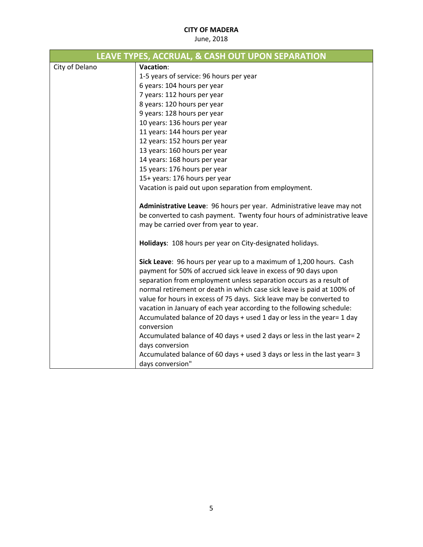|                | LEAVE TYPES, ACCRUAL, & CASH OUT UPON SEPARATION                                                                                                                                                                                                                                                                                                                                                                                       |
|----------------|----------------------------------------------------------------------------------------------------------------------------------------------------------------------------------------------------------------------------------------------------------------------------------------------------------------------------------------------------------------------------------------------------------------------------------------|
| City of Delano | Vacation:                                                                                                                                                                                                                                                                                                                                                                                                                              |
|                | 1-5 years of service: 96 hours per year                                                                                                                                                                                                                                                                                                                                                                                                |
|                | 6 years: 104 hours per year                                                                                                                                                                                                                                                                                                                                                                                                            |
|                | 7 years: 112 hours per year                                                                                                                                                                                                                                                                                                                                                                                                            |
|                | 8 years: 120 hours per year                                                                                                                                                                                                                                                                                                                                                                                                            |
|                | 9 years: 128 hours per year                                                                                                                                                                                                                                                                                                                                                                                                            |
|                | 10 years: 136 hours per year                                                                                                                                                                                                                                                                                                                                                                                                           |
|                | 11 years: 144 hours per year                                                                                                                                                                                                                                                                                                                                                                                                           |
|                | 12 years: 152 hours per year                                                                                                                                                                                                                                                                                                                                                                                                           |
|                | 13 years: 160 hours per year                                                                                                                                                                                                                                                                                                                                                                                                           |
|                | 14 years: 168 hours per year                                                                                                                                                                                                                                                                                                                                                                                                           |
|                | 15 years: 176 hours per year                                                                                                                                                                                                                                                                                                                                                                                                           |
|                | 15+ years: 176 hours per year                                                                                                                                                                                                                                                                                                                                                                                                          |
|                | Vacation is paid out upon separation from employment.                                                                                                                                                                                                                                                                                                                                                                                  |
|                | Administrative Leave: 96 hours per year. Administrative leave may not                                                                                                                                                                                                                                                                                                                                                                  |
|                | be converted to cash payment. Twenty four hours of administrative leave                                                                                                                                                                                                                                                                                                                                                                |
|                | may be carried over from year to year.                                                                                                                                                                                                                                                                                                                                                                                                 |
|                | Holidays: 108 hours per year on City-designated holidays.                                                                                                                                                                                                                                                                                                                                                                              |
|                | Sick Leave: 96 hours per year up to a maximum of 1,200 hours. Cash<br>payment for 50% of accrued sick leave in excess of 90 days upon<br>separation from employment unless separation occurs as a result of<br>normal retirement or death in which case sick leave is paid at 100% of<br>value for hours in excess of 75 days. Sick leave may be converted to<br>vacation in January of each year according to the following schedule: |
|                | Accumulated balance of 20 days + used 1 day or less in the year= 1 day<br>conversion                                                                                                                                                                                                                                                                                                                                                   |
|                | Accumulated balance of 40 days + used 2 days or less in the last year= 2<br>days conversion                                                                                                                                                                                                                                                                                                                                            |
|                | Accumulated balance of 60 days + used 3 days or less in the last year= 3<br>days conversion"                                                                                                                                                                                                                                                                                                                                           |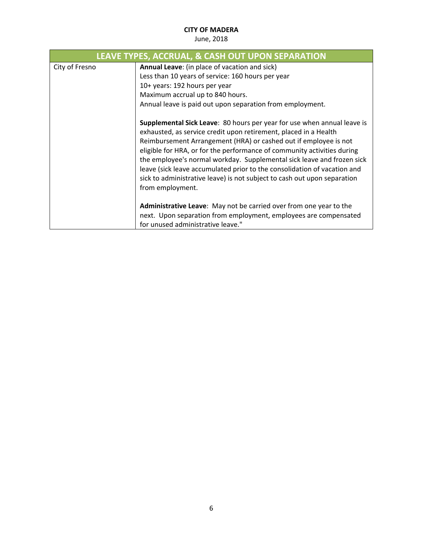| LEAVE TYPES, ACCRUAL, & CASH OUT UPON SEPARATION |                                                                                                                                                                                                                                                                                                                                                                                                                                                                                                                                                         |  |
|--------------------------------------------------|---------------------------------------------------------------------------------------------------------------------------------------------------------------------------------------------------------------------------------------------------------------------------------------------------------------------------------------------------------------------------------------------------------------------------------------------------------------------------------------------------------------------------------------------------------|--|
| City of Fresno                                   | Annual Leave: (in place of vacation and sick)                                                                                                                                                                                                                                                                                                                                                                                                                                                                                                           |  |
|                                                  | Less than 10 years of service: 160 hours per year                                                                                                                                                                                                                                                                                                                                                                                                                                                                                                       |  |
|                                                  | 10+ years: 192 hours per year                                                                                                                                                                                                                                                                                                                                                                                                                                                                                                                           |  |
|                                                  | Maximum accrual up to 840 hours.                                                                                                                                                                                                                                                                                                                                                                                                                                                                                                                        |  |
|                                                  | Annual leave is paid out upon separation from employment.                                                                                                                                                                                                                                                                                                                                                                                                                                                                                               |  |
|                                                  | <b>Supplemental Sick Leave:</b> 80 hours per year for use when annual leave is<br>exhausted, as service credit upon retirement, placed in a Health<br>Reimbursement Arrangement (HRA) or cashed out if employee is not<br>eligible for HRA, or for the performance of community activities during<br>the employee's normal workday. Supplemental sick leave and frozen sick<br>leave (sick leave accumulated prior to the consolidation of vacation and<br>sick to administrative leave) is not subject to cash out upon separation<br>from employment. |  |
|                                                  | Administrative Leave: May not be carried over from one year to the<br>next. Upon separation from employment, employees are compensated                                                                                                                                                                                                                                                                                                                                                                                                                  |  |
|                                                  | for unused administrative leave."                                                                                                                                                                                                                                                                                                                                                                                                                                                                                                                       |  |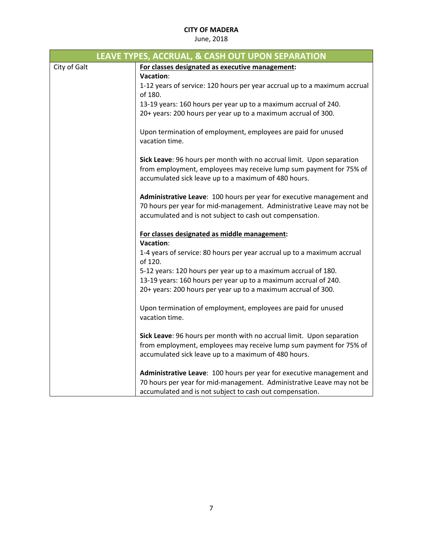|              | LEAVE TYPES, ACCRUAL, & CASH OUT UPON SEPARATION                          |
|--------------|---------------------------------------------------------------------------|
| City of Galt | For classes designated as executive management:                           |
|              | Vacation:                                                                 |
|              | 1-12 years of service: 120 hours per year accrual up to a maximum accrual |
|              | of 180.                                                                   |
|              | 13-19 years: 160 hours per year up to a maximum accrual of 240.           |
|              | 20+ years: 200 hours per year up to a maximum accrual of 300.             |
|              |                                                                           |
|              | Upon termination of employment, employees are paid for unused             |
|              | vacation time.                                                            |
|              |                                                                           |
|              | Sick Leave: 96 hours per month with no accrual limit. Upon separation     |
|              | from employment, employees may receive lump sum payment for 75% of        |
|              | accumulated sick leave up to a maximum of 480 hours.                      |
|              |                                                                           |
|              | Administrative Leave: 100 hours per year for executive management and     |
|              | 70 hours per year for mid-management. Administrative Leave may not be     |
|              | accumulated and is not subject to cash out compensation.                  |
|              | For classes designated as middle management:                              |
|              | Vacation:                                                                 |
|              | 1-4 years of service: 80 hours per year accrual up to a maximum accrual   |
|              | of 120.                                                                   |
|              | 5-12 years: 120 hours per year up to a maximum accrual of 180.            |
|              | 13-19 years: 160 hours per year up to a maximum accrual of 240.           |
|              | 20+ years: 200 hours per year up to a maximum accrual of 300.             |
|              |                                                                           |
|              | Upon termination of employment, employees are paid for unused             |
|              | vacation time.                                                            |
|              |                                                                           |
|              | Sick Leave: 96 hours per month with no accrual limit. Upon separation     |
|              | from employment, employees may receive lump sum payment for 75% of        |
|              | accumulated sick leave up to a maximum of 480 hours.                      |
|              |                                                                           |
|              | Administrative Leave: 100 hours per year for executive management and     |
|              | 70 hours per year for mid-management. Administrative Leave may not be     |
|              | accumulated and is not subject to cash out compensation.                  |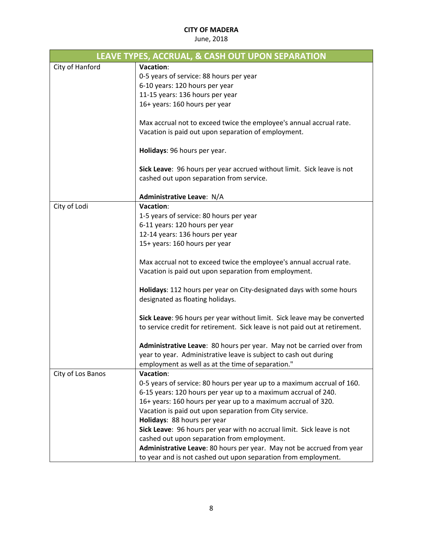| LEAVE TYPES, ACCRUAL, & CASH OUT UPON SEPARATION |                                                                                                                              |  |
|--------------------------------------------------|------------------------------------------------------------------------------------------------------------------------------|--|
| City of Hanford                                  | Vacation:                                                                                                                    |  |
|                                                  | 0-5 years of service: 88 hours per year                                                                                      |  |
|                                                  | 6-10 years: 120 hours per year                                                                                               |  |
|                                                  | 11-15 years: 136 hours per year                                                                                              |  |
|                                                  | 16+ years: 160 hours per year                                                                                                |  |
|                                                  |                                                                                                                              |  |
|                                                  | Max accrual not to exceed twice the employee's annual accrual rate.                                                          |  |
|                                                  | Vacation is paid out upon separation of employment.                                                                          |  |
|                                                  | Holidays: 96 hours per year.                                                                                                 |  |
|                                                  |                                                                                                                              |  |
|                                                  | Sick Leave: 96 hours per year accrued without limit. Sick leave is not                                                       |  |
|                                                  | cashed out upon separation from service.                                                                                     |  |
|                                                  | Administrative Leave: N/A                                                                                                    |  |
| City of Lodi                                     | Vacation:                                                                                                                    |  |
|                                                  | 1-5 years of service: 80 hours per year                                                                                      |  |
|                                                  | 6-11 years: 120 hours per year                                                                                               |  |
|                                                  | 12-14 years: 136 hours per year                                                                                              |  |
|                                                  | 15+ years: 160 hours per year                                                                                                |  |
|                                                  |                                                                                                                              |  |
|                                                  | Max accrual not to exceed twice the employee's annual accrual rate.<br>Vacation is paid out upon separation from employment. |  |
|                                                  |                                                                                                                              |  |
|                                                  | Holidays: 112 hours per year on City-designated days with some hours                                                         |  |
|                                                  | designated as floating holidays.                                                                                             |  |
|                                                  |                                                                                                                              |  |
|                                                  | Sick Leave: 96 hours per year without limit. Sick leave may be converted                                                     |  |
|                                                  | to service credit for retirement. Sick leave is not paid out at retirement.                                                  |  |
|                                                  |                                                                                                                              |  |
|                                                  | Administrative Leave: 80 hours per year. May not be carried over from                                                        |  |
|                                                  | year to year. Administrative leave is subject to cash out during                                                             |  |
|                                                  | employment as well as at the time of separation."<br>Vacation:                                                               |  |
| City of Los Banos                                | 0-5 years of service: 80 hours per year up to a maximum accrual of 160.                                                      |  |
|                                                  | 6-15 years: 120 hours per year up to a maximum accrual of 240.                                                               |  |
|                                                  | 16+ years: 160 hours per year up to a maximum accrual of 320.                                                                |  |
|                                                  | Vacation is paid out upon separation from City service.                                                                      |  |
|                                                  | Holidays: 88 hours per year                                                                                                  |  |
|                                                  | Sick Leave: 96 hours per year with no accrual limit. Sick leave is not                                                       |  |
|                                                  | cashed out upon separation from employment.                                                                                  |  |
|                                                  | Administrative Leave: 80 hours per year. May not be accrued from year                                                        |  |
|                                                  | to year and is not cashed out upon separation from employment.                                                               |  |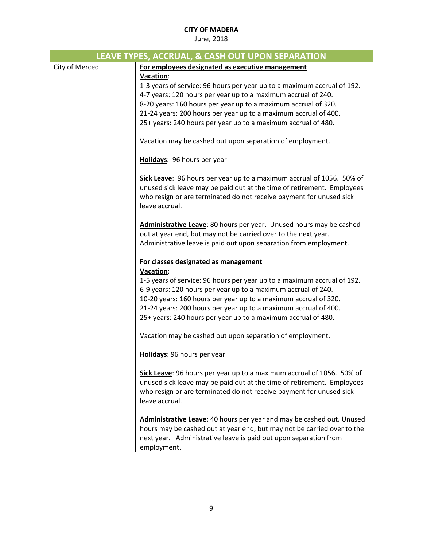| LEAVE TYPES, ACCRUAL, & CASH OUT UPON SEPARATION |                                                                                                                                                                                                                                                                                                                                                              |  |
|--------------------------------------------------|--------------------------------------------------------------------------------------------------------------------------------------------------------------------------------------------------------------------------------------------------------------------------------------------------------------------------------------------------------------|--|
| City of Merced                                   | For employees designated as executive management                                                                                                                                                                                                                                                                                                             |  |
|                                                  | Vacation:<br>1-3 years of service: 96 hours per year up to a maximum accrual of 192.<br>4-7 years: 120 hours per year up to a maximum accrual of 240.<br>8-20 years: 160 hours per year up to a maximum accrual of 320.<br>21-24 years: 200 hours per year up to a maximum accrual of 400.<br>25+ years: 240 hours per year up to a maximum accrual of 480.  |  |
|                                                  | Vacation may be cashed out upon separation of employment.                                                                                                                                                                                                                                                                                                    |  |
|                                                  | Holidays: 96 hours per year                                                                                                                                                                                                                                                                                                                                  |  |
|                                                  | Sick Leave: 96 hours per year up to a maximum accrual of 1056. 50% of<br>unused sick leave may be paid out at the time of retirement. Employees<br>who resign or are terminated do not receive payment for unused sick<br>leave accrual.                                                                                                                     |  |
|                                                  | Administrative Leave: 80 hours per year. Unused hours may be cashed<br>out at year end, but may not be carried over to the next year.<br>Administrative leave is paid out upon separation from employment.                                                                                                                                                   |  |
|                                                  | For classes designated as management                                                                                                                                                                                                                                                                                                                         |  |
|                                                  | Vacation:<br>1-5 years of service: 96 hours per year up to a maximum accrual of 192.<br>6-9 years: 120 hours per year up to a maximum accrual of 240.<br>10-20 years: 160 hours per year up to a maximum accrual of 320.<br>21-24 years: 200 hours per year up to a maximum accrual of 400.<br>25+ years: 240 hours per year up to a maximum accrual of 480. |  |
|                                                  | Vacation may be cashed out upon separation of employment.                                                                                                                                                                                                                                                                                                    |  |
|                                                  | Holidays: 96 hours per year                                                                                                                                                                                                                                                                                                                                  |  |
|                                                  | Sick Leave: 96 hours per year up to a maximum accrual of 1056. 50% of<br>unused sick leave may be paid out at the time of retirement. Employees<br>who resign or are terminated do not receive payment for unused sick<br>leave accrual.                                                                                                                     |  |
|                                                  | Administrative Leave: 40 hours per year and may be cashed out. Unused<br>hours may be cashed out at year end, but may not be carried over to the<br>next year. Administrative leave is paid out upon separation from<br>employment.                                                                                                                          |  |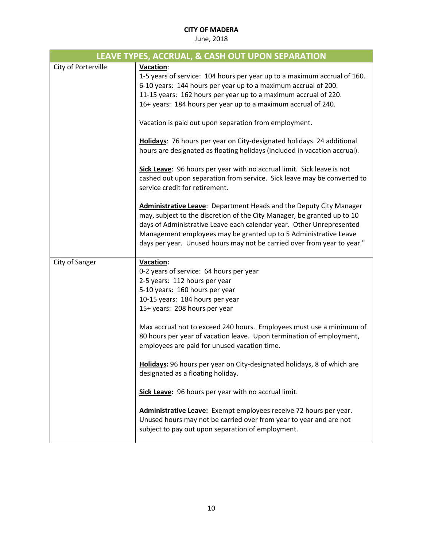| LEAVE TYPES, ACCRUAL, & CASH OUT UPON SEPARATION |                                                                                                                                                                                                                                                                                                                                                                             |  |
|--------------------------------------------------|-----------------------------------------------------------------------------------------------------------------------------------------------------------------------------------------------------------------------------------------------------------------------------------------------------------------------------------------------------------------------------|--|
| City of Porterville                              | Vacation:<br>1-5 years of service: 104 hours per year up to a maximum accrual of 160.<br>6-10 years: 144 hours per year up to a maximum accrual of 200.<br>11-15 years: 162 hours per year up to a maximum accrual of 220.<br>16+ years: 184 hours per year up to a maximum accrual of 240.                                                                                 |  |
|                                                  | Vacation is paid out upon separation from employment.                                                                                                                                                                                                                                                                                                                       |  |
|                                                  | Holidays: 76 hours per year on City-designated holidays. 24 additional<br>hours are designated as floating holidays (included in vacation accrual).                                                                                                                                                                                                                         |  |
|                                                  | Sick Leave: 96 hours per year with no accrual limit. Sick leave is not<br>cashed out upon separation from service. Sick leave may be converted to<br>service credit for retirement.                                                                                                                                                                                         |  |
|                                                  | <b>Administrative Leave:</b> Department Heads and the Deputy City Manager<br>may, subject to the discretion of the City Manager, be granted up to 10<br>days of Administrative Leave each calendar year. Other Unrepresented<br>Management employees may be granted up to 5 Administrative Leave<br>days per year. Unused hours may not be carried over from year to year." |  |
| City of Sanger                                   | <b>Vacation:</b>                                                                                                                                                                                                                                                                                                                                                            |  |
|                                                  | 0-2 years of service: 64 hours per year<br>2-5 years: 112 hours per year                                                                                                                                                                                                                                                                                                    |  |
|                                                  | 5-10 years: 160 hours per year                                                                                                                                                                                                                                                                                                                                              |  |
|                                                  | 10-15 years: 184 hours per year                                                                                                                                                                                                                                                                                                                                             |  |
|                                                  | 15+ years: 208 hours per year                                                                                                                                                                                                                                                                                                                                               |  |
|                                                  | Max accrual not to exceed 240 hours. Employees must use a minimum of<br>80 hours per year of vacation leave. Upon termination of employment,<br>employees are paid for unused vacation time.                                                                                                                                                                                |  |
|                                                  | Holidays: 96 hours per year on City-designated holidays, 8 of which are<br>designated as a floating holiday.                                                                                                                                                                                                                                                                |  |
|                                                  | Sick Leave: 96 hours per year with no accrual limit.                                                                                                                                                                                                                                                                                                                        |  |
|                                                  | Administrative Leave: Exempt employees receive 72 hours per year.<br>Unused hours may not be carried over from year to year and are not<br>subject to pay out upon separation of employment.                                                                                                                                                                                |  |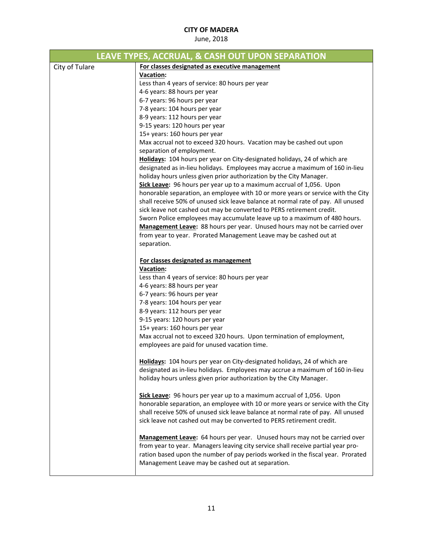|                | LEAVE TYPES, ACCRUAL, & CASH OUT UPON SEPARATION                                                                                                                    |
|----------------|---------------------------------------------------------------------------------------------------------------------------------------------------------------------|
| City of Tulare | For classes designated as executive management                                                                                                                      |
|                | <b>Vacation:</b>                                                                                                                                                    |
|                | Less than 4 years of service: 80 hours per year                                                                                                                     |
|                | 4-6 years: 88 hours per year                                                                                                                                        |
|                | 6-7 years: 96 hours per year                                                                                                                                        |
|                | 7-8 years: 104 hours per year                                                                                                                                       |
|                | 8-9 years: 112 hours per year                                                                                                                                       |
|                | 9-15 years: 120 hours per year                                                                                                                                      |
|                | 15+ years: 160 hours per year                                                                                                                                       |
|                | Max accrual not to exceed 320 hours. Vacation may be cashed out upon                                                                                                |
|                | separation of employment.                                                                                                                                           |
|                | Holidays: 104 hours per year on City-designated holidays, 24 of which are                                                                                           |
|                | designated as in-lieu holidays. Employees may accrue a maximum of 160 in-lieu                                                                                       |
|                | holiday hours unless given prior authorization by the City Manager.                                                                                                 |
|                | Sick Leave: 96 hours per year up to a maximum accrual of 1,056. Upon                                                                                                |
|                | honorable separation, an employee with 10 or more years or service with the City                                                                                    |
|                | shall receive 50% of unused sick leave balance at normal rate of pay. All unused                                                                                    |
|                | sick leave not cashed out may be converted to PERS retirement credit.                                                                                               |
|                | Sworn Police employees may accumulate leave up to a maximum of 480 hours.                                                                                           |
|                | Management Leave: 88 hours per year. Unused hours may not be carried over                                                                                           |
|                | from year to year. Prorated Management Leave may be cashed out at                                                                                                   |
|                | separation.                                                                                                                                                         |
|                |                                                                                                                                                                     |
|                | For classes designated as management<br><b>Vacation:</b>                                                                                                            |
|                | Less than 4 years of service: 80 hours per year                                                                                                                     |
|                | 4-6 years: 88 hours per year                                                                                                                                        |
|                | 6-7 years: 96 hours per year                                                                                                                                        |
|                | 7-8 years: 104 hours per year                                                                                                                                       |
|                | 8-9 years: 112 hours per year                                                                                                                                       |
|                | 9-15 years: 120 hours per year                                                                                                                                      |
|                | 15+ years: 160 hours per year                                                                                                                                       |
|                | Max accrual not to exceed 320 hours. Upon termination of employment,                                                                                                |
|                | employees are paid for unused vacation time.                                                                                                                        |
|                |                                                                                                                                                                     |
|                | Holidays: 104 hours per year on City-designated holidays, 24 of which are                                                                                           |
|                | designated as in-lieu holidays. Employees may accrue a maximum of 160 in-lieu                                                                                       |
|                | holiday hours unless given prior authorization by the City Manager.                                                                                                 |
|                |                                                                                                                                                                     |
|                | Sick Leave: 96 hours per year up to a maximum accrual of 1,056. Upon                                                                                                |
|                | honorable separation, an employee with 10 or more years or service with the City                                                                                    |
|                | shall receive 50% of unused sick leave balance at normal rate of pay. All unused                                                                                    |
|                | sick leave not cashed out may be converted to PERS retirement credit.                                                                                               |
|                |                                                                                                                                                                     |
|                | Management Leave: 64 hours per year. Unused hours may not be carried over                                                                                           |
|                | from year to year. Managers leaving city service shall receive partial year pro-<br>ration based upon the number of pay periods worked in the fiscal year. Prorated |
|                | Management Leave may be cashed out at separation.                                                                                                                   |
|                |                                                                                                                                                                     |
|                |                                                                                                                                                                     |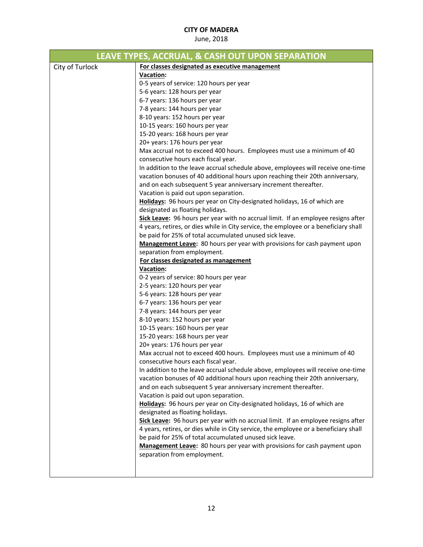|                 | LEAVE TYPES, ACCRUAL, & CASH OUT UPON SEPARATION                                     |
|-----------------|--------------------------------------------------------------------------------------|
| City of Turlock | For classes designated as executive management                                       |
|                 | <b>Vacation:</b>                                                                     |
|                 | 0-5 years of service: 120 hours per year                                             |
|                 | 5-6 years: 128 hours per year                                                        |
|                 | 6-7 years: 136 hours per year                                                        |
|                 | 7-8 years: 144 hours per year                                                        |
|                 | 8-10 years: 152 hours per year                                                       |
|                 | 10-15 years: 160 hours per year                                                      |
|                 | 15-20 years: 168 hours per year                                                      |
|                 | 20+ years: 176 hours per year                                                        |
|                 | Max accrual not to exceed 400 hours. Employees must use a minimum of 40              |
|                 | consecutive hours each fiscal year.                                                  |
|                 | In addition to the leave accrual schedule above, employees will receive one-time     |
|                 | vacation bonuses of 40 additional hours upon reaching their 20th anniversary,        |
|                 | and on each subsequent 5 year anniversary increment thereafter.                      |
|                 | Vacation is paid out upon separation.                                                |
|                 | Holidays: 96 hours per year on City-designated holidays, 16 of which are             |
|                 | designated as floating holidays.                                                     |
|                 | Sick Leave: 96 hours per year with no accrual limit. If an employee resigns after    |
|                 | 4 years, retires, or dies while in City service, the employee or a beneficiary shall |
|                 | be paid for 25% of total accumulated unused sick leave.                              |
|                 | Management Leave: 80 hours per year with provisions for cash payment upon            |
|                 | separation from employment.                                                          |
|                 | For classes designated as management                                                 |
|                 | <b>Vacation:</b>                                                                     |
|                 | 0-2 years of service: 80 hours per year                                              |
|                 | 2-5 years: 120 hours per year                                                        |
|                 | 5-6 years: 128 hours per year                                                        |
|                 | 6-7 years: 136 hours per year                                                        |
|                 | 7-8 years: 144 hours per year                                                        |
|                 | 8-10 years: 152 hours per year                                                       |
|                 | 10-15 years: 160 hours per year                                                      |
|                 | 15-20 years: 168 hours per year                                                      |
|                 | 20+ years: 176 hours per year                                                        |
|                 | Max accrual not to exceed 400 hours. Employees must use a minimum of 40              |
|                 | consecutive hours each fiscal year.                                                  |
|                 | In addition to the leave accrual schedule above, employees will receive one-time     |
|                 | vacation bonuses of 40 additional hours upon reaching their 20th anniversary,        |
|                 | and on each subsequent 5 year anniversary increment thereafter.                      |
|                 | Vacation is paid out upon separation.                                                |
|                 | Holidays: 96 hours per year on City-designated holidays, 16 of which are             |
|                 | designated as floating holidays.                                                     |
|                 | Sick Leave: 96 hours per year with no accrual limit. If an employee resigns after    |
|                 | 4 years, retires, or dies while in City service, the employee or a beneficiary shall |
|                 | be paid for 25% of total accumulated unused sick leave.                              |
|                 | Management Leave: 80 hours per year with provisions for cash payment upon            |
|                 | separation from employment.                                                          |
|                 |                                                                                      |
|                 |                                                                                      |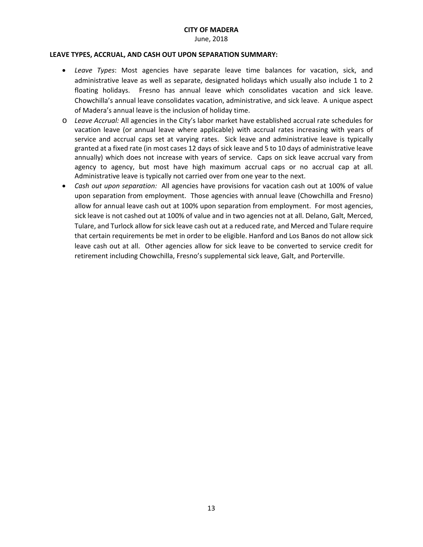June, 2018

#### **LEAVE TYPES, ACCRUAL, AND CASH OUT UPON SEPARATION SUMMARY:**

- *Leave Types*: Most agencies have separate leave time balances for vacation, sick, and administrative leave as well as separate, designated holidays which usually also include 1 to 2 floating holidays. Fresno has annual leave which consolidates vacation and sick leave. Chowchilla's annual leave consolidates vacation, administrative, and sick leave. A unique aspect of Madera's annual leave is the inclusion of holiday time.
- o *Leave Accrual:* All agencies in the City's labor market have established accrual rate schedules for vacation leave (or annual leave where applicable) with accrual rates increasing with years of service and accrual caps set at varying rates. Sick leave and administrative leave is typically granted at a fixed rate (in most cases 12 days of sick leave and 5 to 10 days of administrative leave annually) which does not increase with years of service. Caps on sick leave accrual vary from agency to agency, but most have high maximum accrual caps or no accrual cap at all. Administrative leave is typically not carried over from one year to the next.
- *Cash out upon separation:* All agencies have provisions for vacation cash out at 100% of value upon separation from employment. Those agencies with annual leave (Chowchilla and Fresno) allow for annual leave cash out at 100% upon separation from employment. For most agencies, sick leave is not cashed out at 100% of value and in two agencies not at all. Delano, Galt, Merced, Tulare, and Turlock allow for sick leave cash out at a reduced rate, and Merced and Tulare require that certain requirements be met in order to be eligible. Hanford and Los Banos do not allow sick leave cash out at all. Other agencies allow for sick leave to be converted to service credit for retirement including Chowchilla, Fresno's supplemental sick leave, Galt, and Porterville.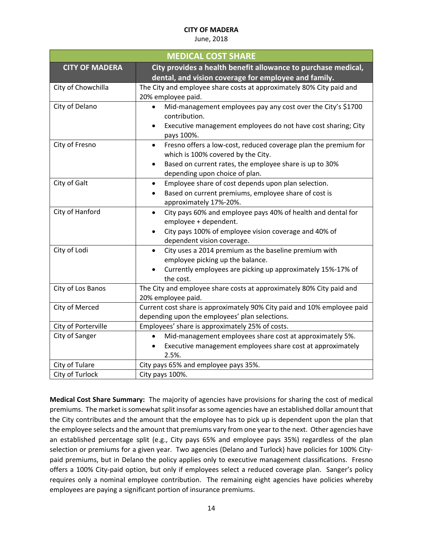#### June, 2018

| <b>MEDICAL COST SHARE</b> |                                                                                                                    |
|---------------------------|--------------------------------------------------------------------------------------------------------------------|
| <b>CITY OF MADERA</b>     | City provides a health benefit allowance to purchase medical,                                                      |
|                           | dental, and vision coverage for employee and family.                                                               |
| City of Chowchilla        | The City and employee share costs at approximately 80% City paid and                                               |
|                           | 20% employee paid.                                                                                                 |
| City of Delano            | Mid-management employees pay any cost over the City's \$1700<br>contribution.                                      |
|                           | Executive management employees do not have cost sharing; City<br>pays 100%.                                        |
| City of Fresno            | Fresno offers a low-cost, reduced coverage plan the premium for<br>$\bullet$<br>which is 100% covered by the City. |
|                           | Based on current rates, the employee share is up to 30%<br>٠<br>depending upon choice of plan.                     |
| City of Galt              | Employee share of cost depends upon plan selection.<br>$\bullet$                                                   |
|                           | Based on current premiums, employee share of cost is                                                               |
|                           | approximately 17%-20%.                                                                                             |
| City of Hanford           | City pays 60% and employee pays 40% of health and dental for<br>$\bullet$                                          |
|                           | employee + dependent.                                                                                              |
|                           | City pays 100% of employee vision coverage and 40% of<br>$\bullet$                                                 |
|                           | dependent vision coverage.                                                                                         |
| City of Lodi              | City uses a 2014 premium as the baseline premium with<br>$\bullet$<br>employee picking up the balance.             |
|                           | Currently employees are picking up approximately 15%-17% of<br>the cost.                                           |
| City of Los Banos         | The City and employee share costs at approximately 80% City paid and                                               |
|                           | 20% employee paid.                                                                                                 |
| City of Merced            | Current cost share is approximately 90% City paid and 10% employee paid                                            |
|                           | depending upon the employees' plan selections.                                                                     |
| City of Porterville       | Employees' share is approximately 25% of costs.                                                                    |
| City of Sanger            | Mid-management employees share cost at approximately 5%.<br>$\bullet$                                              |
|                           | Executive management employees share cost at approximately<br>2.5%.                                                |
| City of Tulare            | City pays 65% and employee pays 35%.                                                                               |
| City of Turlock           | City pays 100%.                                                                                                    |

**Medical Cost Share Summary:** The majority of agencies have provisions for sharing the cost of medical premiums. The market is somewhat split insofar as some agencies have an established dollar amount that the City contributes and the amount that the employee has to pick up is dependent upon the plan that the employee selects and the amount that premiums vary from one year to the next. Other agencies have an established percentage split (e.g., City pays 65% and employee pays 35%) regardless of the plan selection or premiums for a given year. Two agencies (Delano and Turlock) have policies for 100% Citypaid premiums, but in Delano the policy applies only to executive management classifications. Fresno offers a 100% City‐paid option, but only if employees select a reduced coverage plan. Sanger's policy requires only a nominal employee contribution. The remaining eight agencies have policies whereby employees are paying a significant portion of insurance premiums.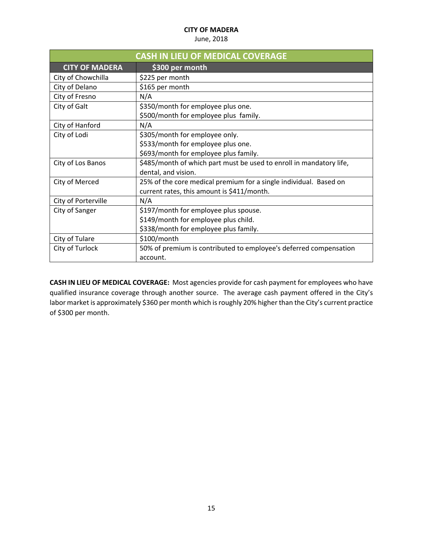#### June, 2018

| <b>CASH IN LIEU OF MEDICAL COVERAGE</b> |                                                                     |
|-----------------------------------------|---------------------------------------------------------------------|
| <b>CITY OF MADERA</b>                   | \$300 per month                                                     |
| City of Chowchilla                      | \$225 per month                                                     |
| City of Delano                          | \$165 per month                                                     |
| City of Fresno                          | N/A                                                                 |
| City of Galt                            | \$350/month for employee plus one.                                  |
|                                         | \$500/month for employee plus family.                               |
| City of Hanford                         | N/A                                                                 |
| City of Lodi                            | \$305/month for employee only.                                      |
|                                         | \$533/month for employee plus one.                                  |
|                                         | \$693/month for employee plus family.                               |
| City of Los Banos                       | \$485/month of which part must be used to enroll in mandatory life, |
|                                         | dental, and vision.                                                 |
| City of Merced                          | 25% of the core medical premium for a single individual. Based on   |
|                                         | current rates, this amount is \$411/month.                          |
| City of Porterville                     | N/A                                                                 |
| City of Sanger                          | \$197/month for employee plus spouse.                               |
|                                         | \$149/month for employee plus child.                                |
|                                         | \$338/month for employee plus family.                               |
| City of Tulare                          | \$100/month                                                         |
| City of Turlock                         | 50% of premium is contributed to employee's deferred compensation   |
|                                         | account.                                                            |

**CASH IN LIEU OF MEDICAL COVERAGE:** Most agencies provide for cash payment for employees who have qualified insurance coverage through another source. The average cash payment offered in the City's labor market is approximately \$360 per month which is roughly 20% higher than the City's current practice of \$300 per month.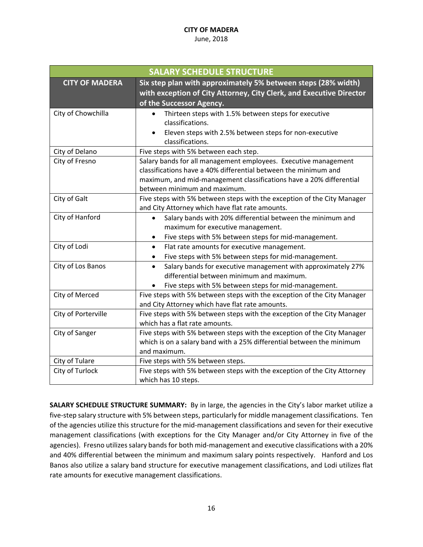#### June, 2018

| <b>SALARY SCHEDULE STRUCTURE</b> |                                                                                                                        |
|----------------------------------|------------------------------------------------------------------------------------------------------------------------|
| <b>CITY OF MADERA</b>            | Six step plan with approximately 5% between steps (28% width)                                                          |
|                                  | with exception of City Attorney, City Clerk, and Executive Director                                                    |
|                                  | of the Successor Agency.                                                                                               |
| City of Chowchilla               | Thirteen steps with 1.5% between steps for executive                                                                   |
|                                  | classifications.                                                                                                       |
|                                  | Eleven steps with 2.5% between steps for non-executive<br>٠                                                            |
|                                  | classifications.                                                                                                       |
| City of Delano                   | Five steps with 5% between each step.                                                                                  |
| City of Fresno                   | Salary bands for all management employees. Executive management                                                        |
|                                  | classifications have a 40% differential between the minimum and                                                        |
|                                  | maximum, and mid-management classifications have a 20% differential                                                    |
|                                  | between minimum and maximum.                                                                                           |
| City of Galt                     | Five steps with 5% between steps with the exception of the City Manager                                                |
|                                  | and City Attorney which have flat rate amounts.                                                                        |
| City of Hanford                  | Salary bands with 20% differential between the minimum and<br>$\bullet$                                                |
|                                  | maximum for executive management.                                                                                      |
|                                  | Five steps with 5% between steps for mid-management.                                                                   |
| City of Lodi                     | Flat rate amounts for executive management.<br>$\bullet$                                                               |
|                                  | Five steps with 5% between steps for mid-management.                                                                   |
| City of Los Banos                | Salary bands for executive management with approximately 27%<br>$\bullet$<br>differential between minimum and maximum. |
|                                  | Five steps with 5% between steps for mid-management.                                                                   |
| City of Merced                   | Five steps with 5% between steps with the exception of the City Manager                                                |
|                                  | and City Attorney which have flat rate amounts.                                                                        |
| City of Porterville              | Five steps with 5% between steps with the exception of the City Manager                                                |
|                                  | which has a flat rate amounts.                                                                                         |
| City of Sanger                   | Five steps with 5% between steps with the exception of the City Manager                                                |
|                                  | which is on a salary band with a 25% differential between the minimum                                                  |
|                                  | and maximum.                                                                                                           |
| City of Tulare                   | Five steps with 5% between steps.                                                                                      |
| City of Turlock                  | Five steps with 5% between steps with the exception of the City Attorney                                               |
|                                  | which has 10 steps.                                                                                                    |

**SALARY SCHEDULE STRUCTURE SUMMARY:** By in large, the agencies in the City's labor market utilize a five-step salary structure with 5% between steps, particularly for middle management classifications. Ten of the agencies utilize this structure for the mid-management classifications and seven for their executive management classifications (with exceptions for the City Manager and/or City Attorney in five of the agencies). Fresno utilizes salary bands for both mid‐management and executive classifications with a 20% and 40% differential between the minimum and maximum salary points respectively. Hanford and Los Banos also utilize a salary band structure for executive management classifications, and Lodi utilizes flat rate amounts for executive management classifications.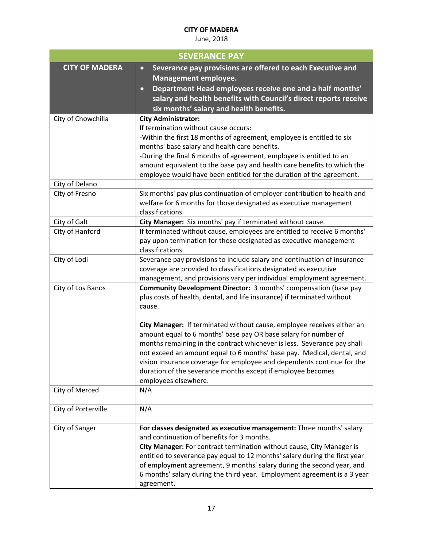| <b>SEVERANCE PAY</b>  |                                                                                                                                                                                                                                                                                                                                                                                                                                              |
|-----------------------|----------------------------------------------------------------------------------------------------------------------------------------------------------------------------------------------------------------------------------------------------------------------------------------------------------------------------------------------------------------------------------------------------------------------------------------------|
| <b>CITY OF MADERA</b> | Severance pay provisions are offered to each Executive and<br>$\bullet$<br><b>Management employee.</b><br>Department Head employees receive one and a half months'<br>$\mathbf{\circ}$<br>salary and health benefits with Council's direct reports receive<br>six months' salary and health benefits.                                                                                                                                        |
| City of Chowchilla    | <b>City Administrator:</b><br>If termination without cause occurs:<br>-Within the first 18 months of agreement, employee is entitled to six<br>months' base salary and health care benefits.<br>-During the final 6 months of agreement, employee is entitled to an<br>amount equivalent to the base pay and health care benefits to which the<br>employee would have been entitled for the duration of the agreement.                       |
| City of Delano        |                                                                                                                                                                                                                                                                                                                                                                                                                                              |
| City of Fresno        | Six months' pay plus continuation of employer contribution to health and<br>welfare for 6 months for those designated as executive management<br>classifications.                                                                                                                                                                                                                                                                            |
| City of Galt          | City Manager: Six months' pay if terminated without cause.                                                                                                                                                                                                                                                                                                                                                                                   |
| City of Hanford       | If terminated without cause, employees are entitled to receive 6 months'<br>pay upon termination for those designated as executive management<br>classifications.                                                                                                                                                                                                                                                                            |
| City of Lodi          | Severance pay provisions to include salary and continuation of insurance<br>coverage are provided to classifications designated as executive<br>management, and provisions vary per individual employment agreement.                                                                                                                                                                                                                         |
| City of Los Banos     | Community Development Director: 3 months' compensation (base pay<br>plus costs of health, dental, and life insurance) if terminated without<br>cause.<br>City Manager: If terminated without cause, employee receives either an<br>amount equal to 6 months' base pay OR base salary for number of                                                                                                                                           |
|                       | months remaining in the contract whichever is less. Severance pay shall<br>not exceed an amount equal to 6 months' base pay. Medical, dental, and<br>vision insurance coverage for employee and dependents continue for the<br>duration of the severance months except if employee becomes<br>employees elsewhere.                                                                                                                           |
| City of Merced        | N/A                                                                                                                                                                                                                                                                                                                                                                                                                                          |
| City of Porterville   | N/A                                                                                                                                                                                                                                                                                                                                                                                                                                          |
| City of Sanger        | For classes designated as executive management: Three months' salary<br>and continuation of benefits for 3 months.<br>City Manager: For contract termination without cause, City Manager is<br>entitled to severance pay equal to 12 months' salary during the first year<br>of employment agreement, 9 months' salary during the second year, and<br>6 months' salary during the third year. Employment agreement is a 3 year<br>agreement. |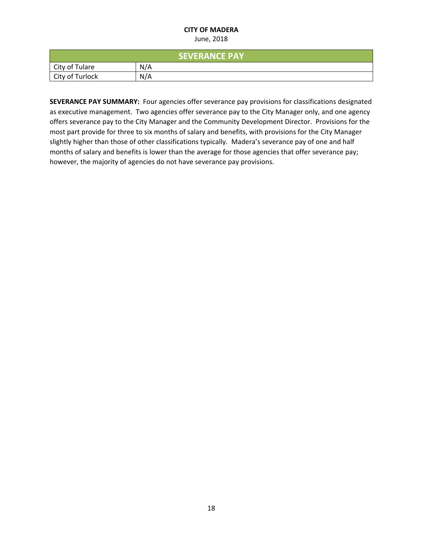#### June, 2018

| <b>SEVERANCE PAY</b> |     |
|----------------------|-----|
| City of Tulare       | N/A |
| City of Turlock      | N/A |

**SEVERANCE PAY SUMMARY:** Four agencies offer severance pay provisions for classifications designated as executive management. Two agencies offer severance pay to the City Manager only, and one agency offers severance pay to the City Manager and the Community Development Director. Provisions for the most part provide for three to six months of salary and benefits, with provisions for the City Manager slightly higher than those of other classifications typically. Madera's severance pay of one and half months of salary and benefits is lower than the average for those agencies that offer severance pay; however, the majority of agencies do not have severance pay provisions.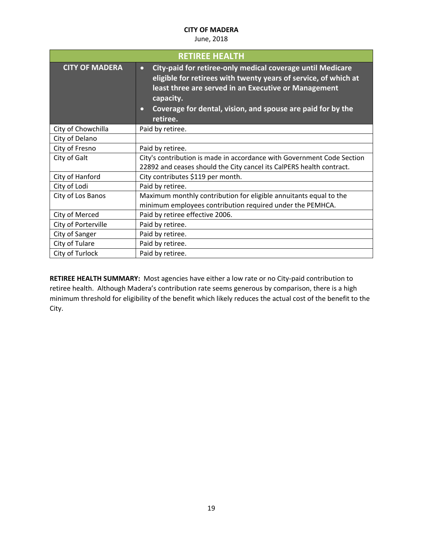#### June, 2018

| <b>RETIREE HEALTH</b> |                                                                                                                                                                                                                                                                                                         |
|-----------------------|---------------------------------------------------------------------------------------------------------------------------------------------------------------------------------------------------------------------------------------------------------------------------------------------------------|
| <b>CITY OF MADERA</b> | City-paid for retiree-only medical coverage until Medicare<br>$\bullet$<br>eligible for retirees with twenty years of service, of which at<br>least three are served in an Executive or Management<br>capacity.<br>Coverage for dental, vision, and spouse are paid for by the<br>$\bullet$<br>retiree. |
| City of Chowchilla    | Paid by retiree.                                                                                                                                                                                                                                                                                        |
| City of Delano        |                                                                                                                                                                                                                                                                                                         |
| City of Fresno        | Paid by retiree.                                                                                                                                                                                                                                                                                        |
| City of Galt          | City's contribution is made in accordance with Government Code Section<br>22892 and ceases should the City cancel its CalPERS health contract.                                                                                                                                                          |
| City of Hanford       | City contributes \$119 per month.                                                                                                                                                                                                                                                                       |
| City of Lodi          | Paid by retiree.                                                                                                                                                                                                                                                                                        |
| City of Los Banos     | Maximum monthly contribution for eligible annuitants equal to the<br>minimum employees contribution required under the PEMHCA.                                                                                                                                                                          |
| City of Merced        | Paid by retiree effective 2006.                                                                                                                                                                                                                                                                         |
| City of Porterville   | Paid by retiree.                                                                                                                                                                                                                                                                                        |
| City of Sanger        | Paid by retiree.                                                                                                                                                                                                                                                                                        |
| City of Tulare        | Paid by retiree.                                                                                                                                                                                                                                                                                        |
| City of Turlock       | Paid by retiree.                                                                                                                                                                                                                                                                                        |

RETIREE HEALTH SUMMARY: Most agencies have either a low rate or no City-paid contribution to retiree health. Although Madera's contribution rate seems generous by comparison, there is a high minimum threshold for eligibility of the benefit which likely reduces the actual cost of the benefit to the City.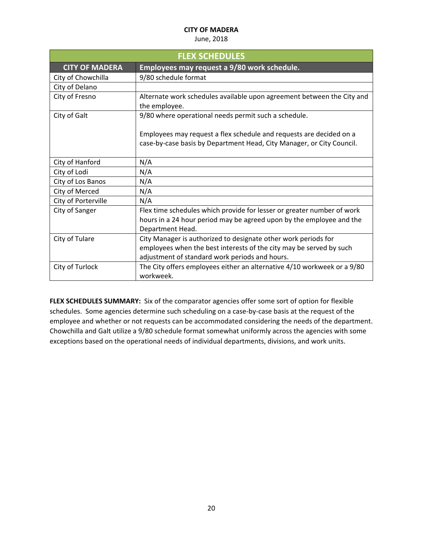### June, 2018

| <b>FLEX SCHEDULES</b> |                                                                         |
|-----------------------|-------------------------------------------------------------------------|
| <b>CITY OF MADERA</b> | Employees may request a 9/80 work schedule.                             |
| City of Chowchilla    | 9/80 schedule format                                                    |
| City of Delano        |                                                                         |
| City of Fresno        | Alternate work schedules available upon agreement between the City and  |
|                       | the employee.                                                           |
| City of Galt          | 9/80 where operational needs permit such a schedule.                    |
|                       |                                                                         |
|                       | Employees may request a flex schedule and requests are decided on a     |
|                       | case-by-case basis by Department Head, City Manager, or City Council.   |
|                       |                                                                         |
| City of Hanford       | N/A                                                                     |
| City of Lodi          | N/A                                                                     |
| City of Los Banos     | N/A                                                                     |
| City of Merced        | N/A                                                                     |
| City of Porterville   | N/A                                                                     |
| City of Sanger        | Flex time schedules which provide for lesser or greater number of work  |
|                       | hours in a 24 hour period may be agreed upon by the employee and the    |
|                       | Department Head.                                                        |
| City of Tulare        | City Manager is authorized to designate other work periods for          |
|                       | employees when the best interests of the city may be served by such     |
|                       | adjustment of standard work periods and hours.                          |
| City of Turlock       | The City offers employees either an alternative 4/10 workweek or a 9/80 |
|                       | workweek.                                                               |

**FLEX SCHEDULES SUMMARY:** Six of the comparator agencies offer some sort of option for flexible schedules. Some agencies determine such scheduling on a case‐by‐case basis at the request of the employee and whether or not requests can be accommodated considering the needs of the department. Chowchilla and Galt utilize a 9/80 schedule format somewhat uniformly across the agencies with some exceptions based on the operational needs of individual departments, divisions, and work units.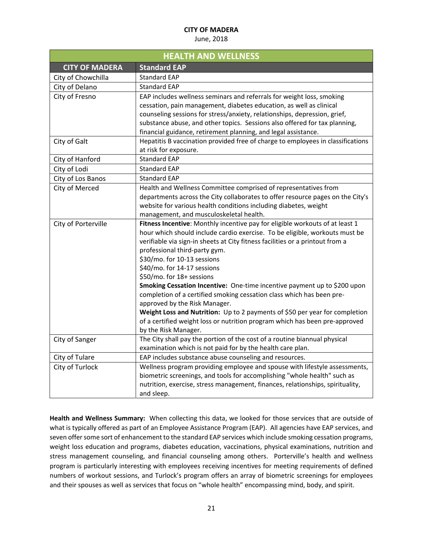June, 2018

| <b>HEALTH AND WELLNESS</b> |                                                                                                                                                                                                                                                                                                                                                                                                                                                                                                                                                                                                                                                                                                                                                      |
|----------------------------|------------------------------------------------------------------------------------------------------------------------------------------------------------------------------------------------------------------------------------------------------------------------------------------------------------------------------------------------------------------------------------------------------------------------------------------------------------------------------------------------------------------------------------------------------------------------------------------------------------------------------------------------------------------------------------------------------------------------------------------------------|
| <b>CITY OF MADERA</b>      | <b>Standard EAP</b>                                                                                                                                                                                                                                                                                                                                                                                                                                                                                                                                                                                                                                                                                                                                  |
| City of Chowchilla         | <b>Standard EAP</b>                                                                                                                                                                                                                                                                                                                                                                                                                                                                                                                                                                                                                                                                                                                                  |
| City of Delano             | <b>Standard EAP</b>                                                                                                                                                                                                                                                                                                                                                                                                                                                                                                                                                                                                                                                                                                                                  |
| City of Fresno             | EAP includes wellness seminars and referrals for weight loss, smoking<br>cessation, pain management, diabetes education, as well as clinical<br>counseling sessions for stress/anxiety, relationships, depression, grief,<br>substance abuse, and other topics. Sessions also offered for tax planning,<br>financial guidance, retirement planning, and legal assistance.                                                                                                                                                                                                                                                                                                                                                                            |
| City of Galt               | Hepatitis B vaccination provided free of charge to employees in classifications<br>at risk for exposure.                                                                                                                                                                                                                                                                                                                                                                                                                                                                                                                                                                                                                                             |
| City of Hanford            | <b>Standard EAP</b>                                                                                                                                                                                                                                                                                                                                                                                                                                                                                                                                                                                                                                                                                                                                  |
| City of Lodi               | <b>Standard EAP</b>                                                                                                                                                                                                                                                                                                                                                                                                                                                                                                                                                                                                                                                                                                                                  |
| City of Los Banos          | <b>Standard EAP</b>                                                                                                                                                                                                                                                                                                                                                                                                                                                                                                                                                                                                                                                                                                                                  |
| City of Merced             | Health and Wellness Committee comprised of representatives from<br>departments across the City collaborates to offer resource pages on the City's<br>website for various health conditions including diabetes, weight<br>management, and musculoskeletal health.                                                                                                                                                                                                                                                                                                                                                                                                                                                                                     |
| City of Porterville        | Fitness Incentive: Monthly incentive pay for eligible workouts of at least 1<br>hour which should include cardio exercise. To be eligible, workouts must be<br>verifiable via sign-in sheets at City fitness facilities or a printout from a<br>professional third-party gym.<br>\$30/mo. for 10-13 sessions<br>\$40/mo. for 14-17 sessions<br>\$50/mo. for 18+ sessions<br>Smoking Cessation Incentive: One-time incentive payment up to \$200 upon<br>completion of a certified smoking cessation class which has been pre-<br>approved by the Risk Manager.<br>Weight Loss and Nutrition: Up to 2 payments of \$50 per year for completion<br>of a certified weight loss or nutrition program which has been pre-approved<br>by the Risk Manager. |
| City of Sanger             | The City shall pay the portion of the cost of a routine biannual physical<br>examination which is not paid for by the health care plan.                                                                                                                                                                                                                                                                                                                                                                                                                                                                                                                                                                                                              |
| City of Tulare             | EAP includes substance abuse counseling and resources.                                                                                                                                                                                                                                                                                                                                                                                                                                                                                                                                                                                                                                                                                               |
| City of Turlock            | Wellness program providing employee and spouse with lifestyle assessments,<br>biometric screenings, and tools for accomplishing "whole health" such as<br>nutrition, exercise, stress management, finances, relationships, spirituality,<br>and sleep.                                                                                                                                                                                                                                                                                                                                                                                                                                                                                               |

**Health and Wellness Summary:** When collecting this data, we looked for those services that are outside of what is typically offered as part of an Employee Assistance Program (EAP). All agencies have EAP services, and seven offer some sort of enhancement to the standard EAP services which include smoking cessation programs, weight loss education and programs, diabetes education, vaccinations, physical examinations, nutrition and stress management counseling, and financial counseling among others. Porterville's health and wellness program is particularly interesting with employees receiving incentives for meeting requirements of defined numbers of workout sessions, and Turlock's program offers an array of biometric screenings for employees and their spouses as well as services that focus on "whole health" encompassing mind, body, and spirit.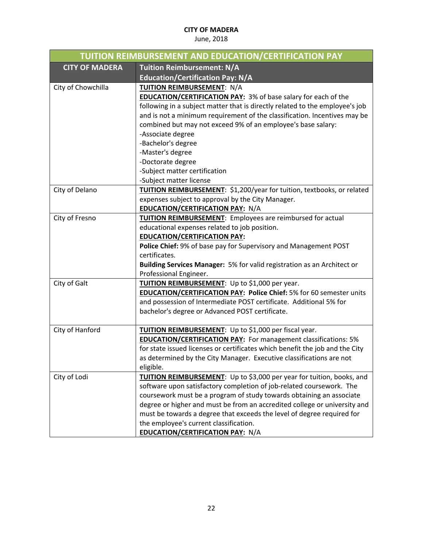| TUITION REIMBURSEMENT AND EDUCATION/CERTIFICATION PAY |                                                                              |
|-------------------------------------------------------|------------------------------------------------------------------------------|
| <b>CITY OF MADERA</b>                                 | <b>Tuition Reimbursement: N/A</b>                                            |
|                                                       | <b>Education/Certification Pay: N/A</b>                                      |
| City of Chowchilla                                    | TUITION REIMBURSEMENT: N/A                                                   |
|                                                       | <b>EDUCATION/CERTIFICATION PAY: 3% of base salary for each of the</b>        |
|                                                       | following in a subject matter that is directly related to the employee's job |
|                                                       | and is not a minimum requirement of the classification. Incentives may be    |
|                                                       | combined but may not exceed 9% of an employee's base salary:                 |
|                                                       | -Associate degree                                                            |
|                                                       | -Bachelor's degree                                                           |
|                                                       | -Master's degree                                                             |
|                                                       | -Doctorate degree                                                            |
|                                                       | -Subject matter certification                                                |
|                                                       | -Subject matter license                                                      |
| City of Delano                                        | TUITION REIMBURSEMENT: \$1,200/year for tuition, textbooks, or related       |
|                                                       | expenses subject to approval by the City Manager.                            |
|                                                       | <b>EDUCATION/CERTIFICATION PAY: N/A</b>                                      |
| City of Fresno                                        | <b>TUITION REIMBURSEMENT:</b> Employees are reimbursed for actual            |
|                                                       | educational expenses related to job position.                                |
|                                                       | <b>EDUCATION/CERTIFICATION PAY:</b>                                          |
|                                                       | Police Chief: 9% of base pay for Supervisory and Management POST             |
|                                                       | certificates.                                                                |
|                                                       | Building Services Manager: 5% for valid registration as an Architect or      |
|                                                       | Professional Engineer.                                                       |
| City of Galt                                          | TUITION REIMBURSEMENT: Up to \$1,000 per year.                               |
|                                                       | <b>EDUCATION/CERTIFICATION PAY: Police Chief: 5% for 60 semester units</b>   |
|                                                       | and possession of Intermediate POST certificate. Additional 5% for           |
|                                                       | bachelor's degree or Advanced POST certificate.                              |
|                                                       |                                                                              |
| City of Hanford                                       | TUITION REIMBURSEMENT: Up to \$1,000 per fiscal year.                        |
|                                                       | <b>EDUCATION/CERTIFICATION PAY:</b> For management classifications: 5%       |
|                                                       | for state issued licenses or certificates which benefit the job and the City |
|                                                       | as determined by the City Manager. Executive classifications are not         |
|                                                       | eligible.                                                                    |
| City of Lodi                                          | TUITION REIMBURSEMENT: Up to \$3,000 per year for tuition, books, and        |
|                                                       | software upon satisfactory completion of job-related coursework. The         |
|                                                       | coursework must be a program of study towards obtaining an associate         |
|                                                       | degree or higher and must be from an accredited college or university and    |
|                                                       | must be towards a degree that exceeds the level of degree required for       |
|                                                       | the employee's current classification.                                       |
|                                                       | <b>EDUCATION/CERTIFICATION PAY: N/A</b>                                      |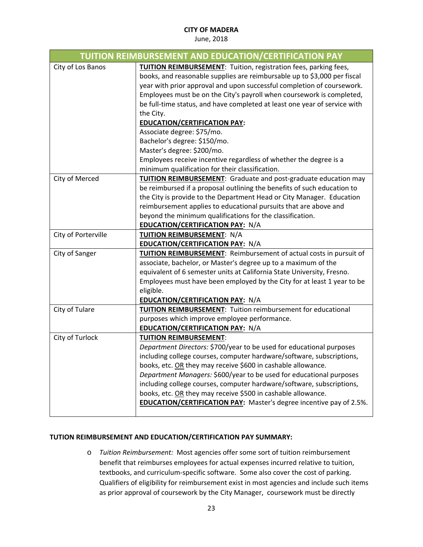#### June, 2018

|                     | <b>TUITION REIMBURSEMENT AND EDUCATION/CERTIFICATION PAY</b>                                                                                                                                                                                                                                                                                                                                                                                                                                                                                                                                                                                                |
|---------------------|-------------------------------------------------------------------------------------------------------------------------------------------------------------------------------------------------------------------------------------------------------------------------------------------------------------------------------------------------------------------------------------------------------------------------------------------------------------------------------------------------------------------------------------------------------------------------------------------------------------------------------------------------------------|
| City of Los Banos   | <b>TUITION REIMBURSEMENT:</b> Tuition, registration fees, parking fees,<br>books, and reasonable supplies are reimbursable up to \$3,000 per fiscal<br>year with prior approval and upon successful completion of coursework.<br>Employees must be on the City's payroll when coursework is completed,<br>be full-time status, and have completed at least one year of service with<br>the City.<br><b>EDUCATION/CERTIFICATION PAY:</b><br>Associate degree: \$75/mo.<br>Bachelor's degree: \$150/mo.<br>Master's degree: \$200/mo.<br>Employees receive incentive regardless of whether the degree is a<br>minimum qualification for their classification. |
| City of Merced      | <b>TUITION REIMBURSEMENT:</b> Graduate and post-graduate education may<br>be reimbursed if a proposal outlining the benefits of such education to<br>the City is provide to the Department Head or City Manager. Education<br>reimbursement applies to educational pursuits that are above and<br>beyond the minimum qualifications for the classification.<br>EDUCATION/CERTIFICATION PAY: N/A                                                                                                                                                                                                                                                             |
| City of Porterville | TUITION REIMBURSEMENT: N/A<br>EDUCATION/CERTIFICATION PAY: N/A                                                                                                                                                                                                                                                                                                                                                                                                                                                                                                                                                                                              |
| City of Sanger      | TUITION REIMBURSEMENT: Reimbursement of actual costs in pursuit of<br>associate, bachelor, or Master's degree up to a maximum of the<br>equivalent of 6 semester units at California State University, Fresno.<br>Employees must have been employed by the City for at least 1 year to be<br>eligible.<br>EDUCATION/CERTIFICATION PAY: N/A                                                                                                                                                                                                                                                                                                                  |
| City of Tulare      | <b>TUITION REIMBURSEMENT: Tuition reimbursement for educational</b><br>purposes which improve employee performance.<br><b>EDUCATION/CERTIFICATION PAY: N/A</b>                                                                                                                                                                                                                                                                                                                                                                                                                                                                                              |
| City of Turlock     | <b>TUITION REIMBURSEMENT:</b><br>Department Directors: \$700/year to be used for educational purposes<br>including college courses, computer hardware/software, subscriptions,<br>books, etc. OR they may receive \$600 in cashable allowance.<br>Department Managers: \$600/year to be used for educational purposes<br>including college courses, computer hardware/software, subscriptions,<br>books, etc. OR they may receive \$500 in cashable allowance.<br><b>EDUCATION/CERTIFICATION PAY:</b> Master's degree incentive pay of 2.5%.                                                                                                                |

## **TUTION REIMBURSEMENT AND EDUCATION/CERTIFICATION PAY SUMMARY:**

o *Tuition Reimbursement:* Most agencies offer some sort of tuition reimbursement benefit that reimburses employees for actual expenses incurred relative to tuition, textbooks, and curriculum‐specific software. Some also cover the cost of parking. Qualifiers of eligibility for reimbursement exist in most agencies and include such items as prior approval of coursework by the City Manager, coursework must be directly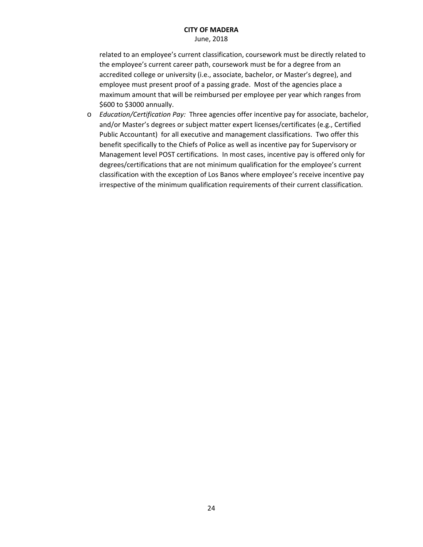June, 2018

related to an employee's current classification, coursework must be directly related to the employee's current career path, coursework must be for a degree from an accredited college or university (i.e., associate, bachelor, or Master's degree), and employee must present proof of a passing grade. Most of the agencies place a maximum amount that will be reimbursed per employee per year which ranges from \$600 to \$3000 annually.

o *Education/Certification Pay:* Three agencies offer incentive pay for associate, bachelor, and/or Master's degrees or subject matter expert licenses/certificates (e.g., Certified Public Accountant) for all executive and management classifications. Two offer this benefit specifically to the Chiefs of Police as well as incentive pay for Supervisory or Management level POST certifications. In most cases, incentive pay is offered only for degrees/certifications that are not minimum qualification for the employee's current classification with the exception of Los Banos where employee's receive incentive pay irrespective of the minimum qualification requirements of their current classification.